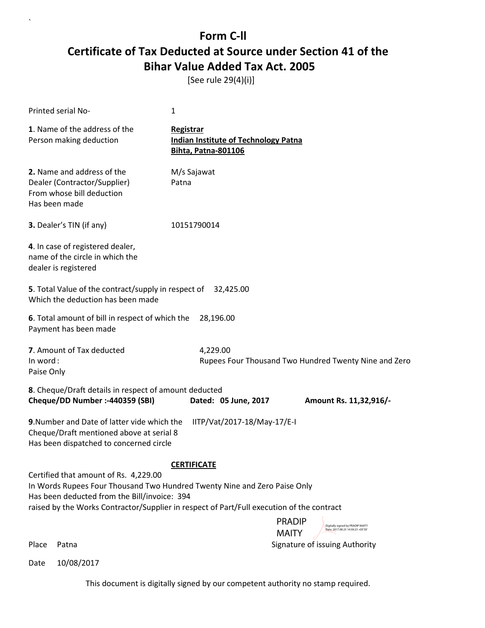[See rule 29(4)(i)]

`

|                        | Printed serial No-                                                                                                                                                                                                                                              | 1                                                                                      |                                                                                        |
|------------------------|-----------------------------------------------------------------------------------------------------------------------------------------------------------------------------------------------------------------------------------------------------------------|----------------------------------------------------------------------------------------|----------------------------------------------------------------------------------------|
|                        | 1. Name of the address of the<br>Person making deduction                                                                                                                                                                                                        | Registrar<br><b>Indian Institute of Technology Patna</b><br><b>Bihta, Patna-801106</b> |                                                                                        |
| Has been made          | 2. Name and address of the<br>Dealer (Contractor/Supplier)<br>From whose bill deduction                                                                                                                                                                         | M/s Sajawat<br>Patna                                                                   |                                                                                        |
|                        | 3. Dealer's TIN (if any)                                                                                                                                                                                                                                        | 10151790014                                                                            |                                                                                        |
|                        | 4. In case of registered dealer,<br>name of the circle in which the<br>dealer is registered                                                                                                                                                                     |                                                                                        |                                                                                        |
|                        | 5. Total Value of the contract/supply in respect of<br>Which the deduction has been made                                                                                                                                                                        | 32,425.00                                                                              |                                                                                        |
|                        | 6. Total amount of bill in respect of which the<br>Payment has been made                                                                                                                                                                                        | 28,196.00                                                                              |                                                                                        |
| In word:<br>Paise Only | 7. Amount of Tax deducted                                                                                                                                                                                                                                       | 4,229.00                                                                               | Rupees Four Thousand Two Hundred Twenty Nine and Zero                                  |
|                        | 8. Cheque/Draft details in respect of amount deducted<br>Cheque/DD Number :- 440359 (SBI)                                                                                                                                                                       | Dated: 05 June, 2017                                                                   | Amount Rs. 11,32,916/-                                                                 |
|                        | 9. Number and Date of latter vide which the<br>Cheque/Draft mentioned above at serial 8<br>Has been dispatched to concerned circle                                                                                                                              | IITP/Vat/2017-18/May-17/E-I                                                            |                                                                                        |
|                        |                                                                                                                                                                                                                                                                 | <b>CERTIFICATE</b>                                                                     |                                                                                        |
|                        | Certified that amount of Rs. 4,229.00<br>In Words Rupees Four Thousand Two Hundred Twenty Nine and Zero Paise Only<br>Has been deducted from the Bill/invoice: 394<br>raised by the Works Contractor/Supplier in respect of Part/Full execution of the contract |                                                                                        |                                                                                        |
|                        |                                                                                                                                                                                                                                                                 |                                                                                        | <b>PRADIP</b><br>Digitally signed by PRADIP MAITY<br>Date: 2017.08.25 14:58:23 +05'30' |
| Place                  | Patna                                                                                                                                                                                                                                                           |                                                                                        | <b>MAITY</b><br>Signature of issuing Authority                                         |
| Date                   | 10/08/2017                                                                                                                                                                                                                                                      |                                                                                        |                                                                                        |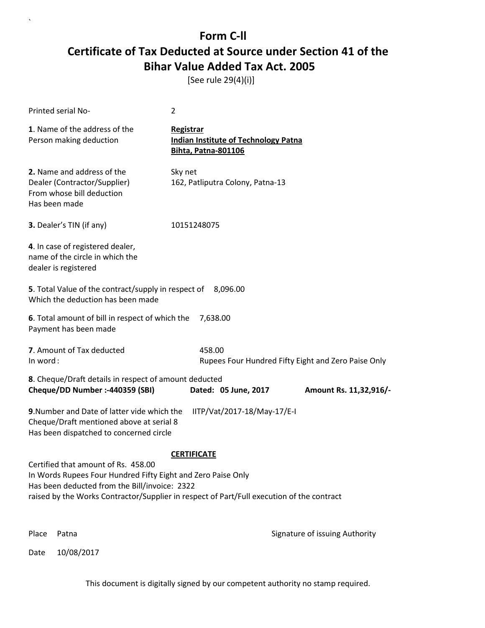[See rule 29(4)(i)]

| Printed serial No-                                                                                                                                                                                                                                                                                                              | 2                                                                                             |                                                                                        |
|---------------------------------------------------------------------------------------------------------------------------------------------------------------------------------------------------------------------------------------------------------------------------------------------------------------------------------|-----------------------------------------------------------------------------------------------|----------------------------------------------------------------------------------------|
| 1. Name of the address of the<br>Person making deduction                                                                                                                                                                                                                                                                        | <b>Registrar</b><br><b>Indian Institute of Technology Patna</b><br><b>Bihta, Patna-801106</b> |                                                                                        |
| 2. Name and address of the<br>Dealer (Contractor/Supplier)<br>From whose bill deduction<br>Has been made                                                                                                                                                                                                                        | Sky net<br>162, Patliputra Colony, Patna-13                                                   |                                                                                        |
| 3. Dealer's TIN (if any)                                                                                                                                                                                                                                                                                                        | 10151248075                                                                                   |                                                                                        |
| 4. In case of registered dealer,<br>name of the circle in which the<br>dealer is registered                                                                                                                                                                                                                                     |                                                                                               |                                                                                        |
| 5. Total Value of the contract/supply in respect of 8,096.00<br>Which the deduction has been made                                                                                                                                                                                                                               |                                                                                               |                                                                                        |
| 6. Total amount of bill in respect of which the 7,638.00<br>Payment has been made                                                                                                                                                                                                                                               |                                                                                               |                                                                                        |
| 7. Amount of Tax deducted<br>In word:                                                                                                                                                                                                                                                                                           | 458.00                                                                                        | Rupees Four Hundred Fifty Eight and Zero Paise Only                                    |
| 8. Cheque/Draft details in respect of amount deducted<br>Cheque/DD Number :- 440359 (SBI)                                                                                                                                                                                                                                       | Dated: 05 June, 2017                                                                          | Amount Rs. 11,32,916/-                                                                 |
| 9. Number and Date of latter vide which the<br>IITP/Vat/2017-18/May-17/E-I<br>Cheque/Draft mentioned above at serial 8<br>Has been dispatched to concerned circle                                                                                                                                                               |                                                                                               |                                                                                        |
| <b>CERTIFICATE</b><br>Certified that amount of Rs. 458.00<br>In Words Rupees Four Hundred Fifty Eight and Zero Paise Only<br>Has been deducted from the Bill/invoice: 2322<br>raised by the Works Contractor/Supplier in respect of Part/Full execution of the contract<br>Digitally signed by<br><b>PRADIP</b><br>PRADIP MAITY |                                                                                               |                                                                                        |
| Place<br>Patna                                                                                                                                                                                                                                                                                                                  |                                                                                               | Date: 2017.08.25<br><b>MAITY</b><br>14:58:42 +05'30'<br>Signature of issuing Authority |

Date 10/08/2017

`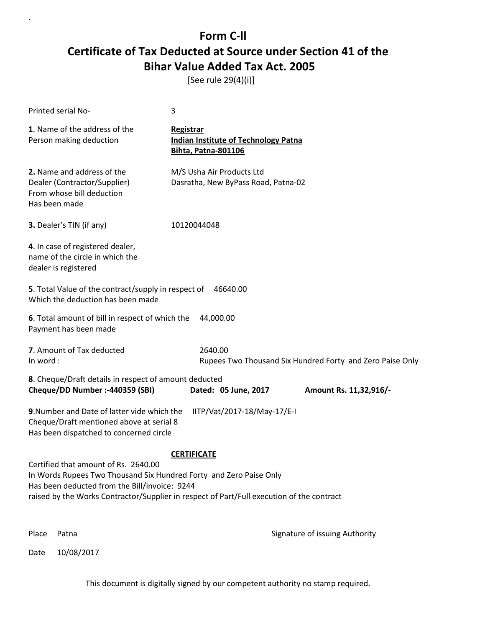[See rule 29(4)(i)]

 $\lambda$ 

| Printed serial No-                                                                                                                                                                                                                                                                                                                     | 3                                                                                      |  |  |
|----------------------------------------------------------------------------------------------------------------------------------------------------------------------------------------------------------------------------------------------------------------------------------------------------------------------------------------|----------------------------------------------------------------------------------------|--|--|
| 1. Name of the address of the<br>Person making deduction                                                                                                                                                                                                                                                                               | Registrar<br><b>Indian Institute of Technology Patna</b><br><b>Bihta, Patna-801106</b> |  |  |
| 2. Name and address of the<br>Dealer (Contractor/Supplier)<br>From whose bill deduction<br>Has been made                                                                                                                                                                                                                               | M/S Usha Air Products Ltd<br>Dasratha, New ByPass Road, Patna-02                       |  |  |
| 3. Dealer's TIN (if any)                                                                                                                                                                                                                                                                                                               | 10120044048                                                                            |  |  |
| 4. In case of registered dealer,<br>name of the circle in which the<br>dealer is registered                                                                                                                                                                                                                                            |                                                                                        |  |  |
| 5. Total Value of the contract/supply in respect of<br>Which the deduction has been made                                                                                                                                                                                                                                               | 46640.00                                                                               |  |  |
| 6. Total amount of bill in respect of which the<br>44,000.00<br>Payment has been made                                                                                                                                                                                                                                                  |                                                                                        |  |  |
| 7. Amount of Tax deducted<br>In word:                                                                                                                                                                                                                                                                                                  | 2640.00<br>Rupees Two Thousand Six Hundred Forty and Zero Paise Only                   |  |  |
| 8. Cheque/Draft details in respect of amount deducted<br>Cheque/DD Number :- 440359 (SBI)<br>Dated: 05 June, 2017<br>Amount Rs. 11,32,916/-                                                                                                                                                                                            |                                                                                        |  |  |
| 9. Number and Date of latter vide which the<br>IITP/Vat/2017-18/May-17/E-I<br>Cheque/Draft mentioned above at serial 8<br>Has been dispatched to concerned circle                                                                                                                                                                      |                                                                                        |  |  |
| <b>CERTIFICATE</b><br>Certified that amount of Rs. 2640.00<br>In Words Rupees Two Thousand Six Hundred Forty and Zero Paise Only<br>Has been deducted from the Bill/invoice: 9244<br>raised by the Works Contractor/Supplier in respect of Part/Full execution of the contract<br>Digitally signed by<br><b>PRADIP</b><br>PRADIP MAITY |                                                                                        |  |  |
| Place<br>Patna                                                                                                                                                                                                                                                                                                                         | Date: 2017.08.25<br><b>MAITY</b><br>14:58:54 +05'30'<br>Signature of issuing Authority |  |  |
| 10/08/2017<br>Date                                                                                                                                                                                                                                                                                                                     |                                                                                        |  |  |
| This document is digitally signed by our competent authority no stamp required.                                                                                                                                                                                                                                                        |                                                                                        |  |  |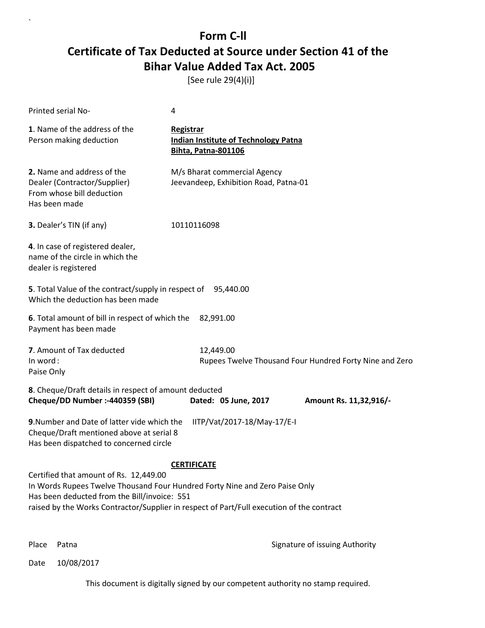[See rule 29(4)(i)]

| Printed serial No-                                                                                                                                                                                                                                                                                                                               | 4                                                                                             |                                                                                         |
|--------------------------------------------------------------------------------------------------------------------------------------------------------------------------------------------------------------------------------------------------------------------------------------------------------------------------------------------------|-----------------------------------------------------------------------------------------------|-----------------------------------------------------------------------------------------|
| 1. Name of the address of the<br>Person making deduction                                                                                                                                                                                                                                                                                         | <b>Registrar</b><br><b>Indian Institute of Technology Patna</b><br><b>Bihta, Patna-801106</b> |                                                                                         |
| 2. Name and address of the<br>Dealer (Contractor/Supplier)<br>From whose bill deduction<br>Has been made                                                                                                                                                                                                                                         | M/s Bharat commercial Agency<br>Jeevandeep, Exhibition Road, Patna-01                         |                                                                                         |
| 3. Dealer's TIN (if any)                                                                                                                                                                                                                                                                                                                         | 10110116098                                                                                   |                                                                                         |
| 4. In case of registered dealer,<br>name of the circle in which the<br>dealer is registered                                                                                                                                                                                                                                                      |                                                                                               |                                                                                         |
| 5. Total Value of the contract/supply in respect of 95,440.00<br>Which the deduction has been made                                                                                                                                                                                                                                               |                                                                                               |                                                                                         |
| 6. Total amount of bill in respect of which the<br>Payment has been made                                                                                                                                                                                                                                                                         | 82,991.00                                                                                     |                                                                                         |
| 7. Amount of Tax deducted<br>In word:<br>Paise Only                                                                                                                                                                                                                                                                                              | 12,449.00                                                                                     | Rupees Twelve Thousand Four Hundred Forty Nine and Zero                                 |
| 8. Cheque/Draft details in respect of amount deducted<br>Cheque/DD Number :- 440359 (SBI)                                                                                                                                                                                                                                                        | Dated: 05 June, 2017                                                                          | Amount Rs. 11,32,916/-                                                                  |
| 9. Number and Date of latter vide which the<br>IITP/Vat/2017-18/May-17/E-I<br>Cheque/Draft mentioned above at serial 8<br>Has been dispatched to concerned circle                                                                                                                                                                                |                                                                                               |                                                                                         |
| <b>CERTIFICATE</b><br>Certified that amount of Rs. 12,449.00<br>In Words Rupees Twelve Thousand Four Hundred Forty Nine and Zero Paise Only<br>Has been deducted from the Bill/invoice: 551<br>raised by the Works Contractor/Supplier in respect of Part/Full execution of the contract<br>Digitally signed by<br><b>PRADIP</b><br>PRADIP MAITY |                                                                                               |                                                                                         |
| Place<br>Patna                                                                                                                                                                                                                                                                                                                                   |                                                                                               | Date: 2017.08.25<br><b>MAITY</b><br>14:59:06 + 05'30'<br>Signature of issuing Authority |

Date 10/08/2017

`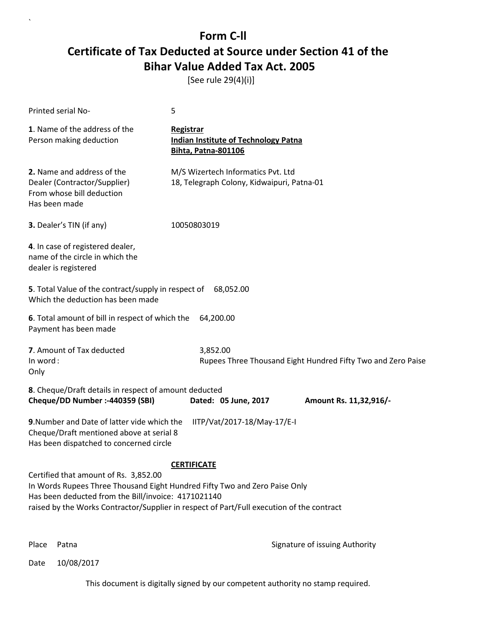[See rule 29(4)(i)]

| Printed serial No-                                                                                                                                                                                                                                                                                                   | 5                                                                                             |  |  |  |
|----------------------------------------------------------------------------------------------------------------------------------------------------------------------------------------------------------------------------------------------------------------------------------------------------------------------|-----------------------------------------------------------------------------------------------|--|--|--|
| 1. Name of the address of the<br>Person making deduction                                                                                                                                                                                                                                                             | <b>Registrar</b><br><b>Indian Institute of Technology Patna</b><br><b>Bihta, Patna-801106</b> |  |  |  |
| 2. Name and address of the<br>Dealer (Contractor/Supplier)<br>From whose bill deduction<br>Has been made                                                                                                                                                                                                             | M/S Wizertech Informatics Pvt. Ltd<br>18, Telegraph Colony, Kidwaipuri, Patna-01              |  |  |  |
| 3. Dealer's TIN (if any)                                                                                                                                                                                                                                                                                             | 10050803019                                                                                   |  |  |  |
| 4. In case of registered dealer,<br>name of the circle in which the<br>dealer is registered                                                                                                                                                                                                                          |                                                                                               |  |  |  |
| 5. Total Value of the contract/supply in respect of<br>68,052.00<br>Which the deduction has been made                                                                                                                                                                                                                |                                                                                               |  |  |  |
| 6. Total amount of bill in respect of which the<br>Payment has been made                                                                                                                                                                                                                                             | 64,200.00                                                                                     |  |  |  |
| 7. Amount of Tax deducted<br>In word:<br>Only                                                                                                                                                                                                                                                                        | 3,852.00<br>Rupees Three Thousand Eight Hundred Fifty Two and Zero Paise                      |  |  |  |
| 8. Cheque/Draft details in respect of amount deducted<br>Cheque/DD Number :- 440359 (SBI)                                                                                                                                                                                                                            | Dated: 05 June, 2017<br>Amount Rs. 11,32,916/-                                                |  |  |  |
| 9. Number and Date of latter vide which the<br>Cheque/Draft mentioned above at serial 8<br>Has been dispatched to concerned circle                                                                                                                                                                                   | IITP/Vat/2017-18/May-17/E-I                                                                   |  |  |  |
| <b>CERTIFICATE</b><br>Certified that amount of Rs. 3,852.00<br>In Words Rupees Three Thousand Eight Hundred Fifty Two and Zero Paise Only<br>Has been deducted from the Bill/invoice: 4171021140<br>raised by the Works Contractor/Supplier in respect of Part/Full execution of the contract<br>Digitally signed by |                                                                                               |  |  |  |
|                                                                                                                                                                                                                                                                                                                      | <b>PRADIP</b><br>PRADIP MAITY<br>Date: 2017.08.25<br><b>MAITY</b><br>14:59:19 + 05'30'        |  |  |  |
| Place<br>Patna                                                                                                                                                                                                                                                                                                       | Signature of issuing Authority                                                                |  |  |  |

Date 10/08/2017

`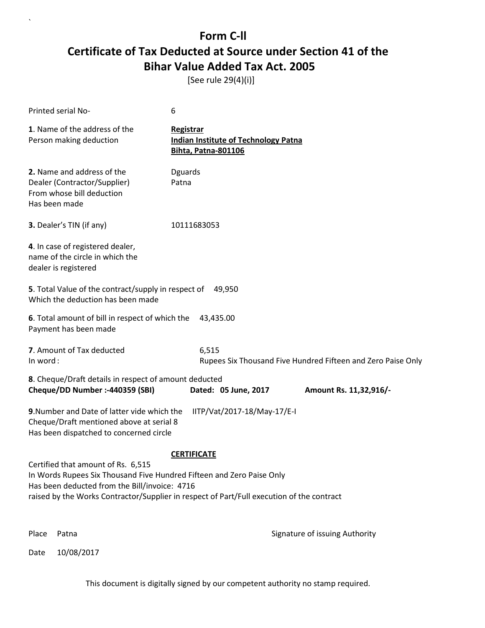[See rule 29(4)(i)]

`

| Printed serial No-                                                                                                                                                                                                                                                                                                                                                                                                                                                        | 6                                                                                             |  |  |
|---------------------------------------------------------------------------------------------------------------------------------------------------------------------------------------------------------------------------------------------------------------------------------------------------------------------------------------------------------------------------------------------------------------------------------------------------------------------------|-----------------------------------------------------------------------------------------------|--|--|
| 1. Name of the address of the<br>Person making deduction                                                                                                                                                                                                                                                                                                                                                                                                                  | <b>Registrar</b><br><b>Indian Institute of Technology Patna</b><br><b>Bihta, Patna-801106</b> |  |  |
| 2. Name and address of the<br>Dealer (Contractor/Supplier)<br>From whose bill deduction<br>Has been made                                                                                                                                                                                                                                                                                                                                                                  | Dguards<br>Patna                                                                              |  |  |
| 3. Dealer's TIN (if any)                                                                                                                                                                                                                                                                                                                                                                                                                                                  | 10111683053                                                                                   |  |  |
| 4. In case of registered dealer,<br>name of the circle in which the<br>dealer is registered                                                                                                                                                                                                                                                                                                                                                                               |                                                                                               |  |  |
| 5. Total Value of the contract/supply in respect of<br>Which the deduction has been made                                                                                                                                                                                                                                                                                                                                                                                  | 49,950                                                                                        |  |  |
| 6. Total amount of bill in respect of which the<br>43,435.00<br>Payment has been made                                                                                                                                                                                                                                                                                                                                                                                     |                                                                                               |  |  |
| 7. Amount of Tax deducted<br>In word:                                                                                                                                                                                                                                                                                                                                                                                                                                     | 6,515<br>Rupees Six Thousand Five Hundred Fifteen and Zero Paise Only                         |  |  |
| 8. Cheque/Draft details in respect of amount deducted<br>Cheque/DD Number :- 440359 (SBI)<br>Dated: 05 June, 2017<br>Amount Rs. 11,32,916/-                                                                                                                                                                                                                                                                                                                               |                                                                                               |  |  |
| 9. Number and Date of latter vide which the<br>IITP/Vat/2017-18/May-17/E-I<br>Cheque/Draft mentioned above at serial 8<br>Has been dispatched to concerned circle                                                                                                                                                                                                                                                                                                         |                                                                                               |  |  |
| <b>CERTIFICATE</b><br>Certified that amount of Rs. 6,515<br>In Words Rupees Six Thousand Five Hundred Fifteen and Zero Paise Only<br>Has been deducted from the Bill/invoice: 4716<br>raised by the Works Contractor/Supplier in respect of Part/Full execution of the contract<br>Digitally signed by<br><b>PRADIP</b><br>PRADIP MAITY<br>Date: 2017.08.25<br><b>MAITY</b><br>14:59:33 +05'30'<br>Place<br>Patna<br>Signature of issuing Authority<br>10/08/2017<br>Date |                                                                                               |  |  |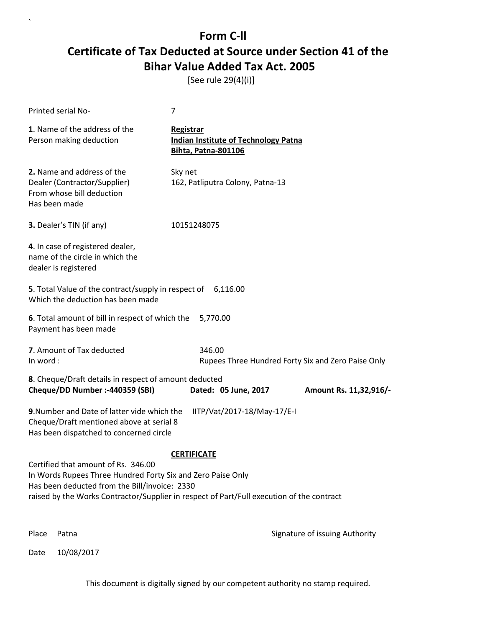[See rule 29(4)(i)]

| Printed serial No-                                                                                                                                                                                                                               | 7                                                                                      |                                |
|--------------------------------------------------------------------------------------------------------------------------------------------------------------------------------------------------------------------------------------------------|----------------------------------------------------------------------------------------|--------------------------------|
| 1. Name of the address of the<br>Person making deduction                                                                                                                                                                                         | Registrar<br><b>Indian Institute of Technology Patna</b><br><b>Bihta, Patna-801106</b> |                                |
| 2. Name and address of the<br>Dealer (Contractor/Supplier)<br>From whose bill deduction<br>Has been made                                                                                                                                         | Sky net<br>162, Patliputra Colony, Patna-13                                            |                                |
| 3. Dealer's TIN (if any)                                                                                                                                                                                                                         | 10151248075                                                                            |                                |
| 4. In case of registered dealer,<br>name of the circle in which the<br>dealer is registered                                                                                                                                                      |                                                                                        |                                |
| 5. Total Value of the contract/supply in respect of 6,116.00<br>Which the deduction has been made                                                                                                                                                |                                                                                        |                                |
| 6. Total amount of bill in respect of which the 5,770.00<br>Payment has been made                                                                                                                                                                |                                                                                        |                                |
| 7. Amount of Tax deducted<br>In word:                                                                                                                                                                                                            | 346.00<br>Rupees Three Hundred Forty Six and Zero Paise Only                           |                                |
| 8. Cheque/Draft details in respect of amount deducted<br>Cheque/DD Number :- 440359 (SBI)                                                                                                                                                        | Dated: 05 June, 2017                                                                   | Amount Rs. 11,32,916/-         |
| 9. Number and Date of latter vide which the<br>Cheque/Draft mentioned above at serial 8<br>Has been dispatched to concerned circle                                                                                                               | IITP/Vat/2017-18/May-17/E-I                                                            |                                |
|                                                                                                                                                                                                                                                  | <b>CERTIFICATE</b>                                                                     |                                |
| Certified that amount of Rs. 346.00<br>In Words Rupees Three Hundred Forty Six and Zero Paise Only<br>Has been deducted from the Bill/invoice: 2330<br>raised by the Works Contractor/Supplier in respect of Part/Full execution of the contract |                                                                                        |                                |
| Place<br>Patna                                                                                                                                                                                                                                   |                                                                                        | Signature of issuing Authority |

Date 10/08/2017

`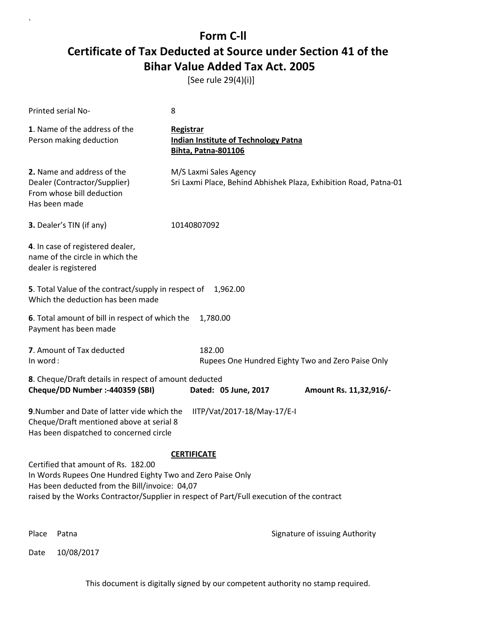[See rule 29(4)(i)]

| Printed serial No-                                                                                                                                                                                                                                                     | 8                                                                                             |                                                                   |
|------------------------------------------------------------------------------------------------------------------------------------------------------------------------------------------------------------------------------------------------------------------------|-----------------------------------------------------------------------------------------------|-------------------------------------------------------------------|
| 1. Name of the address of the<br>Person making deduction                                                                                                                                                                                                               | <b>Registrar</b><br><b>Indian Institute of Technology Patna</b><br><b>Bihta, Patna-801106</b> |                                                                   |
| 2. Name and address of the<br>Dealer (Contractor/Supplier)<br>From whose bill deduction<br>Has been made                                                                                                                                                               | M/S Laxmi Sales Agency                                                                        | Sri Laxmi Place, Behind Abhishek Plaza, Exhibition Road, Patna-01 |
| 3. Dealer's TIN (if any)                                                                                                                                                                                                                                               | 10140807092                                                                                   |                                                                   |
| 4. In case of registered dealer,<br>name of the circle in which the<br>dealer is registered                                                                                                                                                                            |                                                                                               |                                                                   |
| 5. Total Value of the contract/supply in respect of 1,962.00<br>Which the deduction has been made                                                                                                                                                                      |                                                                                               |                                                                   |
| 6. Total amount of bill in respect of which the<br>Payment has been made                                                                                                                                                                                               | 1,780.00                                                                                      |                                                                   |
| 7. Amount of Tax deducted<br>In word:                                                                                                                                                                                                                                  | 182.00                                                                                        | Rupees One Hundred Eighty Two and Zero Paise Only                 |
| 8. Cheque/Draft details in respect of amount deducted<br>Cheque/DD Number :- 440359 (SBI)                                                                                                                                                                              | Dated: 05 June, 2017                                                                          | Amount Rs. 11,32,916/-                                            |
| 9. Number and Date of latter vide which the<br>IITP/Vat/2017-18/May-17/E-I<br>Cheque/Draft mentioned above at serial 8<br>Has been dispatched to concerned circle                                                                                                      |                                                                                               |                                                                   |
| <b>CERTIFICATE</b><br>Certified that amount of Rs. 182.00<br>In Words Rupees One Hundred Eighty Two and Zero Paise Only<br>Has been deducted from the Bill/invoice: 04,07<br>raised by the Works Contractor/Supplier in respect of Part/Full execution of the contract |                                                                                               |                                                                   |
| Place<br>Patna                                                                                                                                                                                                                                                         |                                                                                               | Signature of issuing Authority                                    |

Date 10/08/2017

`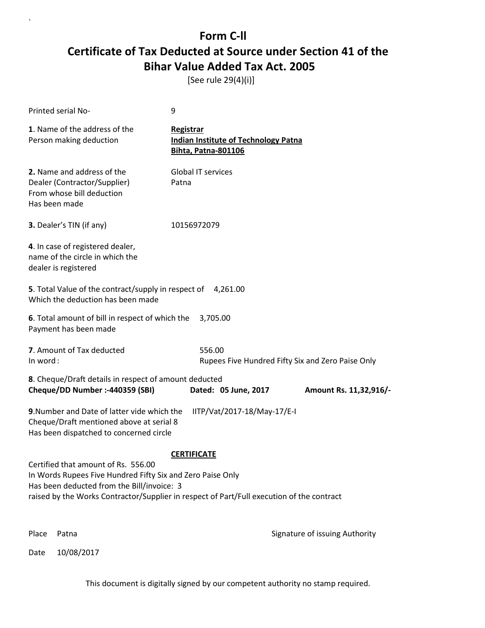[See rule 29(4)(i)]

| Printed serial No-                                                                                                                                                                                                                           | 9                                                                                      |                                |
|----------------------------------------------------------------------------------------------------------------------------------------------------------------------------------------------------------------------------------------------|----------------------------------------------------------------------------------------|--------------------------------|
| 1. Name of the address of the<br>Person making deduction                                                                                                                                                                                     | Registrar<br><b>Indian Institute of Technology Patna</b><br><b>Bihta, Patna-801106</b> |                                |
| 2. Name and address of the<br>Dealer (Contractor/Supplier)<br>From whose bill deduction<br>Has been made                                                                                                                                     | <b>Global IT services</b><br>Patna                                                     |                                |
| 3. Dealer's TIN (if any)                                                                                                                                                                                                                     | 10156972079                                                                            |                                |
| 4. In case of registered dealer,<br>name of the circle in which the<br>dealer is registered                                                                                                                                                  |                                                                                        |                                |
| 5. Total Value of the contract/supply in respect of 4,261.00<br>Which the deduction has been made                                                                                                                                            |                                                                                        |                                |
| 6. Total amount of bill in respect of which the 3,705.00<br>Payment has been made                                                                                                                                                            |                                                                                        |                                |
| 7. Amount of Tax deducted<br>In word:                                                                                                                                                                                                        | 556.00<br>Rupees Five Hundred Fifty Six and Zero Paise Only                            |                                |
| 8. Cheque/Draft details in respect of amount deducted<br>Cheque/DD Number :- 440359 (SBI)                                                                                                                                                    | Dated: 05 June, 2017                                                                   | Amount Rs. 11,32,916/-         |
| 9. Number and Date of latter vide which the<br>Cheque/Draft mentioned above at serial 8<br>Has been dispatched to concerned circle                                                                                                           | IITP/Vat/2017-18/May-17/E-I                                                            |                                |
|                                                                                                                                                                                                                                              | <b>CERTIFICATE</b>                                                                     |                                |
| Certified that amount of Rs. 556.00<br>In Words Rupees Five Hundred Fifty Six and Zero Paise Only<br>Has been deducted from the Bill/invoice: 3<br>raised by the Works Contractor/Supplier in respect of Part/Full execution of the contract |                                                                                        |                                |
| Place<br>Patna                                                                                                                                                                                                                               |                                                                                        | Signature of issuing Authority |

Date 10/08/2017

`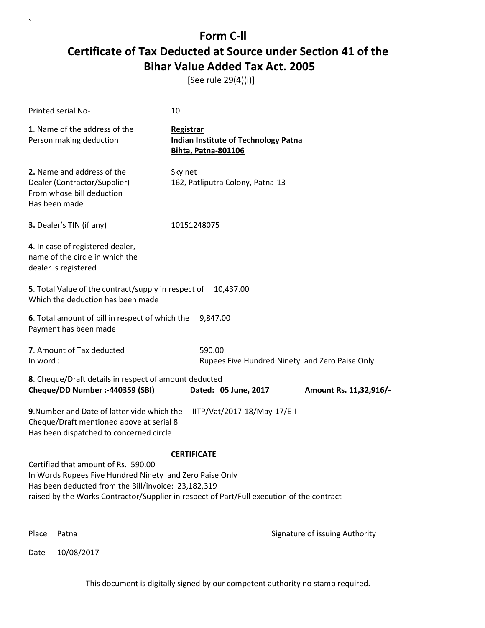[See rule 29(4)(i)]

`

|                                                                                                                                                                                                                                                                          | Printed serial No-                                                                                                                 | 10                                                                                     |                                |
|--------------------------------------------------------------------------------------------------------------------------------------------------------------------------------------------------------------------------------------------------------------------------|------------------------------------------------------------------------------------------------------------------------------------|----------------------------------------------------------------------------------------|--------------------------------|
|                                                                                                                                                                                                                                                                          | 1. Name of the address of the<br>Person making deduction                                                                           | Registrar<br><b>Indian Institute of Technology Patna</b><br><b>Bihta, Patna-801106</b> |                                |
|                                                                                                                                                                                                                                                                          | 2. Name and address of the<br>Dealer (Contractor/Supplier)<br>From whose bill deduction<br>Has been made                           | Sky net<br>162, Patliputra Colony, Patna-13                                            |                                |
|                                                                                                                                                                                                                                                                          | 3. Dealer's TIN (if any)                                                                                                           | 10151248075                                                                            |                                |
|                                                                                                                                                                                                                                                                          | 4. In case of registered dealer,<br>name of the circle in which the<br>dealer is registered                                        |                                                                                        |                                |
|                                                                                                                                                                                                                                                                          | 5. Total Value of the contract/supply in respect of<br>Which the deduction has been made                                           | 10,437.00                                                                              |                                |
|                                                                                                                                                                                                                                                                          | 6. Total amount of bill in respect of which the<br>Payment has been made                                                           | 9,847.00                                                                               |                                |
| In word:                                                                                                                                                                                                                                                                 | 7. Amount of Tax deducted                                                                                                          | 590.00<br>Rupees Five Hundred Ninety and Zero Paise Only                               |                                |
|                                                                                                                                                                                                                                                                          | 8. Cheque/Draft details in respect of amount deducted<br>Cheque/DD Number :- 440359 (SBI)                                          | Dated: 05 June, 2017                                                                   | Amount Rs. 11,32,916/-         |
|                                                                                                                                                                                                                                                                          | 9. Number and Date of latter vide which the<br>Cheque/Draft mentioned above at serial 8<br>Has been dispatched to concerned circle | IITP/Vat/2017-18/May-17/E-I                                                            |                                |
| <b>CERTIFICATE</b><br>Certified that amount of Rs. 590.00<br>In Words Rupees Five Hundred Ninety and Zero Paise Only<br>Has been deducted from the Bill/invoice: 23,182,319<br>raised by the Works Contractor/Supplier in respect of Part/Full execution of the contract |                                                                                                                                    |                                                                                        |                                |
| Place                                                                                                                                                                                                                                                                    | Patna                                                                                                                              |                                                                                        | Signature of issuing Authority |
| Date                                                                                                                                                                                                                                                                     | 10/08/2017                                                                                                                         |                                                                                        |                                |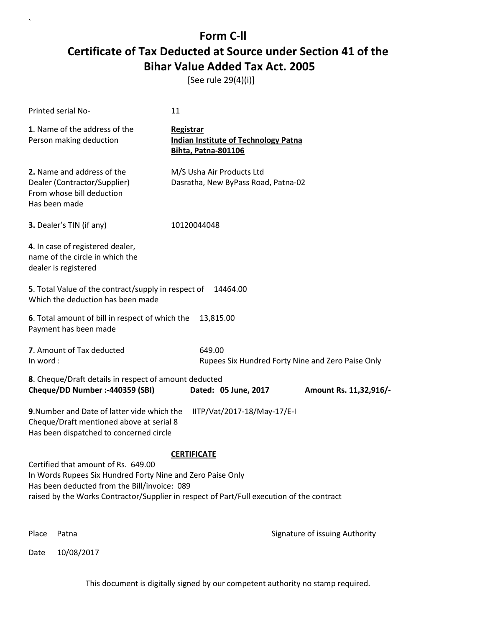[See rule 29(4)(i)]

| Printed serial No-                                                                                                                                                                                                                             | 11                                                                                            |                                                   |
|------------------------------------------------------------------------------------------------------------------------------------------------------------------------------------------------------------------------------------------------|-----------------------------------------------------------------------------------------------|---------------------------------------------------|
| 1. Name of the address of the<br>Person making deduction                                                                                                                                                                                       | <b>Registrar</b><br><b>Indian Institute of Technology Patna</b><br><b>Bihta, Patna-801106</b> |                                                   |
| 2. Name and address of the<br>Dealer (Contractor/Supplier)<br>From whose bill deduction<br>Has been made                                                                                                                                       | M/S Usha Air Products Ltd<br>Dasratha, New ByPass Road, Patna-02                              |                                                   |
| 3. Dealer's TIN (if any)                                                                                                                                                                                                                       | 10120044048                                                                                   |                                                   |
| 4. In case of registered dealer,<br>name of the circle in which the<br>dealer is registered                                                                                                                                                    |                                                                                               |                                                   |
| 5. Total Value of the contract/supply in respect of<br>Which the deduction has been made                                                                                                                                                       | 14464.00                                                                                      |                                                   |
| 6. Total amount of bill in respect of which the<br>Payment has been made                                                                                                                                                                       | 13,815.00                                                                                     |                                                   |
| 7. Amount of Tax deducted<br>In word:                                                                                                                                                                                                          | 649.00                                                                                        | Rupees Six Hundred Forty Nine and Zero Paise Only |
| 8. Cheque/Draft details in respect of amount deducted<br>Cheque/DD Number :- 440359 (SBI)                                                                                                                                                      | Dated: 05 June, 2017                                                                          | Amount Rs. 11,32,916/-                            |
| 9. Number and Date of latter vide which the<br>Cheque/Draft mentioned above at serial 8<br>Has been dispatched to concerned circle                                                                                                             | IITP/Vat/2017-18/May-17/E-I                                                                   |                                                   |
|                                                                                                                                                                                                                                                | <b>CERTIFICATE</b>                                                                            |                                                   |
| Certified that amount of Rs. 649.00<br>In Words Rupees Six Hundred Forty Nine and Zero Paise Only<br>Has been deducted from the Bill/invoice: 089<br>raised by the Works Contractor/Supplier in respect of Part/Full execution of the contract |                                                                                               |                                                   |
| Place<br>Patna                                                                                                                                                                                                                                 |                                                                                               | Signature of issuing Authority                    |

Date 10/08/2017

`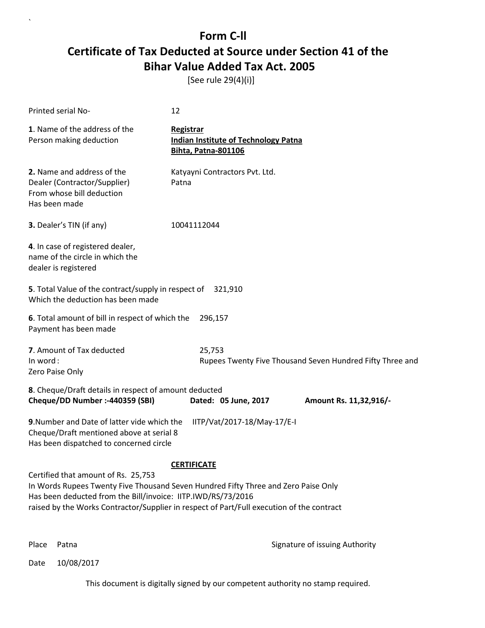[See rule 29(4)(i)]

| <b>Printed serial No-</b>                                                                                                                                                                                                                                                                                    | 12                                                                                            |  |
|--------------------------------------------------------------------------------------------------------------------------------------------------------------------------------------------------------------------------------------------------------------------------------------------------------------|-----------------------------------------------------------------------------------------------|--|
| 1. Name of the address of the<br>Person making deduction                                                                                                                                                                                                                                                     | <b>Registrar</b><br><b>Indian Institute of Technology Patna</b><br><b>Bihta, Patna-801106</b> |  |
| 2. Name and address of the<br>Dealer (Contractor/Supplier)<br>From whose bill deduction<br>Has been made                                                                                                                                                                                                     | Katyayni Contractors Pvt. Ltd.<br>Patna                                                       |  |
| 3. Dealer's TIN (if any)                                                                                                                                                                                                                                                                                     | 10041112044                                                                                   |  |
| 4. In case of registered dealer,<br>name of the circle in which the<br>dealer is registered                                                                                                                                                                                                                  |                                                                                               |  |
| 5. Total Value of the contract/supply in respect of<br>Which the deduction has been made                                                                                                                                                                                                                     | 321,910                                                                                       |  |
| 6. Total amount of bill in respect of which the<br>Payment has been made                                                                                                                                                                                                                                     | 296,157                                                                                       |  |
| 7. Amount of Tax deducted<br>In word:<br>Zero Paise Only                                                                                                                                                                                                                                                     | 25,753<br>Rupees Twenty Five Thousand Seven Hundred Fifty Three and                           |  |
| 8. Cheque/Draft details in respect of amount deducted<br>Cheque/DD Number :- 440359 (SBI)                                                                                                                                                                                                                    | Dated: 05 June, 2017<br>Amount Rs. 11,32,916/-                                                |  |
| 9. Number and Date of latter vide which the<br>Cheque/Draft mentioned above at serial 8<br>Has been dispatched to concerned circle                                                                                                                                                                           | IITP/Vat/2017-18/May-17/E-I                                                                   |  |
| <b>CERTIFICATE</b><br>Certified that amount of Rs. 25,753<br>In Words Rupees Twenty Five Thousand Seven Hundred Fifty Three and Zero Paise Only<br>Has been deducted from the Bill/invoice: IITP.IWD/RS/73/2016<br>raised by the Works Contractor/Supplier in respect of Part/Full execution of the contract |                                                                                               |  |

`

Place Patna **Property** Place Patna Signature of issuing Authority

Date 10/08/2017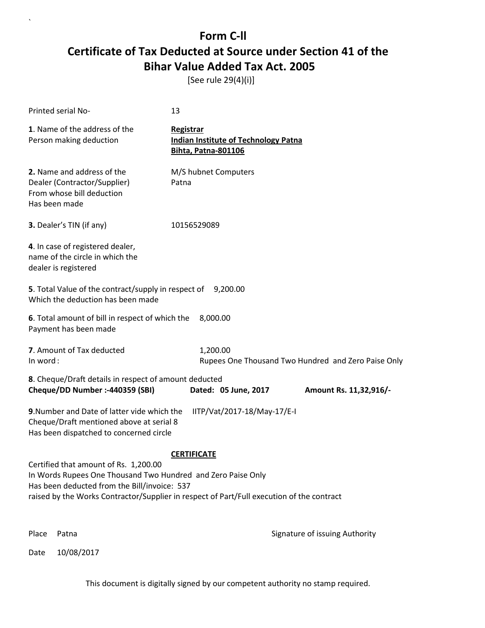[See rule 29(4)(i)]

| Printed serial No-                                                                                                                                                                                                                                 | 13                                                                                     |                                                     |
|----------------------------------------------------------------------------------------------------------------------------------------------------------------------------------------------------------------------------------------------------|----------------------------------------------------------------------------------------|-----------------------------------------------------|
| 1. Name of the address of the<br>Person making deduction                                                                                                                                                                                           | Registrar<br><b>Indian Institute of Technology Patna</b><br><b>Bihta, Patna-801106</b> |                                                     |
| 2. Name and address of the<br>Dealer (Contractor/Supplier)<br>From whose bill deduction<br>Has been made                                                                                                                                           | M/S hubnet Computers<br>Patna                                                          |                                                     |
| 3. Dealer's TIN (if any)                                                                                                                                                                                                                           | 10156529089                                                                            |                                                     |
| 4. In case of registered dealer,<br>name of the circle in which the<br>dealer is registered                                                                                                                                                        |                                                                                        |                                                     |
| 5. Total Value of the contract/supply in respect of<br>Which the deduction has been made                                                                                                                                                           | 9,200.00                                                                               |                                                     |
| 6. Total amount of bill in respect of which the<br>Payment has been made                                                                                                                                                                           | 8,000.00                                                                               |                                                     |
| 7. Amount of Tax deducted<br>In word:                                                                                                                                                                                                              | 1,200.00                                                                               | Rupees One Thousand Two Hundred and Zero Paise Only |
| 8. Cheque/Draft details in respect of amount deducted<br>Cheque/DD Number :- 440359 (SBI)                                                                                                                                                          | Dated: 05 June, 2017                                                                   | Amount Rs. 11,32,916/-                              |
| 9. Number and Date of latter vide which the<br>Cheque/Draft mentioned above at serial 8<br>Has been dispatched to concerned circle                                                                                                                 | IITP/Vat/2017-18/May-17/E-I                                                            |                                                     |
|                                                                                                                                                                                                                                                    | <b>CERTIFICATE</b>                                                                     |                                                     |
| Certified that amount of Rs. 1,200.00<br>In Words Rupees One Thousand Two Hundred and Zero Paise Only<br>Has been deducted from the Bill/invoice: 537<br>raised by the Works Contractor/Supplier in respect of Part/Full execution of the contract |                                                                                        |                                                     |
| Place<br>Patna                                                                                                                                                                                                                                     |                                                                                        | Signature of issuing Authority                      |

Date 10/08/2017

`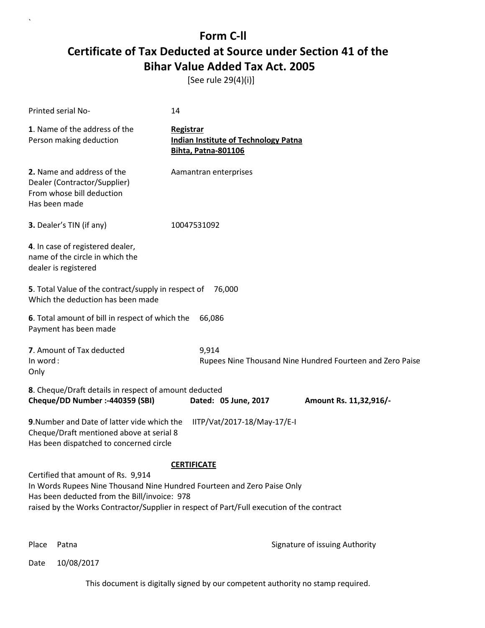[See rule 29(4)(i)]

| Printed serial No-                                                                                                                                                                                                                                         | 14                                                                                            |                                                           |
|------------------------------------------------------------------------------------------------------------------------------------------------------------------------------------------------------------------------------------------------------------|-----------------------------------------------------------------------------------------------|-----------------------------------------------------------|
| 1. Name of the address of the<br>Person making deduction                                                                                                                                                                                                   | <b>Registrar</b><br><b>Indian Institute of Technology Patna</b><br><b>Bihta, Patna-801106</b> |                                                           |
| 2. Name and address of the<br>Dealer (Contractor/Supplier)<br>From whose bill deduction<br>Has been made                                                                                                                                                   | Aamantran enterprises                                                                         |                                                           |
| 3. Dealer's TIN (if any)                                                                                                                                                                                                                                   | 10047531092                                                                                   |                                                           |
| 4. In case of registered dealer,<br>name of the circle in which the<br>dealer is registered                                                                                                                                                                |                                                                                               |                                                           |
| 5. Total Value of the contract/supply in respect of<br>Which the deduction has been made                                                                                                                                                                   | 76,000                                                                                        |                                                           |
| 6. Total amount of bill in respect of which the<br>Payment has been made                                                                                                                                                                                   | 66,086                                                                                        |                                                           |
| 7. Amount of Tax deducted<br>In word:<br>Only                                                                                                                                                                                                              | 9,914                                                                                         | Rupees Nine Thousand Nine Hundred Fourteen and Zero Paise |
| 8. Cheque/Draft details in respect of amount deducted<br>Cheque/DD Number :- 440359 (SBI)                                                                                                                                                                  | Dated: 05 June, 2017                                                                          | Amount Rs. 11,32,916/-                                    |
| 9. Number and Date of latter vide which the<br>Cheque/Draft mentioned above at serial 8<br>Has been dispatched to concerned circle                                                                                                                         | IITP/Vat/2017-18/May-17/E-I                                                                   |                                                           |
| Certified that amount of Rs. 9,914<br>In Words Rupees Nine Thousand Nine Hundred Fourteen and Zero Paise Only<br>Has been deducted from the Bill/invoice: 978<br>raised by the Works Contractor/Supplier in respect of Part/Full execution of the contract | <b>CERTIFICATE</b>                                                                            |                                                           |

`

Place Patna **Property** Place Patna Signature of issuing Authority

Date 10/08/2017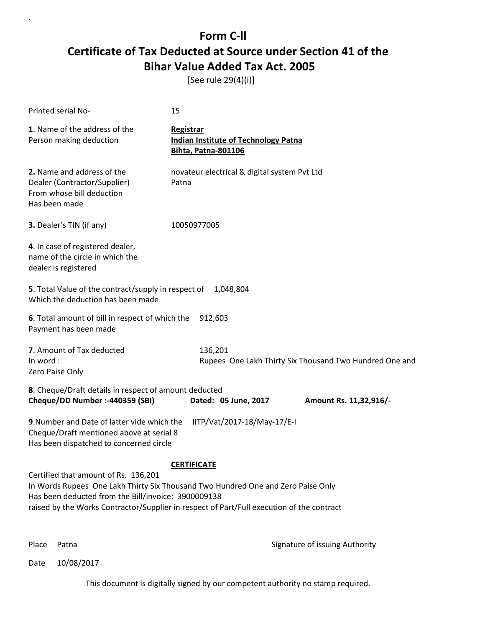[See rule 29(4)(i)]

| Printed serial No-                                                                                                                                                                                                                                                           | 15                                                                                     |                                                         |
|------------------------------------------------------------------------------------------------------------------------------------------------------------------------------------------------------------------------------------------------------------------------------|----------------------------------------------------------------------------------------|---------------------------------------------------------|
| 1. Name of the address of the<br>Person making deduction                                                                                                                                                                                                                     | Registrar<br><b>Indian Institute of Technology Patna</b><br><b>Bihta, Patna-801106</b> |                                                         |
| 2. Name and address of the<br>Dealer (Contractor/Supplier)<br>From whose bill deduction<br>Has been made                                                                                                                                                                     | novateur electrical & digital system Pvt Ltd<br>Patna                                  |                                                         |
| 3. Dealer's TIN (if any)                                                                                                                                                                                                                                                     | 10050977005                                                                            |                                                         |
| 4. In case of registered dealer,<br>name of the circle in which the<br>dealer is registered                                                                                                                                                                                  |                                                                                        |                                                         |
| 5. Total Value of the contract/supply in respect of<br>Which the deduction has been made                                                                                                                                                                                     | 1,048,804                                                                              |                                                         |
| 6. Total amount of bill in respect of which the<br>Payment has been made                                                                                                                                                                                                     | 912,603                                                                                |                                                         |
| 7. Amount of Tax deducted<br>In word:<br>Zero Paise Only                                                                                                                                                                                                                     | 136,201                                                                                | Rupees One Lakh Thirty Six Thousand Two Hundred One and |
| 8. Cheque/Draft details in respect of amount deducted<br>Cheque/DD Number :- 440359 (SBI)                                                                                                                                                                                    | Dated: 05 June, 2017                                                                   | Amount Rs. 11,32,916/-                                  |
| 9. Number and Date of latter vide which the<br>Cheque/Draft mentioned above at serial 8<br>Has been dispatched to concerned circle                                                                                                                                           | IITP/Vat/2017-18/May-17/E-I                                                            |                                                         |
|                                                                                                                                                                                                                                                                              | <b>CERTIFICATE</b>                                                                     |                                                         |
| Certified that amount of Rs. 136,201<br>In Words Rupees One Lakh Thirty Six Thousand Two Hundred One and Zero Paise Only<br>Has been deducted from the Bill/invoice: 3900009138<br>raised by the Works Contractor/Supplier in respect of Part/Full execution of the contract |                                                                                        |                                                         |
|                                                                                                                                                                                                                                                                              |                                                                                        |                                                         |

`

Place Patna **Property** Place Patna Signature of issuing Authority

Date 10/08/2017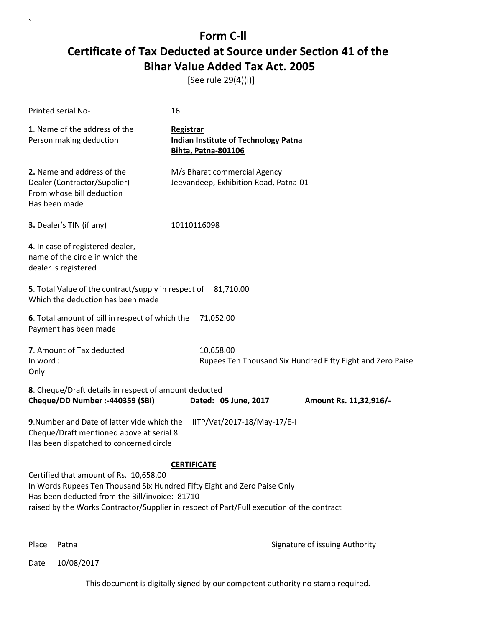[See rule 29(4)(i)]

| Printed serial No-                                                                                                                                                                                                                                                | 16                                                                                            |                                                            |
|-------------------------------------------------------------------------------------------------------------------------------------------------------------------------------------------------------------------------------------------------------------------|-----------------------------------------------------------------------------------------------|------------------------------------------------------------|
| 1. Name of the address of the<br>Person making deduction                                                                                                                                                                                                          | <b>Registrar</b><br><b>Indian Institute of Technology Patna</b><br><b>Bihta, Patna-801106</b> |                                                            |
| 2. Name and address of the<br>Dealer (Contractor/Supplier)<br>From whose bill deduction<br>Has been made                                                                                                                                                          | M/s Bharat commercial Agency<br>Jeevandeep, Exhibition Road, Patna-01                         |                                                            |
| 3. Dealer's TIN (if any)                                                                                                                                                                                                                                          | 10110116098                                                                                   |                                                            |
| 4. In case of registered dealer,<br>name of the circle in which the<br>dealer is registered                                                                                                                                                                       |                                                                                               |                                                            |
| 5. Total Value of the contract/supply in respect of 81,710.00<br>Which the deduction has been made                                                                                                                                                                |                                                                                               |                                                            |
| 6. Total amount of bill in respect of which the<br>Payment has been made                                                                                                                                                                                          | 71,052.00                                                                                     |                                                            |
| 7. Amount of Tax deducted<br>In word:<br>Only                                                                                                                                                                                                                     | 10,658.00                                                                                     | Rupees Ten Thousand Six Hundred Fifty Eight and Zero Paise |
| 8. Cheque/Draft details in respect of amount deducted<br>Cheque/DD Number :- 440359 (SBI)                                                                                                                                                                         | Dated: 05 June, 2017                                                                          | Amount Rs. 11,32,916/-                                     |
| 9. Number and Date of latter vide which the<br>Cheque/Draft mentioned above at serial 8<br>Has been dispatched to concerned circle                                                                                                                                | IITP/Vat/2017-18/May-17/E-I                                                                   |                                                            |
| Certified that amount of Rs. 10,658.00<br>In Words Rupees Ten Thousand Six Hundred Fifty Eight and Zero Paise Only<br>Has been deducted from the Bill/invoice: 81710<br>raised by the Works Contractor/Supplier in respect of Part/Full execution of the contract | <b>CERTIFICATE</b>                                                                            |                                                            |

`

Place Patna **Property** Place Patna Signature of issuing Authority

Date 10/08/2017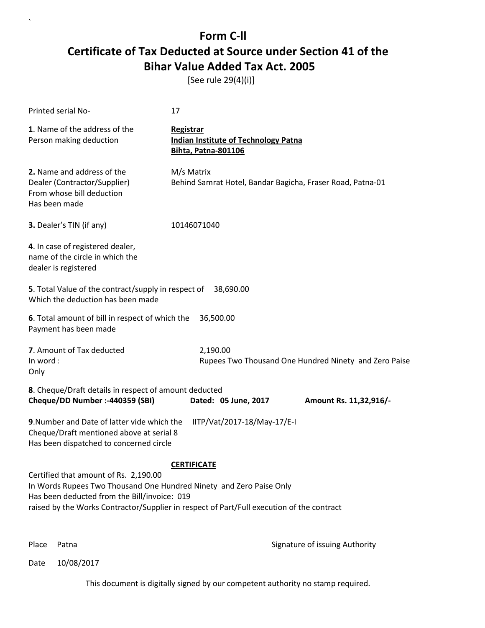[See rule 29(4)(i)]

| Printed serial No-                                                                                                                                           | 17                                                                                                              |
|--------------------------------------------------------------------------------------------------------------------------------------------------------------|-----------------------------------------------------------------------------------------------------------------|
| 1. Name of the address of the<br>Person making deduction                                                                                                     | Registrar<br><b>Indian Institute of Technology Patna</b><br><b>Bihta, Patna-801106</b>                          |
| 2. Name and address of the<br>Dealer (Contractor/Supplier)<br>From whose bill deduction<br>Has been made                                                     | M/s Matrix<br>Behind Samrat Hotel, Bandar Bagicha, Fraser Road, Patna-01                                        |
| 3. Dealer's TIN (if any)                                                                                                                                     | 10146071040                                                                                                     |
| 4. In case of registered dealer,<br>name of the circle in which the<br>dealer is registered                                                                  |                                                                                                                 |
| 5. Total Value of the contract/supply in respect of<br>Which the deduction has been made                                                                     | 38,690.00                                                                                                       |
| 6. Total amount of bill in respect of which the<br>Payment has been made                                                                                     | 36,500.00                                                                                                       |
| 7. Amount of Tax deducted<br>In word:<br>Only                                                                                                                | 2,190.00<br>Rupees Two Thousand One Hundred Ninety and Zero Paise                                               |
| 8. Cheque/Draft details in respect of amount deducted<br>Cheque/DD Number :- 440359 (SBI)                                                                    | Dated: 05 June, 2017<br>Amount Rs. 11,32,916/-                                                                  |
| 9. Number and Date of latter vide which the<br>Cheque/Draft mentioned above at serial 8<br>Has been dispatched to concerned circle                           | IITP/Vat/2017-18/May-17/E-I                                                                                     |
| Certified that amount of Rs. 2,190.00<br>In Words Rupees Two Thousand One Hundred Ninety and Zero Paise Only<br>Has been deducted from the Bill/invoice: 019 | <b>CERTIFICATE</b><br>raised by the Works Contractor/Supplier in respect of Part/Full execution of the contract |

`

Place Patna **Property** Place Patna Signature of issuing Authority

Date 10/08/2017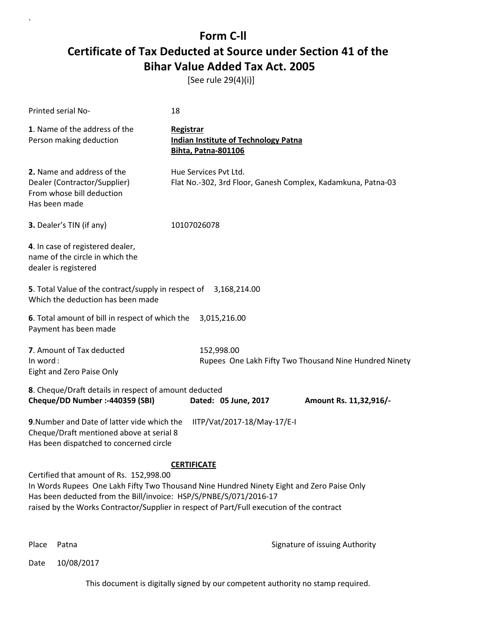[See rule 29(4)(i)]

| Printed serial No-                                                                                                                 | 18                                                                                                                                                                                                           |
|------------------------------------------------------------------------------------------------------------------------------------|--------------------------------------------------------------------------------------------------------------------------------------------------------------------------------------------------------------|
| 1. Name of the address of the<br>Person making deduction                                                                           | Registrar<br><b>Indian Institute of Technology Patna</b><br><b>Bihta, Patna-801106</b>                                                                                                                       |
| 2. Name and address of the<br>Dealer (Contractor/Supplier)<br>From whose bill deduction<br>Has been made                           | Hue Services Pvt Ltd.<br>Flat No.-302, 3rd Floor, Ganesh Complex, Kadamkuna, Patna-03                                                                                                                        |
| 3. Dealer's TIN (if any)                                                                                                           | 10107026078                                                                                                                                                                                                  |
| 4. In case of registered dealer,<br>name of the circle in which the<br>dealer is registered                                        |                                                                                                                                                                                                              |
| 5. Total Value of the contract/supply in respect of 3,168,214.00<br>Which the deduction has been made                              |                                                                                                                                                                                                              |
| 6. Total amount of bill in respect of which the<br>Payment has been made                                                           | 3,015,216.00                                                                                                                                                                                                 |
| 7. Amount of Tax deducted<br>In word:<br>Eight and Zero Paise Only                                                                 | 152,998.00<br>Rupees One Lakh Fifty Two Thousand Nine Hundred Ninety                                                                                                                                         |
| 8. Cheque/Draft details in respect of amount deducted<br>Cheque/DD Number :- 440359 (SBI)                                          | Dated: 05 June, 2017<br>Amount Rs. 11,32,916/-                                                                                                                                                               |
| 9. Number and Date of latter vide which the<br>Cheque/Draft mentioned above at serial 8<br>Has been dispatched to concerned circle | IITP/Vat/2017-18/May-17/E-I                                                                                                                                                                                  |
| Certified that amount of Rs. 152,998.00<br>Has been deducted from the Bill/invoice: HSP/S/PNBE/S/071/2016-17                       | <b>CERTIFICATE</b><br>In Words Rupees One Lakh Fifty Two Thousand Nine Hundred Ninety Eight and Zero Paise Only<br>raised by the Works Contractor/Supplier in respect of Part/Full execution of the contract |

`

Place Patna **Property** Place Patna Signature of issuing Authority

Date 10/08/2017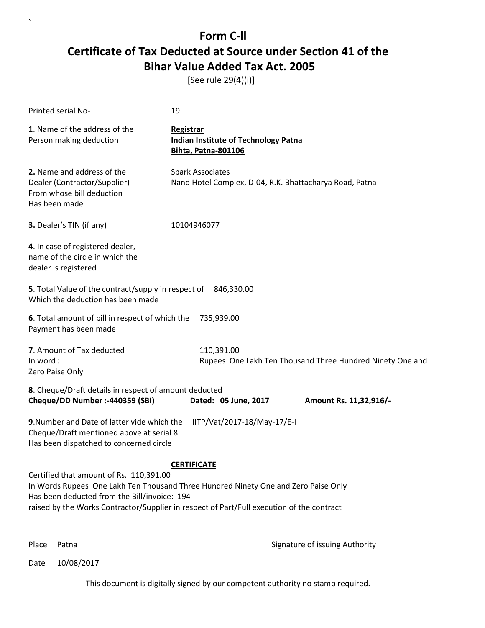[See rule 29(4)(i)]

| Printed serial No-                                                                                                                 | 19                                                                                                                                                                                                    |
|------------------------------------------------------------------------------------------------------------------------------------|-------------------------------------------------------------------------------------------------------------------------------------------------------------------------------------------------------|
| 1. Name of the address of the<br>Person making deduction                                                                           | Registrar<br><b>Indian Institute of Technology Patna</b><br><b>Bihta, Patna-801106</b>                                                                                                                |
| 2. Name and address of the<br>Dealer (Contractor/Supplier)<br>From whose bill deduction<br>Has been made                           | <b>Spark Associates</b><br>Nand Hotel Complex, D-04, R.K. Bhattacharya Road, Patna                                                                                                                    |
| 3. Dealer's TIN (if any)                                                                                                           | 10104946077                                                                                                                                                                                           |
| 4. In case of registered dealer,<br>name of the circle in which the<br>dealer is registered                                        |                                                                                                                                                                                                       |
| 5. Total Value of the contract/supply in respect of 846,330.00<br>Which the deduction has been made                                |                                                                                                                                                                                                       |
| 6. Total amount of bill in respect of which the<br>Payment has been made                                                           | 735,939.00                                                                                                                                                                                            |
| 7. Amount of Tax deducted<br>In word:<br>Zero Paise Only                                                                           | 110,391.00<br>Rupees One Lakh Ten Thousand Three Hundred Ninety One and                                                                                                                               |
| 8. Cheque/Draft details in respect of amount deducted<br>Cheque/DD Number :- 440359 (SBI)                                          | Dated: 05 June, 2017<br>Amount Rs. 11,32,916/-                                                                                                                                                        |
| 9. Number and Date of latter vide which the<br>Cheque/Draft mentioned above at serial 8<br>Has been dispatched to concerned circle | IITP/Vat/2017-18/May-17/E-I                                                                                                                                                                           |
| Certified that amount of Rs. 110,391.00<br>Has been deducted from the Bill/invoice: 194                                            | <b>CERTIFICATE</b><br>In Words Rupees One Lakh Ten Thousand Three Hundred Ninety One and Zero Paise Only<br>raised by the Works Contractor/Supplier in respect of Part/Full execution of the contract |

`

Place Patna **Property** Place Patna Signature of issuing Authority

Date 10/08/2017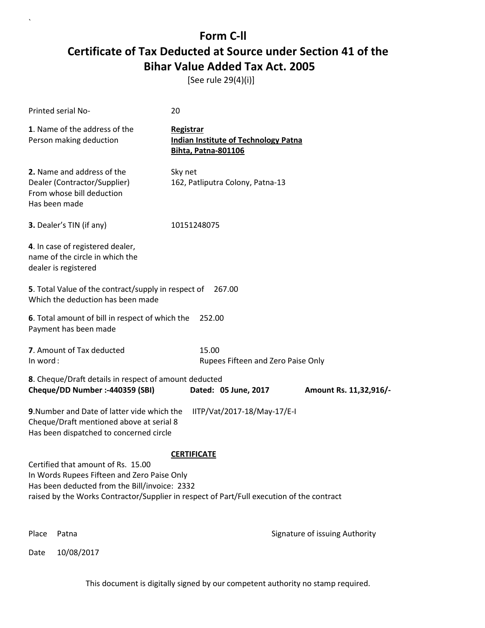[See rule 29(4)(i)]

| <b>Printed serial No-</b>                                                                                                          | 20                                                                                     |                                |
|------------------------------------------------------------------------------------------------------------------------------------|----------------------------------------------------------------------------------------|--------------------------------|
| 1. Name of the address of the<br>Person making deduction                                                                           | Registrar<br><b>Indian Institute of Technology Patna</b><br><b>Bihta, Patna-801106</b> |                                |
| 2. Name and address of the<br>Dealer (Contractor/Supplier)<br>From whose bill deduction<br>Has been made                           | Sky net<br>162, Patliputra Colony, Patna-13                                            |                                |
| 3. Dealer's TIN (if any)                                                                                                           | 10151248075                                                                            |                                |
| 4. In case of registered dealer,<br>name of the circle in which the<br>dealer is registered                                        |                                                                                        |                                |
| 5. Total Value of the contract/supply in respect of<br>Which the deduction has been made                                           | 267.00                                                                                 |                                |
| 6. Total amount of bill in respect of which the<br>Payment has been made                                                           | 252.00                                                                                 |                                |
| 7. Amount of Tax deducted<br>In word:                                                                                              | 15.00<br>Rupees Fifteen and Zero Paise Only                                            |                                |
| 8. Cheque/Draft details in respect of amount deducted<br>Cheque/DD Number :- 440359 (SBI)                                          | Dated: 05 June, 2017                                                                   | Amount Rs. 11,32,916/-         |
| 9. Number and Date of latter vide which the<br>Cheque/Draft mentioned above at serial 8<br>Has been dispatched to concerned circle | IITP/Vat/2017-18/May-17/E-I                                                            |                                |
|                                                                                                                                    | <b>CERTIFICATE</b>                                                                     |                                |
| Certified that amount of Rs. 15.00<br>In Words Rupees Fifteen and Zero Paise Only                                                  |                                                                                        |                                |
| Has been deducted from the Bill/invoice: 2332                                                                                      |                                                                                        |                                |
| raised by the Works Contractor/Supplier in respect of Part/Full execution of the contract                                          |                                                                                        |                                |
| Place<br>Patna                                                                                                                     |                                                                                        | Signature of issuing Authority |

Date 10/08/2017

`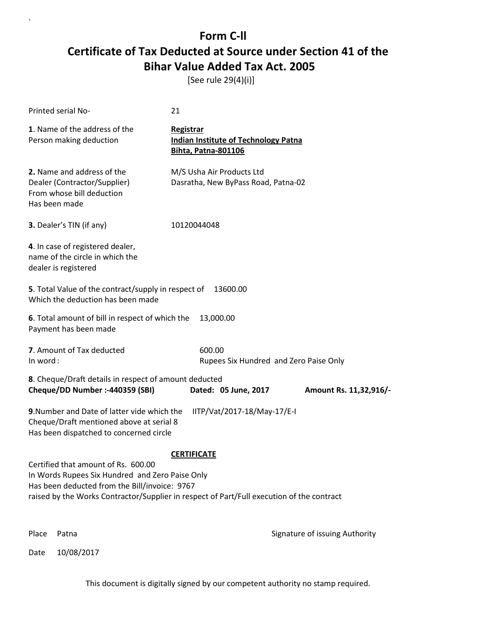[See rule 29(4)(i)]

| Printed serial No-                                                                                                                                                                                                                   | 21                                                                                            |                                |
|--------------------------------------------------------------------------------------------------------------------------------------------------------------------------------------------------------------------------------------|-----------------------------------------------------------------------------------------------|--------------------------------|
| 1. Name of the address of the<br>Person making deduction                                                                                                                                                                             | <b>Registrar</b><br><b>Indian Institute of Technology Patna</b><br><b>Bihta, Patna-801106</b> |                                |
| 2. Name and address of the<br>Dealer (Contractor/Supplier)<br>From whose bill deduction<br>Has been made                                                                                                                             | M/S Usha Air Products Ltd<br>Dasratha, New ByPass Road, Patna-02                              |                                |
| 3. Dealer's TIN (if any)                                                                                                                                                                                                             | 10120044048                                                                                   |                                |
| 4. In case of registered dealer,<br>name of the circle in which the<br>dealer is registered                                                                                                                                          |                                                                                               |                                |
| 5. Total Value of the contract/supply in respect of<br>Which the deduction has been made                                                                                                                                             | 13600.00                                                                                      |                                |
| 6. Total amount of bill in respect of which the<br>Payment has been made                                                                                                                                                             | 13,000.00                                                                                     |                                |
| 7. Amount of Tax deducted<br>In word:                                                                                                                                                                                                | 600.00<br>Rupees Six Hundred and Zero Paise Only                                              |                                |
| 8. Cheque/Draft details in respect of amount deducted<br>Cheque/DD Number :- 440359 (SBI)                                                                                                                                            | Dated: 05 June, 2017                                                                          | Amount Rs. 11,32,916/-         |
| 9. Number and Date of latter vide which the<br>Cheque/Draft mentioned above at serial 8<br>Has been dispatched to concerned circle                                                                                                   | IITP/Vat/2017-18/May-17/E-I                                                                   |                                |
|                                                                                                                                                                                                                                      | <b>CERTIFICATE</b>                                                                            |                                |
| Certified that amount of Rs. 600.00<br>In Words Rupees Six Hundred and Zero Paise Only<br>Has been deducted from the Bill/invoice: 9767<br>raised by the Works Contractor/Supplier in respect of Part/Full execution of the contract |                                                                                               |                                |
| Place<br>Patna                                                                                                                                                                                                                       |                                                                                               | Signature of issuing Authority |

Date 10/08/2017

 $\lambda$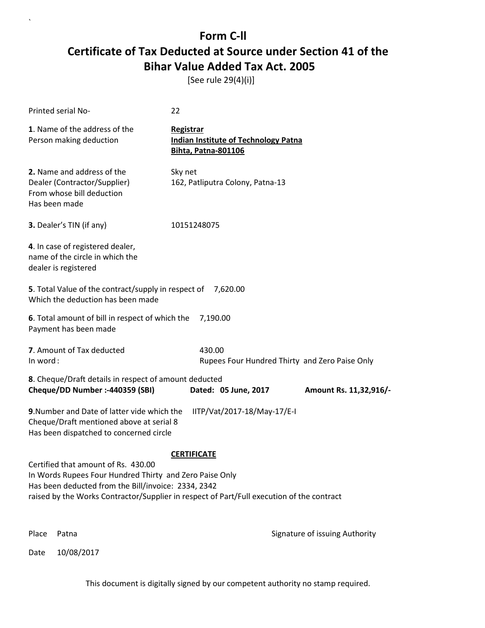[See rule 29(4)(i)]

`

Date 10/08/2017

| Printed serial No-                                                                                                                                                                                                                                 | 22                                                                                     |                                |
|----------------------------------------------------------------------------------------------------------------------------------------------------------------------------------------------------------------------------------------------------|----------------------------------------------------------------------------------------|--------------------------------|
| 1. Name of the address of the<br>Person making deduction                                                                                                                                                                                           | Registrar<br><b>Indian Institute of Technology Patna</b><br><b>Bihta, Patna-801106</b> |                                |
| 2. Name and address of the<br>Dealer (Contractor/Supplier)<br>From whose bill deduction<br>Has been made                                                                                                                                           | Sky net<br>162, Patliputra Colony, Patna-13                                            |                                |
| 3. Dealer's TIN (if any)                                                                                                                                                                                                                           | 10151248075                                                                            |                                |
| 4. In case of registered dealer,<br>name of the circle in which the<br>dealer is registered                                                                                                                                                        |                                                                                        |                                |
| 5. Total Value of the contract/supply in respect of<br>Which the deduction has been made                                                                                                                                                           | 7,620.00                                                                               |                                |
| 6. Total amount of bill in respect of which the<br>Payment has been made                                                                                                                                                                           | 7,190.00                                                                               |                                |
| 7. Amount of Tax deducted<br>In word:                                                                                                                                                                                                              | 430.00<br>Rupees Four Hundred Thirty and Zero Paise Only                               |                                |
| 8. Cheque/Draft details in respect of amount deducted<br>Cheque/DD Number :- 440359 (SBI)                                                                                                                                                          | Dated: 05 June, 2017                                                                   | Amount Rs. 11,32,916/-         |
| 9. Number and Date of latter vide which the<br>Cheque/Draft mentioned above at serial 8<br>Has been dispatched to concerned circle                                                                                                                 | IITP/Vat/2017-18/May-17/E-I                                                            |                                |
|                                                                                                                                                                                                                                                    | <b>CERTIFICATE</b>                                                                     |                                |
| Certified that amount of Rs. 430.00<br>In Words Rupees Four Hundred Thirty and Zero Paise Only<br>Has been deducted from the Bill/invoice: 2334, 2342<br>raised by the Works Contractor/Supplier in respect of Part/Full execution of the contract |                                                                                        |                                |
| Place<br>Patna                                                                                                                                                                                                                                     |                                                                                        | Signature of issuing Authority |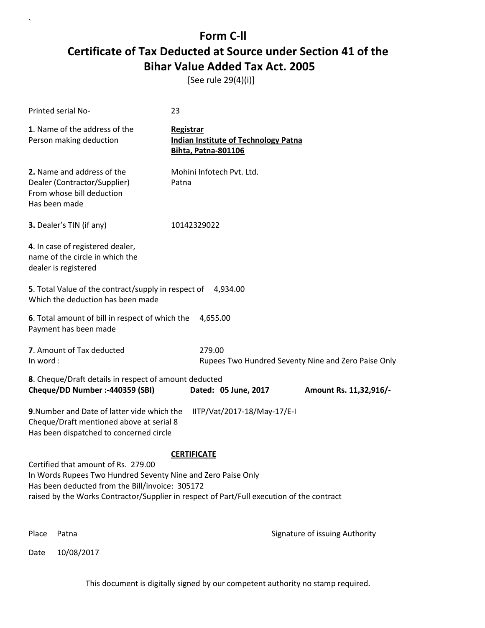[See rule 29(4)(i)]

| Printed serial No-                                                                                                                                     | 23                                                                                                              |
|--------------------------------------------------------------------------------------------------------------------------------------------------------|-----------------------------------------------------------------------------------------------------------------|
| 1. Name of the address of the<br>Person making deduction                                                                                               | Registrar<br><b>Indian Institute of Technology Patna</b><br><b>Bihta, Patna-801106</b>                          |
| 2. Name and address of the<br>Dealer (Contractor/Supplier)<br>From whose bill deduction<br>Has been made                                               | Mohini Infotech Pvt. Ltd.<br>Patna                                                                              |
| 3. Dealer's TIN (if any)                                                                                                                               | 10142329022                                                                                                     |
| 4. In case of registered dealer,<br>name of the circle in which the<br>dealer is registered                                                            |                                                                                                                 |
| 5. Total Value of the contract/supply in respect of 4,934.00<br>Which the deduction has been made                                                      |                                                                                                                 |
| 6. Total amount of bill in respect of which the<br>Payment has been made                                                                               | 4,655.00                                                                                                        |
| 7. Amount of Tax deducted<br>In word:                                                                                                                  | 279.00<br>Rupees Two Hundred Seventy Nine and Zero Paise Only                                                   |
| 8. Cheque/Draft details in respect of amount deducted<br>Cheque/DD Number :- 440359 (SBI)                                                              | Dated: 05 June, 2017<br>Amount Rs. 11,32,916/-                                                                  |
| 9. Number and Date of latter vide which the<br>Cheque/Draft mentioned above at serial 8<br>Has been dispatched to concerned circle                     | IITP/Vat/2017-18/May-17/E-I                                                                                     |
| Certified that amount of Rs. 279.00<br>In Words Rupees Two Hundred Seventy Nine and Zero Paise Only<br>Has been deducted from the Bill/invoice: 305172 | <b>CERTIFICATE</b><br>raised by the Works Contractor/Supplier in respect of Part/Full execution of the contract |
| Place<br>Patna                                                                                                                                         | Signature of issuing Authority                                                                                  |

Date 10/08/2017

`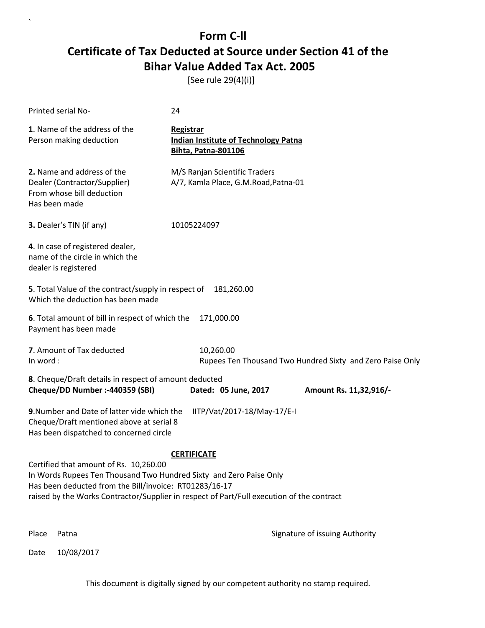[See rule 29(4)(i)]

| Printed serial No-                                                                                                                                                     | 24                                                                                                              |
|------------------------------------------------------------------------------------------------------------------------------------------------------------------------|-----------------------------------------------------------------------------------------------------------------|
| 1. Name of the address of the<br>Person making deduction                                                                                                               | <b>Registrar</b><br><b>Indian Institute of Technology Patna</b><br><b>Bihta, Patna-801106</b>                   |
| 2. Name and address of the<br>Dealer (Contractor/Supplier)<br>From whose bill deduction<br>Has been made                                                               | M/S Ranjan Scientific Traders<br>A/7, Kamla Place, G.M.Road, Patna-01                                           |
| 3. Dealer's TIN (if any)                                                                                                                                               | 10105224097                                                                                                     |
| 4. In case of registered dealer,<br>name of the circle in which the<br>dealer is registered                                                                            |                                                                                                                 |
| 5. Total Value of the contract/supply in respect of 181,260.00<br>Which the deduction has been made                                                                    |                                                                                                                 |
| 6. Total amount of bill in respect of which the<br>Payment has been made                                                                                               | 171,000.00                                                                                                      |
| 7. Amount of Tax deducted<br>In word:                                                                                                                                  | 10,260.00<br>Rupees Ten Thousand Two Hundred Sixty and Zero Paise Only                                          |
| 8. Cheque/Draft details in respect of amount deducted<br>Cheque/DD Number :- 440359 (SBI)                                                                              | Dated: 05 June, 2017<br>Amount Rs. 11,32,916/-                                                                  |
| 9. Number and Date of latter vide which the<br>Cheque/Draft mentioned above at serial 8<br>Has been dispatched to concerned circle                                     | IITP/Vat/2017-18/May-17/E-I                                                                                     |
| Certified that amount of Rs. 10,260.00<br>In Words Rupees Ten Thousand Two Hundred Sixty and Zero Paise Only<br>Has been deducted from the Bill/invoice: RT01283/16-17 | <b>CERTIFICATE</b><br>raised by the Works Contractor/Supplier in respect of Part/Full execution of the contract |
| Place<br>Patna                                                                                                                                                         | Signature of issuing Authority                                                                                  |

Date 10/08/2017

`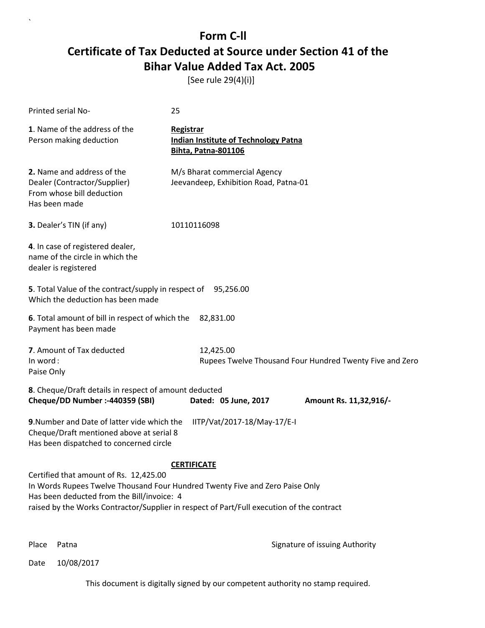[See rule 29(4)(i)]

| Printed serial No-                                                                                                                                                                                                                                                | 25                                                                                            |  |
|-------------------------------------------------------------------------------------------------------------------------------------------------------------------------------------------------------------------------------------------------------------------|-----------------------------------------------------------------------------------------------|--|
| 1. Name of the address of the<br>Person making deduction                                                                                                                                                                                                          | <b>Registrar</b><br><b>Indian Institute of Technology Patna</b><br><b>Bihta, Patna-801106</b> |  |
| 2. Name and address of the<br>Dealer (Contractor/Supplier)<br>From whose bill deduction<br>Has been made                                                                                                                                                          | M/s Bharat commercial Agency<br>Jeevandeep, Exhibition Road, Patna-01                         |  |
| 3. Dealer's TIN (if any)                                                                                                                                                                                                                                          | 10110116098                                                                                   |  |
| 4. In case of registered dealer,<br>name of the circle in which the<br>dealer is registered                                                                                                                                                                       |                                                                                               |  |
| 5. Total Value of the contract/supply in respect of 95,256.00<br>Which the deduction has been made                                                                                                                                                                |                                                                                               |  |
| 6. Total amount of bill in respect of which the<br>82,831.00<br>Payment has been made                                                                                                                                                                             |                                                                                               |  |
| 7. Amount of Tax deducted<br>In word:<br>Paise Only                                                                                                                                                                                                               | 12,425.00<br>Rupees Twelve Thousand Four Hundred Twenty Five and Zero                         |  |
| 8. Cheque/Draft details in respect of amount deducted<br>Cheque/DD Number :- 440359 (SBI)                                                                                                                                                                         | Dated: 05 June, 2017<br>Amount Rs. 11,32,916/-                                                |  |
| 9. Number and Date of latter vide which the<br>Cheque/Draft mentioned above at serial 8<br>Has been dispatched to concerned circle                                                                                                                                | IITP/Vat/2017-18/May-17/E-I                                                                   |  |
|                                                                                                                                                                                                                                                                   | <b>CERTIFICATE</b>                                                                            |  |
| Certified that amount of Rs. 12,425.00<br>In Words Rupees Twelve Thousand Four Hundred Twenty Five and Zero Paise Only<br>Has been deducted from the Bill/invoice: 4<br>raised by the Works Contractor/Supplier in respect of Part/Full execution of the contract |                                                                                               |  |
|                                                                                                                                                                                                                                                                   |                                                                                               |  |

`

Place Patna **Property** Place Patna Signature of issuing Authority

Date 10/08/2017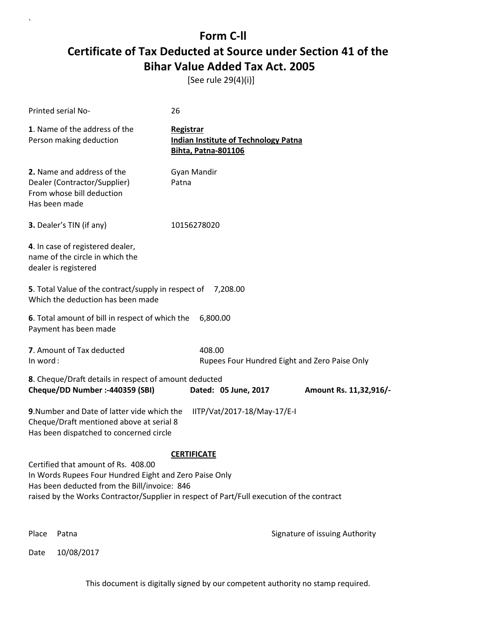[See rule 29(4)(i)]

| Printed serial No-                                                                                                                                                                                                                         | 26                                                                                            |                                |
|--------------------------------------------------------------------------------------------------------------------------------------------------------------------------------------------------------------------------------------------|-----------------------------------------------------------------------------------------------|--------------------------------|
| 1. Name of the address of the<br>Person making deduction                                                                                                                                                                                   | <b>Registrar</b><br><b>Indian Institute of Technology Patna</b><br><b>Bihta, Patna-801106</b> |                                |
| 2. Name and address of the<br>Dealer (Contractor/Supplier)<br>From whose bill deduction<br>Has been made                                                                                                                                   | Gyan Mandir<br>Patna                                                                          |                                |
| 3. Dealer's TIN (if any)                                                                                                                                                                                                                   | 10156278020                                                                                   |                                |
| 4. In case of registered dealer,<br>name of the circle in which the<br>dealer is registered                                                                                                                                                |                                                                                               |                                |
| 5. Total Value of the contract/supply in respect of<br>Which the deduction has been made                                                                                                                                                   | 7,208.00                                                                                      |                                |
| 6. Total amount of bill in respect of which the<br>Payment has been made                                                                                                                                                                   | 6,800.00                                                                                      |                                |
| 7. Amount of Tax deducted<br>In word:                                                                                                                                                                                                      | 408.00<br>Rupees Four Hundred Eight and Zero Paise Only                                       |                                |
| 8. Cheque/Draft details in respect of amount deducted<br>Cheque/DD Number :- 440359 (SBI)                                                                                                                                                  | Dated: 05 June, 2017                                                                          | Amount Rs. 11,32,916/-         |
| 9. Number and Date of latter vide which the<br>Cheque/Draft mentioned above at serial 8<br>Has been dispatched to concerned circle                                                                                                         | IITP/Vat/2017-18/May-17/E-I                                                                   |                                |
|                                                                                                                                                                                                                                            | <b>CERTIFICATE</b>                                                                            |                                |
| Certified that amount of Rs. 408.00<br>In Words Rupees Four Hundred Eight and Zero Paise Only<br>Has been deducted from the Bill/invoice: 846<br>raised by the Works Contractor/Supplier in respect of Part/Full execution of the contract |                                                                                               |                                |
| Place<br>Patna                                                                                                                                                                                                                             |                                                                                               | Signature of issuing Authority |

Date 10/08/2017

`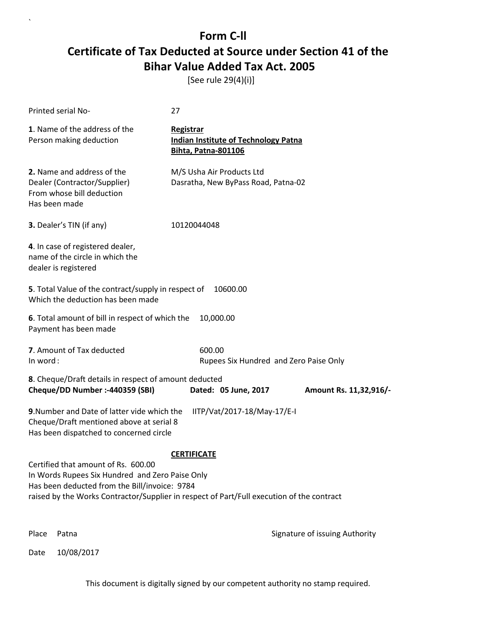[See rule 29(4)(i)]

| Printed serial No-                                                                                                                                                                                                                   | 27                                                                                            |                                |
|--------------------------------------------------------------------------------------------------------------------------------------------------------------------------------------------------------------------------------------|-----------------------------------------------------------------------------------------------|--------------------------------|
| 1. Name of the address of the<br>Person making deduction                                                                                                                                                                             | <b>Registrar</b><br><b>Indian Institute of Technology Patna</b><br><b>Bihta, Patna-801106</b> |                                |
| 2. Name and address of the<br>Dealer (Contractor/Supplier)<br>From whose bill deduction<br>Has been made                                                                                                                             | M/S Usha Air Products Ltd<br>Dasratha, New ByPass Road, Patna-02                              |                                |
| 3. Dealer's TIN (if any)                                                                                                                                                                                                             | 10120044048                                                                                   |                                |
| 4. In case of registered dealer,<br>name of the circle in which the<br>dealer is registered                                                                                                                                          |                                                                                               |                                |
| 5. Total Value of the contract/supply in respect of<br>Which the deduction has been made                                                                                                                                             | 10600.00                                                                                      |                                |
| 6. Total amount of bill in respect of which the<br>Payment has been made                                                                                                                                                             | 10,000.00                                                                                     |                                |
| 7. Amount of Tax deducted<br>In word:                                                                                                                                                                                                | 600.00<br>Rupees Six Hundred and Zero Paise Only                                              |                                |
| 8. Cheque/Draft details in respect of amount deducted<br>Cheque/DD Number :- 440359 (SBI)                                                                                                                                            | Dated: 05 June, 2017                                                                          | Amount Rs. 11,32,916/-         |
| 9. Number and Date of latter vide which the<br>Cheque/Draft mentioned above at serial 8<br>Has been dispatched to concerned circle                                                                                                   | IITP/Vat/2017-18/May-17/E-I                                                                   |                                |
|                                                                                                                                                                                                                                      | <b>CERTIFICATE</b>                                                                            |                                |
| Certified that amount of Rs. 600.00<br>In Words Rupees Six Hundred and Zero Paise Only<br>Has been deducted from the Bill/invoice: 9784<br>raised by the Works Contractor/Supplier in respect of Part/Full execution of the contract |                                                                                               |                                |
| Place<br>Patna                                                                                                                                                                                                                       |                                                                                               | Signature of issuing Authority |

Date 10/08/2017

 $\overline{\phantom{a}}$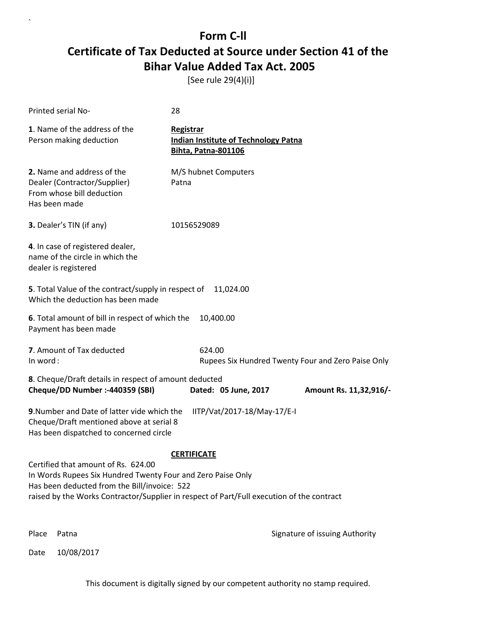[See rule 29(4)(i)]

| Printed serial No-                                                                                                                                                                                                                                                    | 28                                                                                     |  |
|-----------------------------------------------------------------------------------------------------------------------------------------------------------------------------------------------------------------------------------------------------------------------|----------------------------------------------------------------------------------------|--|
| 1. Name of the address of the<br>Person making deduction                                                                                                                                                                                                              | Registrar<br><b>Indian Institute of Technology Patna</b><br><b>Bihta, Patna-801106</b> |  |
| 2. Name and address of the<br>Dealer (Contractor/Supplier)<br>From whose bill deduction<br>Has been made                                                                                                                                                              | M/S hubnet Computers<br>Patna                                                          |  |
| 3. Dealer's TIN (if any)                                                                                                                                                                                                                                              | 10156529089                                                                            |  |
| 4. In case of registered dealer,<br>name of the circle in which the<br>dealer is registered                                                                                                                                                                           |                                                                                        |  |
| 5. Total Value of the contract/supply in respect of<br>11,024.00<br>Which the deduction has been made                                                                                                                                                                 |                                                                                        |  |
| 6. Total amount of bill in respect of which the<br>10,400.00<br>Payment has been made                                                                                                                                                                                 |                                                                                        |  |
| 7. Amount of Tax deducted<br>In word:                                                                                                                                                                                                                                 | 624.00<br>Rupees Six Hundred Twenty Four and Zero Paise Only                           |  |
| 8. Cheque/Draft details in respect of amount deducted<br>Cheque/DD Number :- 440359 (SBI)<br>Dated: 05 June, 2017<br>Amount Rs. 11,32,916/-                                                                                                                           |                                                                                        |  |
| 9. Number and Date of latter vide which the<br>IITP/Vat/2017-18/May-17/E-I<br>Cheque/Draft mentioned above at serial 8<br>Has been dispatched to concerned circle                                                                                                     |                                                                                        |  |
| <b>CERTIFICATE</b><br>Certified that amount of Rs. 624.00<br>In Words Rupees Six Hundred Twenty Four and Zero Paise Only<br>Has been deducted from the Bill/invoice: 522<br>raised by the Works Contractor/Supplier in respect of Part/Full execution of the contract |                                                                                        |  |
| Place<br>Patna                                                                                                                                                                                                                                                        | Signature of issuing Authority                                                         |  |

Date 10/08/2017

`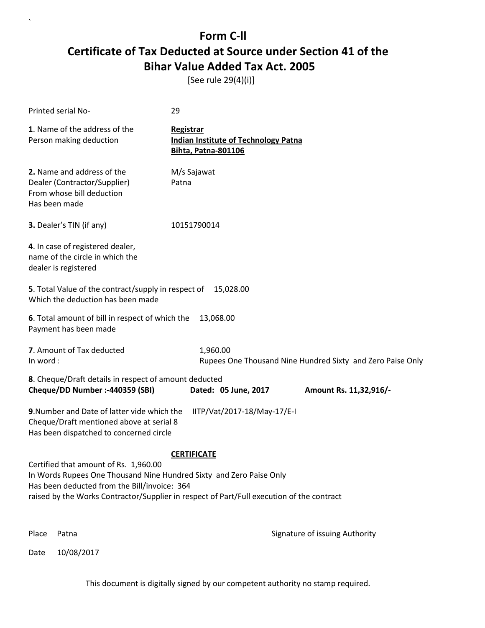[See rule 29(4)(i)]

| <b>Printed serial No-</b>                                                                                                                                                                                                                                                       | 29                                                                                            |  |
|---------------------------------------------------------------------------------------------------------------------------------------------------------------------------------------------------------------------------------------------------------------------------------|-----------------------------------------------------------------------------------------------|--|
| 1. Name of the address of the<br>Person making deduction                                                                                                                                                                                                                        | <b>Registrar</b><br><b>Indian Institute of Technology Patna</b><br><b>Bihta, Patna-801106</b> |  |
| 2. Name and address of the<br>Dealer (Contractor/Supplier)<br>From whose bill deduction<br>Has been made                                                                                                                                                                        | M/s Sajawat<br>Patna                                                                          |  |
| 3. Dealer's TIN (if any)                                                                                                                                                                                                                                                        | 10151790014                                                                                   |  |
| 4. In case of registered dealer,<br>name of the circle in which the<br>dealer is registered                                                                                                                                                                                     |                                                                                               |  |
| 5. Total Value of the contract/supply in respect of<br>15,028.00<br>Which the deduction has been made                                                                                                                                                                           |                                                                                               |  |
| 6. Total amount of bill in respect of which the<br>Payment has been made                                                                                                                                                                                                        | 13,068.00                                                                                     |  |
| 7. Amount of Tax deducted<br>In word:                                                                                                                                                                                                                                           | 1,960.00<br>Rupees One Thousand Nine Hundred Sixty and Zero Paise Only                        |  |
| 8. Cheque/Draft details in respect of amount deducted<br>Cheque/DD Number :- 440359 (SBI)                                                                                                                                                                                       | Dated: 05 June, 2017<br>Amount Rs. 11,32,916/-                                                |  |
| 9. Number and Date of latter vide which the<br>Cheque/Draft mentioned above at serial 8<br>Has been dispatched to concerned circle                                                                                                                                              | IITP/Vat/2017-18/May-17/E-I                                                                   |  |
| <b>CERTIFICATE</b><br>Certified that amount of Rs. 1,960.00<br>In Words Rupees One Thousand Nine Hundred Sixty and Zero Paise Only<br>Has been deducted from the Bill/invoice: 364<br>raised by the Works Contractor/Supplier in respect of Part/Full execution of the contract |                                                                                               |  |
| Place<br>Patna                                                                                                                                                                                                                                                                  | Signature of issuing Authority                                                                |  |

Date 10/08/2017

`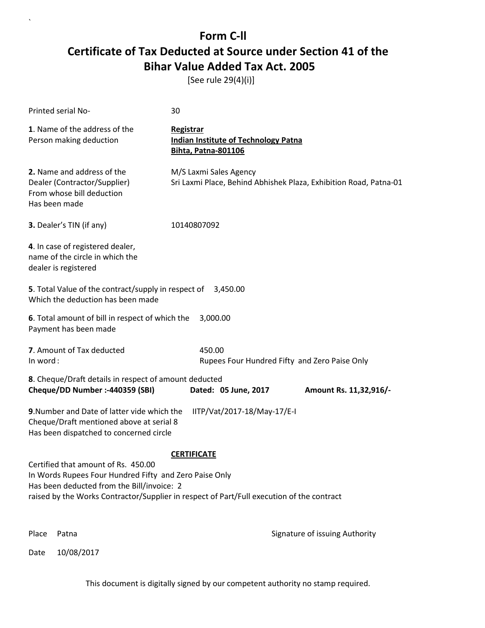[See rule 29(4)(i)]

| <b>Printed serial No-</b>                                                                                                                   | 30                                                                                                              |
|---------------------------------------------------------------------------------------------------------------------------------------------|-----------------------------------------------------------------------------------------------------------------|
| 1. Name of the address of the<br>Person making deduction                                                                                    | <b>Registrar</b><br><b>Indian Institute of Technology Patna</b><br><b>Bihta, Patna-801106</b>                   |
| 2. Name and address of the<br>Dealer (Contractor/Supplier)<br>From whose bill deduction<br>Has been made                                    | M/S Laxmi Sales Agency<br>Sri Laxmi Place, Behind Abhishek Plaza, Exhibition Road, Patna-01                     |
| 3. Dealer's TIN (if any)                                                                                                                    | 10140807092                                                                                                     |
| 4. In case of registered dealer,<br>name of the circle in which the<br>dealer is registered                                                 |                                                                                                                 |
| 5. Total Value of the contract/supply in respect of<br>Which the deduction has been made                                                    | 3,450.00                                                                                                        |
| 6. Total amount of bill in respect of which the<br>Payment has been made                                                                    | 3,000.00                                                                                                        |
| 7. Amount of Tax deducted<br>In word:                                                                                                       | 450.00<br>Rupees Four Hundred Fifty and Zero Paise Only                                                         |
| 8. Cheque/Draft details in respect of amount deducted<br>Cheque/DD Number :- 440359 (SBI)                                                   | Dated: 05 June, 2017<br>Amount Rs. 11,32,916/-                                                                  |
| 9. Number and Date of latter vide which the<br>Cheque/Draft mentioned above at serial 8<br>Has been dispatched to concerned circle          | IITP/Vat/2017-18/May-17/E-I                                                                                     |
| Certified that amount of Rs. 450.00<br>In Words Rupees Four Hundred Fifty and Zero Paise Only<br>Has been deducted from the Bill/invoice: 2 | <b>CERTIFICATE</b><br>raised by the Works Contractor/Supplier in respect of Part/Full execution of the contract |
| Place<br>Patna                                                                                                                              | Signature of issuing Authority                                                                                  |

Date 10/08/2017

`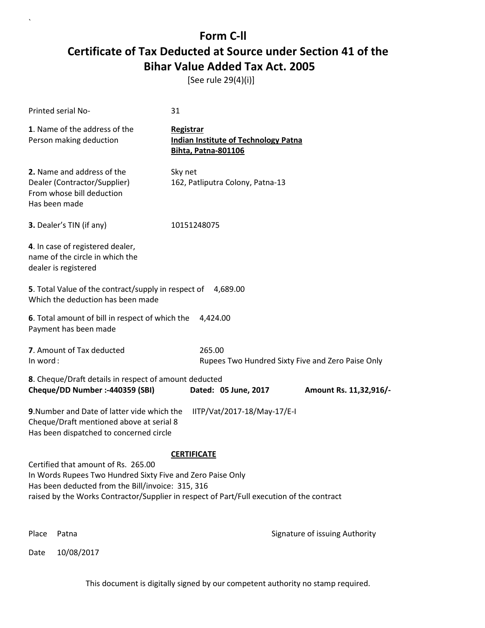[See rule 29(4)(i)]

`

|          | Printed serial No-                                                                                                                                                                                                                                  | 31                                                                                     |                                                   |
|----------|-----------------------------------------------------------------------------------------------------------------------------------------------------------------------------------------------------------------------------------------------------|----------------------------------------------------------------------------------------|---------------------------------------------------|
|          | 1. Name of the address of the<br>Person making deduction                                                                                                                                                                                            | Registrar<br><b>Indian Institute of Technology Patna</b><br><b>Bihta, Patna-801106</b> |                                                   |
|          | 2. Name and address of the<br>Dealer (Contractor/Supplier)<br>From whose bill deduction<br>Has been made                                                                                                                                            | Sky net<br>162, Patliputra Colony, Patna-13                                            |                                                   |
|          | 3. Dealer's TIN (if any)                                                                                                                                                                                                                            | 10151248075                                                                            |                                                   |
|          | 4. In case of registered dealer,<br>name of the circle in which the<br>dealer is registered                                                                                                                                                         |                                                                                        |                                                   |
|          | 5. Total Value of the contract/supply in respect of<br>Which the deduction has been made                                                                                                                                                            | 4,689.00                                                                               |                                                   |
|          | 6. Total amount of bill in respect of which the<br>Payment has been made                                                                                                                                                                            | 4,424.00                                                                               |                                                   |
| In word: | 7. Amount of Tax deducted                                                                                                                                                                                                                           | 265.00                                                                                 | Rupees Two Hundred Sixty Five and Zero Paise Only |
|          | 8. Cheque/Draft details in respect of amount deducted<br>Cheque/DD Number :- 440359 (SBI)                                                                                                                                                           | Dated: 05 June, 2017                                                                   | Amount Rs. 11,32,916/-                            |
|          | 9. Number and Date of latter vide which the<br>Cheque/Draft mentioned above at serial 8<br>Has been dispatched to concerned circle                                                                                                                  | IITP/Vat/2017-18/May-17/E-I                                                            |                                                   |
|          | Certified that amount of Rs. 265.00<br>In Words Rupees Two Hundred Sixty Five and Zero Paise Only<br>Has been deducted from the Bill/invoice: 315, 316<br>raised by the Works Contractor/Supplier in respect of Part/Full execution of the contract | <b>CERTIFICATE</b>                                                                     |                                                   |
| Place    | Patna                                                                                                                                                                                                                                               |                                                                                        | Signature of issuing Authority                    |
| Date     | 10/08/2017                                                                                                                                                                                                                                          |                                                                                        |                                                   |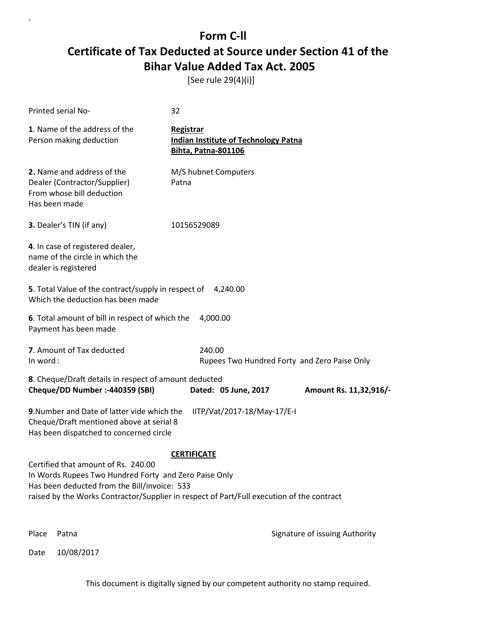[See rule 29(4)(i)]

| Printed serial No-                                                                                                                                                                                                                        | 32                                                                                     |                                |
|-------------------------------------------------------------------------------------------------------------------------------------------------------------------------------------------------------------------------------------------|----------------------------------------------------------------------------------------|--------------------------------|
| 1. Name of the address of the<br>Person making deduction                                                                                                                                                                                  | Registrar<br><b>Indian Institute of Technology Patna</b><br><b>Bihta, Patna-801106</b> |                                |
| 2. Name and address of the<br>Dealer (Contractor/Supplier)<br>From whose bill deduction<br>Has been made                                                                                                                                  | M/S hubnet Computers<br>Patna                                                          |                                |
| 3. Dealer's TIN (if any)                                                                                                                                                                                                                  | 10156529089                                                                            |                                |
| 4. In case of registered dealer,<br>name of the circle in which the<br>dealer is registered                                                                                                                                               |                                                                                        |                                |
| 5. Total Value of the contract/supply in respect of<br>Which the deduction has been made                                                                                                                                                  | 4,240.00                                                                               |                                |
| 6. Total amount of bill in respect of which the<br>Payment has been made                                                                                                                                                                  | 4,000.00                                                                               |                                |
| 7. Amount of Tax deducted<br>In word:                                                                                                                                                                                                     | 240.00<br>Rupees Two Hundred Forty and Zero Paise Only                                 |                                |
| 8. Cheque/Draft details in respect of amount deducted<br>Cheque/DD Number :- 440359 (SBI)                                                                                                                                                 | Dated: 05 June, 2017                                                                   | Amount Rs. 11,32,916/-         |
| 9. Number and Date of latter vide which the<br>Cheque/Draft mentioned above at serial 8<br>Has been dispatched to concerned circle                                                                                                        | IITP/Vat/2017-18/May-17/E-I                                                            |                                |
|                                                                                                                                                                                                                                           | <b>CERTIFICATE</b>                                                                     |                                |
| Certified that amount of Rs. 240.00<br>In Words Rupees Two Hundred Forty and Zero Paise Only<br>Has been deducted from the Bill/invoice: 533<br>raised by the Works Contractor/Supplier in respect of Part/Full execution of the contract |                                                                                        |                                |
| Place<br>Patna                                                                                                                                                                                                                            |                                                                                        | Signature of issuing Authority |

Date 10/08/2017

`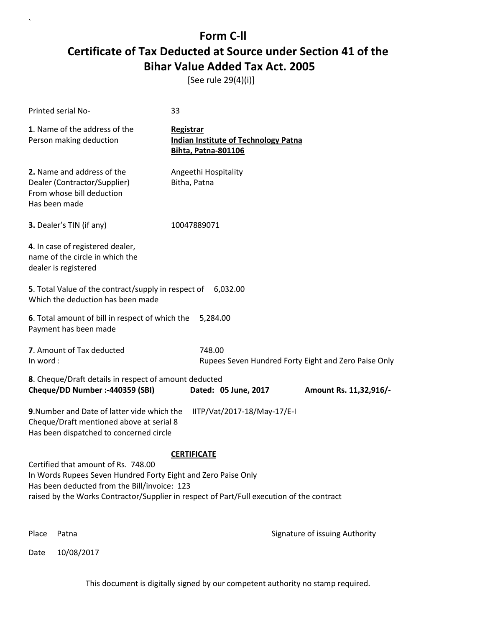[See rule 29(4)(i)]

| <b>Printed serial No-</b>                                                                                                                                         | 33                                                                                        |  |
|-------------------------------------------------------------------------------------------------------------------------------------------------------------------|-------------------------------------------------------------------------------------------|--|
| 1. Name of the address of the<br>Person making deduction                                                                                                          | Registrar<br><b>Indian Institute of Technology Patna</b><br><b>Bihta, Patna-801106</b>    |  |
| 2. Name and address of the<br>Dealer (Contractor/Supplier)<br>From whose bill deduction<br>Has been made                                                          | Angeethi Hospitality<br>Bitha, Patna                                                      |  |
| 3. Dealer's TIN (if any)                                                                                                                                          | 10047889071                                                                               |  |
| 4. In case of registered dealer,<br>name of the circle in which the<br>dealer is registered                                                                       |                                                                                           |  |
| 5. Total Value of the contract/supply in respect of<br>Which the deduction has been made                                                                          | 6,032.00                                                                                  |  |
| 6. Total amount of bill in respect of which the<br>Payment has been made                                                                                          | 5,284.00                                                                                  |  |
| 7. Amount of Tax deducted<br>In word:                                                                                                                             | 748.00<br>Rupees Seven Hundred Forty Eight and Zero Paise Only                            |  |
| 8. Cheque/Draft details in respect of amount deducted<br>Cheque/DD Number :- 440359 (SBI)                                                                         | Dated: 05 June, 2017<br>Amount Rs. 11,32,916/-                                            |  |
| 9. Number and Date of latter vide which the<br>IITP/Vat/2017-18/May-17/E-I<br>Cheque/Draft mentioned above at serial 8<br>Has been dispatched to concerned circle |                                                                                           |  |
|                                                                                                                                                                   | <b>CERTIFICATE</b>                                                                        |  |
| Certified that amount of Rs. 748.00<br>In Words Rupees Seven Hundred Forty Eight and Zero Paise Only<br>Has been deducted from the Bill/invoice: 123              | raised by the Works Contractor/Supplier in respect of Part/Full execution of the contract |  |
|                                                                                                                                                                   |                                                                                           |  |
| Place<br>Patna                                                                                                                                                    | Signature of issuing Authority                                                            |  |

Date 10/08/2017

`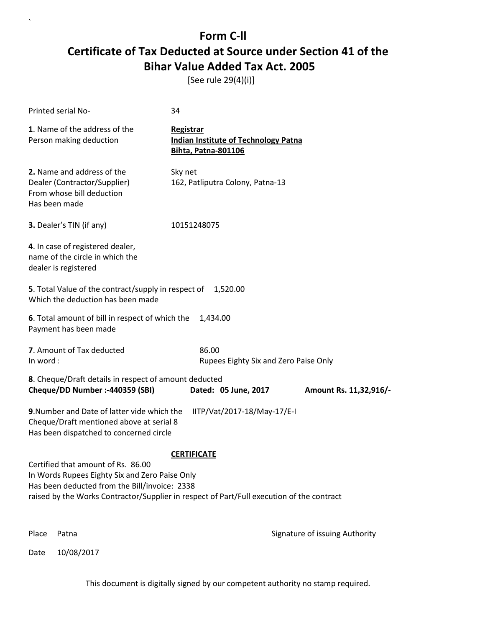[See rule 29(4)(i)]

| Printed serial No-                                                                                                                                                                                                                 | 34                                                                                     |                                |
|------------------------------------------------------------------------------------------------------------------------------------------------------------------------------------------------------------------------------------|----------------------------------------------------------------------------------------|--------------------------------|
| 1. Name of the address of the<br>Person making deduction                                                                                                                                                                           | Registrar<br><b>Indian Institute of Technology Patna</b><br><b>Bihta, Patna-801106</b> |                                |
| 2. Name and address of the<br>Dealer (Contractor/Supplier)<br>From whose bill deduction<br>Has been made                                                                                                                           | Sky net<br>162, Patliputra Colony, Patna-13                                            |                                |
| 3. Dealer's TIN (if any)                                                                                                                                                                                                           | 10151248075                                                                            |                                |
| 4. In case of registered dealer,<br>name of the circle in which the<br>dealer is registered                                                                                                                                        |                                                                                        |                                |
| 5. Total Value of the contract/supply in respect of<br>Which the deduction has been made                                                                                                                                           | 1,520.00                                                                               |                                |
| 6. Total amount of bill in respect of which the<br>Payment has been made                                                                                                                                                           | 1,434.00                                                                               |                                |
| 7. Amount of Tax deducted<br>In word:                                                                                                                                                                                              | 86.00<br>Rupees Eighty Six and Zero Paise Only                                         |                                |
| 8. Cheque/Draft details in respect of amount deducted<br>Cheque/DD Number :- 440359 (SBI)                                                                                                                                          | Dated: 05 June, 2017                                                                   | Amount Rs. 11,32,916/-         |
| 9. Number and Date of latter vide which the<br>Cheque/Draft mentioned above at serial 8<br>Has been dispatched to concerned circle                                                                                                 | IITP/Vat/2017-18/May-17/E-I                                                            |                                |
|                                                                                                                                                                                                                                    | <b>CERTIFICATE</b>                                                                     |                                |
| Certified that amount of Rs. 86.00<br>In Words Rupees Eighty Six and Zero Paise Only<br>Has been deducted from the Bill/invoice: 2338<br>raised by the Works Contractor/Supplier in respect of Part/Full execution of the contract |                                                                                        |                                |
| Place<br>Patna                                                                                                                                                                                                                     |                                                                                        | Signature of issuing Authority |

Date 10/08/2017

`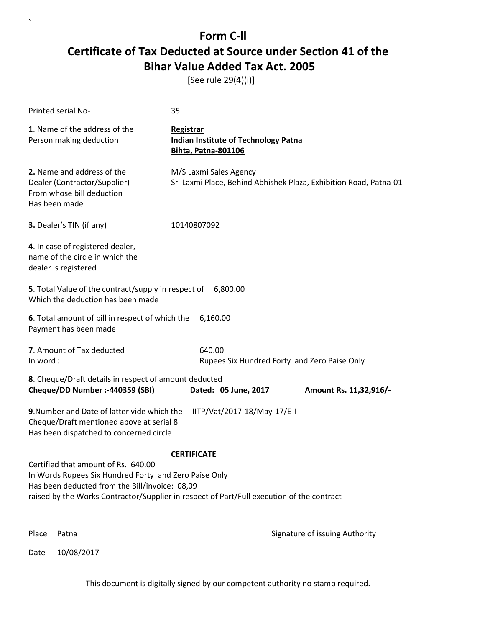[See rule 29(4)(i)]

| Printed serial No-                                                                                                                                                                                                                                                | 35                                                                                            |  |
|-------------------------------------------------------------------------------------------------------------------------------------------------------------------------------------------------------------------------------------------------------------------|-----------------------------------------------------------------------------------------------|--|
| 1. Name of the address of the<br>Person making deduction                                                                                                                                                                                                          | <b>Registrar</b><br><b>Indian Institute of Technology Patna</b><br><b>Bihta, Patna-801106</b> |  |
| 2. Name and address of the<br>Dealer (Contractor/Supplier)<br>From whose bill deduction<br>Has been made                                                                                                                                                          | M/S Laxmi Sales Agency<br>Sri Laxmi Place, Behind Abhishek Plaza, Exhibition Road, Patna-01   |  |
| 3. Dealer's TIN (if any)                                                                                                                                                                                                                                          | 10140807092                                                                                   |  |
| 4. In case of registered dealer,<br>name of the circle in which the<br>dealer is registered                                                                                                                                                                       |                                                                                               |  |
| 5. Total Value of the contract/supply in respect of 6,800.00<br>Which the deduction has been made                                                                                                                                                                 |                                                                                               |  |
| 6. Total amount of bill in respect of which the<br>Payment has been made                                                                                                                                                                                          | 6,160.00                                                                                      |  |
| 7. Amount of Tax deducted<br>In word:                                                                                                                                                                                                                             | 640.00<br>Rupees Six Hundred Forty and Zero Paise Only                                        |  |
| 8. Cheque/Draft details in respect of amount deducted<br>Cheque/DD Number :- 440359 (SBI)                                                                                                                                                                         | Dated: 05 June, 2017<br>Amount Rs. 11,32,916/-                                                |  |
| 9. Number and Date of latter vide which the<br>Cheque/Draft mentioned above at serial 8<br>Has been dispatched to concerned circle                                                                                                                                | IITP/Vat/2017-18/May-17/E-I                                                                   |  |
| <b>CERTIFICATE</b><br>Certified that amount of Rs. 640.00<br>In Words Rupees Six Hundred Forty and Zero Paise Only<br>Has been deducted from the Bill/invoice: 08,09<br>raised by the Works Contractor/Supplier in respect of Part/Full execution of the contract |                                                                                               |  |
| Place<br>Patna                                                                                                                                                                                                                                                    | Signature of issuing Authority                                                                |  |

Date 10/08/2017

`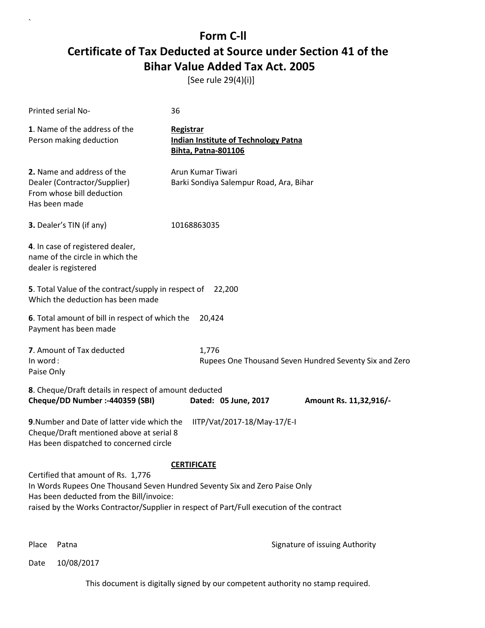[See rule 29(4)(i)]

| <b>Printed serial No-</b>                                                                                                                                                                                                                                 | 36                                                                                     |  |
|-----------------------------------------------------------------------------------------------------------------------------------------------------------------------------------------------------------------------------------------------------------|----------------------------------------------------------------------------------------|--|
| 1. Name of the address of the<br>Person making deduction                                                                                                                                                                                                  | Registrar<br><b>Indian Institute of Technology Patna</b><br><b>Bihta, Patna-801106</b> |  |
| 2. Name and address of the<br>Dealer (Contractor/Supplier)<br>From whose bill deduction<br>Has been made                                                                                                                                                  | Arun Kumar Tiwari<br>Barki Sondiya Salempur Road, Ara, Bihar                           |  |
| 3. Dealer's TIN (if any)                                                                                                                                                                                                                                  | 10168863035                                                                            |  |
| 4. In case of registered dealer,<br>name of the circle in which the<br>dealer is registered                                                                                                                                                               |                                                                                        |  |
| 5. Total Value of the contract/supply in respect of<br>Which the deduction has been made                                                                                                                                                                  | 22,200                                                                                 |  |
| 6. Total amount of bill in respect of which the<br>20,424<br>Payment has been made                                                                                                                                                                        |                                                                                        |  |
| 7. Amount of Tax deducted<br>In word:<br>Paise Only                                                                                                                                                                                                       | 1,776<br>Rupees One Thousand Seven Hundred Seventy Six and Zero                        |  |
| 8. Cheque/Draft details in respect of amount deducted<br>Cheque/DD Number :- 440359 (SBI)<br>Dated: 05 June, 2017<br>Amount Rs. 11,32,916/-                                                                                                               |                                                                                        |  |
| 9. Number and Date of latter vide which the<br>IITP/Vat/2017-18/May-17/E-I<br>Cheque/Draft mentioned above at serial 8<br>Has been dispatched to concerned circle                                                                                         |                                                                                        |  |
|                                                                                                                                                                                                                                                           | <b>CERTIFICATE</b>                                                                     |  |
| Certified that amount of Rs. 1,776<br>In Words Rupees One Thousand Seven Hundred Seventy Six and Zero Paise Only<br>Has been deducted from the Bill/invoice:<br>raised by the Works Contractor/Supplier in respect of Part/Full execution of the contract |                                                                                        |  |

`

Place Patna **Property** Place Patna Signature of issuing Authority

Date 10/08/2017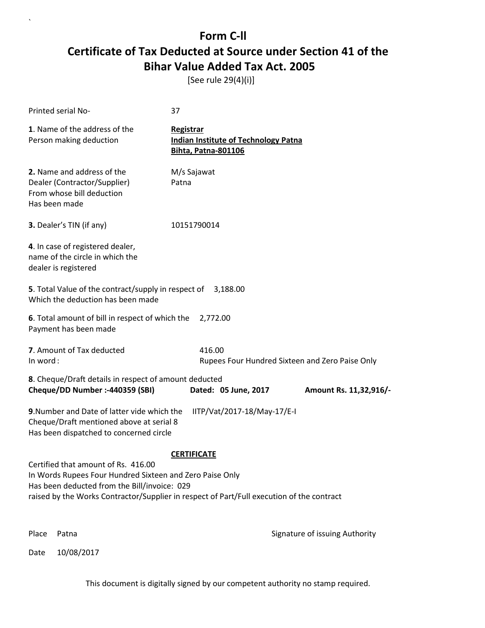[See rule 29(4)(i)]

| Printed serial No-                                                                                                                                                                                                                           | 37                                                                                     |                                |
|----------------------------------------------------------------------------------------------------------------------------------------------------------------------------------------------------------------------------------------------|----------------------------------------------------------------------------------------|--------------------------------|
| 1. Name of the address of the<br>Person making deduction                                                                                                                                                                                     | Registrar<br><b>Indian Institute of Technology Patna</b><br><b>Bihta, Patna-801106</b> |                                |
| 2. Name and address of the<br>Dealer (Contractor/Supplier)<br>From whose bill deduction<br>Has been made                                                                                                                                     | M/s Sajawat<br>Patna                                                                   |                                |
| 3. Dealer's TIN (if any)                                                                                                                                                                                                                     | 10151790014                                                                            |                                |
| 4. In case of registered dealer,<br>name of the circle in which the<br>dealer is registered                                                                                                                                                  |                                                                                        |                                |
| 5. Total Value of the contract/supply in respect of<br>Which the deduction has been made                                                                                                                                                     | 3,188.00                                                                               |                                |
| 6. Total amount of bill in respect of which the<br>Payment has been made                                                                                                                                                                     | 2,772.00                                                                               |                                |
| 7. Amount of Tax deducted<br>In word:                                                                                                                                                                                                        | 416.00<br>Rupees Four Hundred Sixteen and Zero Paise Only                              |                                |
| 8. Cheque/Draft details in respect of amount deducted<br>Cheque/DD Number :- 440359 (SBI)                                                                                                                                                    | Dated: 05 June, 2017                                                                   | Amount Rs. 11,32,916/-         |
| 9. Number and Date of latter vide which the<br>Cheque/Draft mentioned above at serial 8<br>Has been dispatched to concerned circle                                                                                                           | IITP/Vat/2017-18/May-17/E-I                                                            |                                |
|                                                                                                                                                                                                                                              | <b>CERTIFICATE</b>                                                                     |                                |
| Certified that amount of Rs. 416.00<br>In Words Rupees Four Hundred Sixteen and Zero Paise Only<br>Has been deducted from the Bill/invoice: 029<br>raised by the Works Contractor/Supplier in respect of Part/Full execution of the contract |                                                                                        |                                |
| Place<br>Patna                                                                                                                                                                                                                               |                                                                                        | Signature of issuing Authority |

Date 10/08/2017

`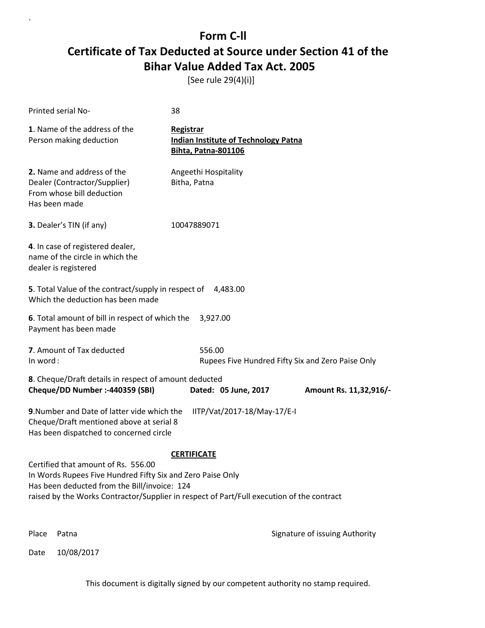[See rule 29(4)(i)]

| Printed serial No-                                                                                                                                                                                                                             | 38                                                                                     |                                                   |
|------------------------------------------------------------------------------------------------------------------------------------------------------------------------------------------------------------------------------------------------|----------------------------------------------------------------------------------------|---------------------------------------------------|
| 1. Name of the address of the<br>Person making deduction                                                                                                                                                                                       | Registrar<br><b>Indian Institute of Technology Patna</b><br><b>Bihta, Patna-801106</b> |                                                   |
| 2. Name and address of the<br>Dealer (Contractor/Supplier)<br>From whose bill deduction<br>Has been made                                                                                                                                       | Angeethi Hospitality<br>Bitha, Patna                                                   |                                                   |
| <b>3.</b> Dealer's TIN (if any)                                                                                                                                                                                                                | 10047889071                                                                            |                                                   |
| 4. In case of registered dealer,<br>name of the circle in which the<br>dealer is registered                                                                                                                                                    |                                                                                        |                                                   |
| 5. Total Value of the contract/supply in respect of<br>Which the deduction has been made                                                                                                                                                       | 4,483.00                                                                               |                                                   |
| 6. Total amount of bill in respect of which the<br>Payment has been made                                                                                                                                                                       | 3,927.00                                                                               |                                                   |
| 7. Amount of Tax deducted<br>In word:                                                                                                                                                                                                          | 556.00                                                                                 | Rupees Five Hundred Fifty Six and Zero Paise Only |
| 8. Cheque/Draft details in respect of amount deducted<br>Cheque/DD Number :- 440359 (SBI)                                                                                                                                                      | Dated: 05 June, 2017                                                                   | Amount Rs. 11,32,916/-                            |
| 9. Number and Date of latter vide which the<br>Cheque/Draft mentioned above at serial 8<br>Has been dispatched to concerned circle                                                                                                             | IITP/Vat/2017-18/May-17/E-I                                                            |                                                   |
|                                                                                                                                                                                                                                                | <b>CERTIFICATE</b>                                                                     |                                                   |
| Certified that amount of Rs. 556.00<br>In Words Rupees Five Hundred Fifty Six and Zero Paise Only<br>Has been deducted from the Bill/invoice: 124<br>raised by the Works Contractor/Supplier in respect of Part/Full execution of the contract |                                                                                        |                                                   |
| Place<br>Patna                                                                                                                                                                                                                                 |                                                                                        | Signature of issuing Authority                    |

Date 10/08/2017

`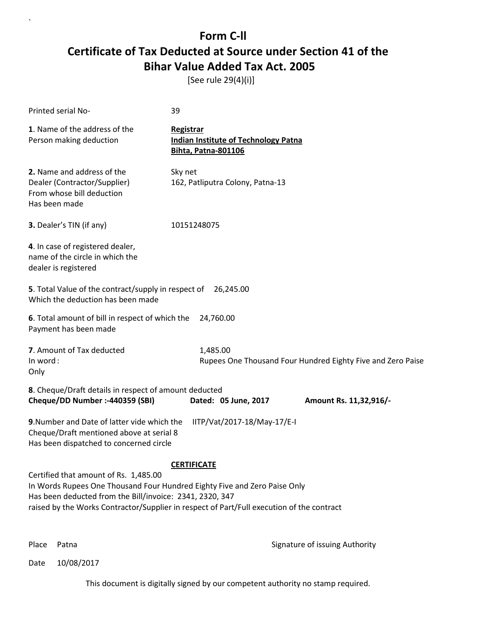[See rule 29(4)(i)]

| Printed serial No-                                                                                                                                                                                                                                                                                | 39                                                                                            |  |
|---------------------------------------------------------------------------------------------------------------------------------------------------------------------------------------------------------------------------------------------------------------------------------------------------|-----------------------------------------------------------------------------------------------|--|
| 1. Name of the address of the<br>Person making deduction                                                                                                                                                                                                                                          | <b>Registrar</b><br><b>Indian Institute of Technology Patna</b><br><b>Bihta, Patna-801106</b> |  |
| 2. Name and address of the<br>Dealer (Contractor/Supplier)<br>From whose bill deduction<br>Has been made                                                                                                                                                                                          | Sky net<br>162, Patliputra Colony, Patna-13                                                   |  |
| 3. Dealer's TIN (if any)                                                                                                                                                                                                                                                                          | 10151248075                                                                                   |  |
| 4. In case of registered dealer,<br>name of the circle in which the<br>dealer is registered                                                                                                                                                                                                       |                                                                                               |  |
| 5. Total Value of the contract/supply in respect of 26,245.00<br>Which the deduction has been made                                                                                                                                                                                                |                                                                                               |  |
| 6. Total amount of bill in respect of which the<br>Payment has been made                                                                                                                                                                                                                          | 24,760.00                                                                                     |  |
| 7. Amount of Tax deducted<br>In word:<br>Only                                                                                                                                                                                                                                                     | 1,485.00<br>Rupees One Thousand Four Hundred Eighty Five and Zero Paise                       |  |
| 8. Cheque/Draft details in respect of amount deducted<br>Cheque/DD Number :- 440359 (SBI)                                                                                                                                                                                                         | Dated: 05 June, 2017<br>Amount Rs. 11,32,916/-                                                |  |
| 9. Number and Date of latter vide which the<br>Cheque/Draft mentioned above at serial 8<br>Has been dispatched to concerned circle                                                                                                                                                                | IITP/Vat/2017-18/May-17/E-I                                                                   |  |
| <b>CERTIFICATE</b><br>Certified that amount of Rs. 1,485.00<br>In Words Rupees One Thousand Four Hundred Eighty Five and Zero Paise Only<br>Has been deducted from the Bill/invoice: 2341, 2320, 347<br>raised by the Works Contractor/Supplier in respect of Part/Full execution of the contract |                                                                                               |  |

`

Place Patna **Property** Place Patna Signature of issuing Authority

Date 10/08/2017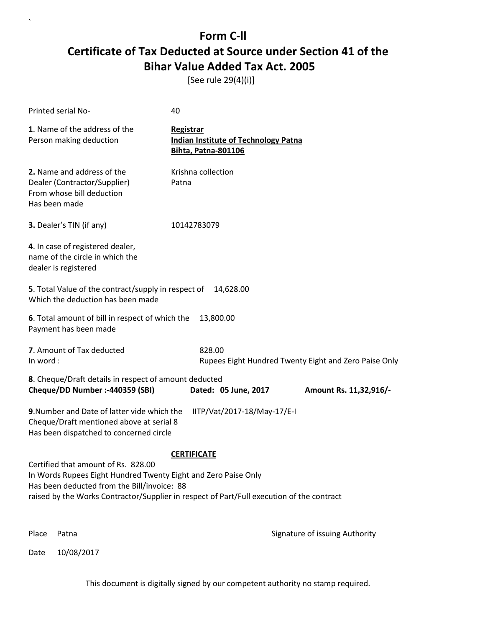[See rule 29(4)(i)]

| Printed serial No-                                                                                                                                                                                                                                | 40                                                                                     |                                |
|---------------------------------------------------------------------------------------------------------------------------------------------------------------------------------------------------------------------------------------------------|----------------------------------------------------------------------------------------|--------------------------------|
| 1. Name of the address of the<br>Person making deduction                                                                                                                                                                                          | Registrar<br><b>Indian Institute of Technology Patna</b><br><b>Bihta, Patna-801106</b> |                                |
| 2. Name and address of the<br>Dealer (Contractor/Supplier)<br>From whose bill deduction<br>Has been made                                                                                                                                          | Krishna collection<br>Patna                                                            |                                |
| 3. Dealer's TIN (if any)                                                                                                                                                                                                                          | 10142783079                                                                            |                                |
| 4. In case of registered dealer,<br>name of the circle in which the<br>dealer is registered                                                                                                                                                       |                                                                                        |                                |
| 5. Total Value of the contract/supply in respect of<br>Which the deduction has been made                                                                                                                                                          | 14,628.00                                                                              |                                |
| 6. Total amount of bill in respect of which the<br>Payment has been made                                                                                                                                                                          | 13,800.00                                                                              |                                |
| 7. Amount of Tax deducted<br>In word:                                                                                                                                                                                                             | 828.00<br>Rupees Eight Hundred Twenty Eight and Zero Paise Only                        |                                |
| 8. Cheque/Draft details in respect of amount deducted<br>Cheque/DD Number :- 440359 (SBI)                                                                                                                                                         | Dated: 05 June, 2017                                                                   | Amount Rs. 11,32,916/-         |
| 9. Number and Date of latter vide which the<br>Cheque/Draft mentioned above at serial 8<br>Has been dispatched to concerned circle                                                                                                                | IITP/Vat/2017-18/May-17/E-I                                                            |                                |
| Certified that amount of Rs. 828.00<br>In Words Rupees Eight Hundred Twenty Eight and Zero Paise Only<br>Has been deducted from the Bill/invoice: 88<br>raised by the Works Contractor/Supplier in respect of Part/Full execution of the contract | <b>CERTIFICATE</b>                                                                     |                                |
| Place<br>Patna                                                                                                                                                                                                                                    |                                                                                        | Signature of issuing Authority |

Date 10/08/2017

`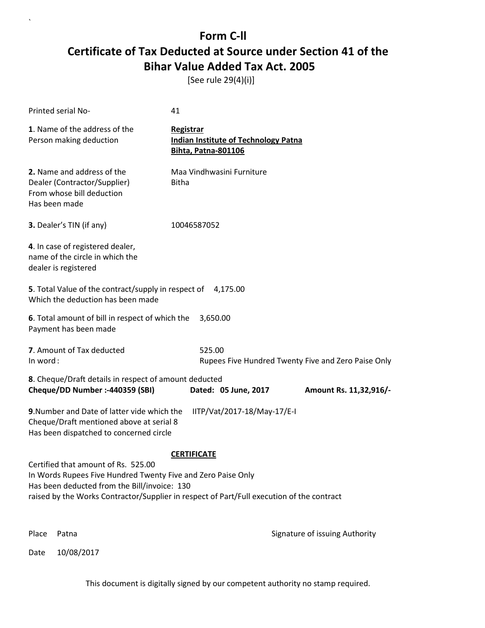[See rule 29(4)(i)]

| Printed serial No-                                                                                                                                  | 41                                                                                            |
|-----------------------------------------------------------------------------------------------------------------------------------------------------|-----------------------------------------------------------------------------------------------|
| 1. Name of the address of the<br>Person making deduction                                                                                            | <b>Registrar</b><br><b>Indian Institute of Technology Patna</b><br><b>Bihta, Patna-801106</b> |
| 2. Name and address of the<br>Dealer (Contractor/Supplier)<br>From whose bill deduction<br>Has been made                                            | Maa Vindhwasini Furniture<br><b>Bitha</b>                                                     |
| 3. Dealer's TIN (if any)                                                                                                                            | 10046587052                                                                                   |
| 4. In case of registered dealer,<br>name of the circle in which the<br>dealer is registered                                                         |                                                                                               |
| 5. Total Value of the contract/supply in respect of 4,175.00<br>Which the deduction has been made                                                   |                                                                                               |
| 6. Total amount of bill in respect of which the<br>Payment has been made                                                                            | 3,650.00                                                                                      |
| 7. Amount of Tax deducted<br>In word:                                                                                                               | 525.00<br>Rupees Five Hundred Twenty Five and Zero Paise Only                                 |
| 8. Cheque/Draft details in respect of amount deducted<br>Cheque/DD Number :- 440359 (SBI)                                                           | Dated: 05 June, 2017<br>Amount Rs. 11,32,916/-                                                |
| 9. Number and Date of latter vide which the<br>Cheque/Draft mentioned above at serial 8<br>Has been dispatched to concerned circle                  | IITP/Vat/2017-18/May-17/E-I                                                                   |
|                                                                                                                                                     | <b>CERTIFICATE</b>                                                                            |
| Certified that amount of Rs. 525.00<br>In Words Rupees Five Hundred Twenty Five and Zero Paise Only<br>Has been deducted from the Bill/invoice: 130 | raised by the Works Contractor/Supplier in respect of Part/Full execution of the contract     |
|                                                                                                                                                     |                                                                                               |
| Place<br>Patna                                                                                                                                      | Signature of issuing Authority                                                                |

Date 10/08/2017

`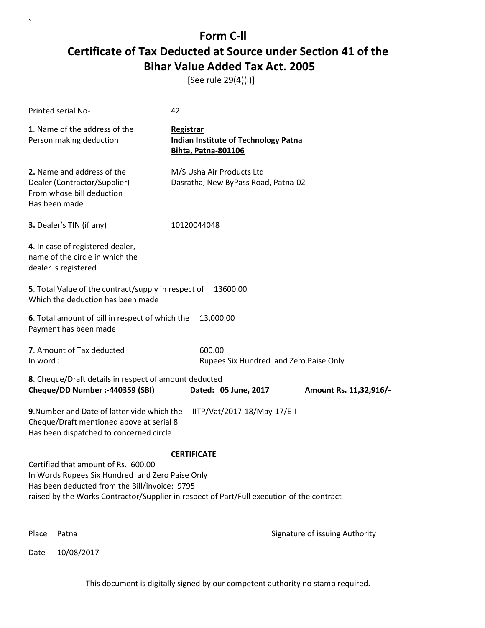[See rule 29(4)(i)]

| Printed serial No-                                                                                                                                                                                                                   | 42                                                                                            |                                |
|--------------------------------------------------------------------------------------------------------------------------------------------------------------------------------------------------------------------------------------|-----------------------------------------------------------------------------------------------|--------------------------------|
| 1. Name of the address of the<br>Person making deduction                                                                                                                                                                             | <b>Registrar</b><br><b>Indian Institute of Technology Patna</b><br><b>Bihta, Patna-801106</b> |                                |
| 2. Name and address of the<br>Dealer (Contractor/Supplier)<br>From whose bill deduction<br>Has been made                                                                                                                             | M/S Usha Air Products Ltd<br>Dasratha, New ByPass Road, Patna-02                              |                                |
| 3. Dealer's TIN (if any)                                                                                                                                                                                                             | 10120044048                                                                                   |                                |
| 4. In case of registered dealer,<br>name of the circle in which the<br>dealer is registered                                                                                                                                          |                                                                                               |                                |
| 5. Total Value of the contract/supply in respect of<br>Which the deduction has been made                                                                                                                                             | 13600.00                                                                                      |                                |
| 6. Total amount of bill in respect of which the<br>Payment has been made                                                                                                                                                             | 13,000.00                                                                                     |                                |
| 7. Amount of Tax deducted<br>In word:                                                                                                                                                                                                | 600.00<br>Rupees Six Hundred and Zero Paise Only                                              |                                |
| 8. Cheque/Draft details in respect of amount deducted<br>Cheque/DD Number :- 440359 (SBI)                                                                                                                                            | Dated: 05 June, 2017                                                                          | Amount Rs. 11,32,916/-         |
| 9. Number and Date of latter vide which the<br>Cheque/Draft mentioned above at serial 8<br>Has been dispatched to concerned circle                                                                                                   | IITP/Vat/2017-18/May-17/E-I                                                                   |                                |
|                                                                                                                                                                                                                                      | <b>CERTIFICATE</b>                                                                            |                                |
| Certified that amount of Rs. 600.00<br>In Words Rupees Six Hundred and Zero Paise Only<br>Has been deducted from the Bill/invoice: 9795<br>raised by the Works Contractor/Supplier in respect of Part/Full execution of the contract |                                                                                               |                                |
| Place<br>Patna                                                                                                                                                                                                                       |                                                                                               | Signature of issuing Authority |

Date 10/08/2017

`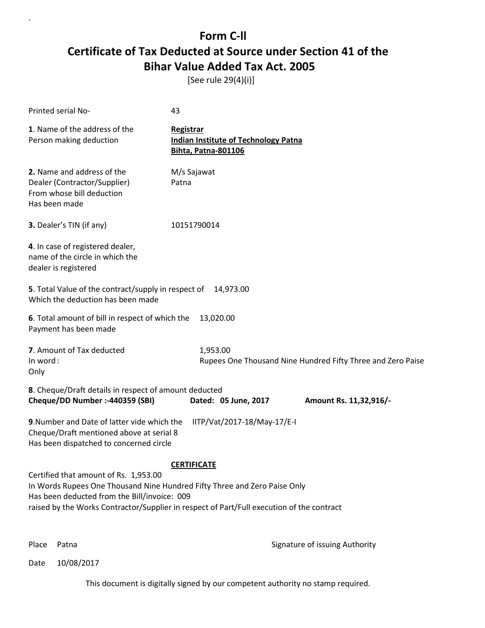[See rule 29(4)(i)]

| Printed serial No-                                                                                                                                                                                                                                                                    | 43                                                                                            |                        |
|---------------------------------------------------------------------------------------------------------------------------------------------------------------------------------------------------------------------------------------------------------------------------------------|-----------------------------------------------------------------------------------------------|------------------------|
| 1. Name of the address of the<br>Person making deduction                                                                                                                                                                                                                              | <b>Registrar</b><br><b>Indian Institute of Technology Patna</b><br><b>Bihta, Patna-801106</b> |                        |
| 2. Name and address of the<br>Dealer (Contractor/Supplier)<br>From whose bill deduction<br>Has been made                                                                                                                                                                              | M/s Sajawat<br>Patna                                                                          |                        |
| 3. Dealer's TIN (if any)                                                                                                                                                                                                                                                              | 10151790014                                                                                   |                        |
| 4. In case of registered dealer,<br>name of the circle in which the<br>dealer is registered                                                                                                                                                                                           |                                                                                               |                        |
| 5. Total Value of the contract/supply in respect of<br>Which the deduction has been made                                                                                                                                                                                              | 14,973.00                                                                                     |                        |
| 6. Total amount of bill in respect of which the<br>Payment has been made                                                                                                                                                                                                              | 13,020.00                                                                                     |                        |
| 7. Amount of Tax deducted<br>In word:<br>Only                                                                                                                                                                                                                                         | 1,953.00<br>Rupees One Thousand Nine Hundred Fifty Three and Zero Paise                       |                        |
| 8. Cheque/Draft details in respect of amount deducted<br>Cheque/DD Number :- 440359 (SBI)                                                                                                                                                                                             | Dated: 05 June, 2017                                                                          | Amount Rs. 11,32,916/- |
| 9. Number and Date of latter vide which the<br>Cheque/Draft mentioned above at serial 8<br>Has been dispatched to concerned circle                                                                                                                                                    | IITP/Vat/2017-18/May-17/E-I                                                                   |                        |
| <b>CERTIFICATE</b><br>Certified that amount of Rs. 1,953.00<br>In Words Rupees One Thousand Nine Hundred Fifty Three and Zero Paise Only<br>Has been deducted from the Bill/invoice: 009<br>raised by the Works Contractor/Supplier in respect of Part/Full execution of the contract |                                                                                               |                        |

`

Place Patna **Property** Place Patna Signature of issuing Authority

Date 10/08/2017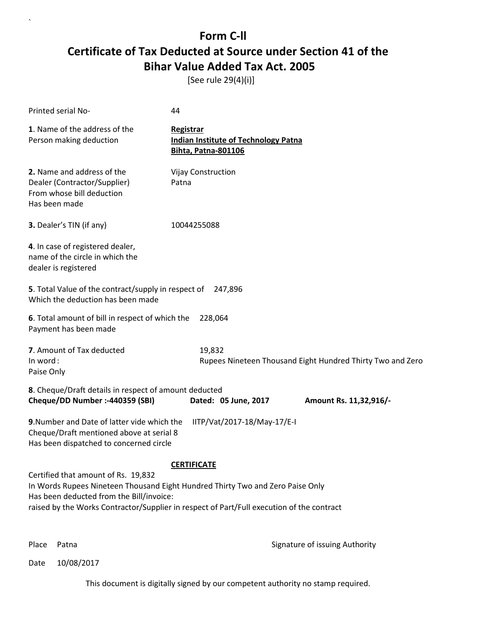[See rule 29(4)(i)]

| Printed serial No-                                                                                                                                                                                                                                             | 44                                                                                            |                                                            |
|----------------------------------------------------------------------------------------------------------------------------------------------------------------------------------------------------------------------------------------------------------------|-----------------------------------------------------------------------------------------------|------------------------------------------------------------|
| 1. Name of the address of the<br>Person making deduction                                                                                                                                                                                                       | <b>Registrar</b><br><b>Indian Institute of Technology Patna</b><br><b>Bihta, Patna-801106</b> |                                                            |
| 2. Name and address of the<br>Dealer (Contractor/Supplier)<br>From whose bill deduction<br>Has been made                                                                                                                                                       | <b>Vijay Construction</b><br>Patna                                                            |                                                            |
| 3. Dealer's TIN (if any)                                                                                                                                                                                                                                       | 10044255088                                                                                   |                                                            |
| 4. In case of registered dealer,<br>name of the circle in which the<br>dealer is registered                                                                                                                                                                    |                                                                                               |                                                            |
| 5. Total Value of the contract/supply in respect of<br>Which the deduction has been made                                                                                                                                                                       | 247,896                                                                                       |                                                            |
| 6. Total amount of bill in respect of which the<br>Payment has been made                                                                                                                                                                                       | 228,064                                                                                       |                                                            |
| 7. Amount of Tax deducted<br>In word:<br>Paise Only                                                                                                                                                                                                            | 19,832                                                                                        | Rupees Nineteen Thousand Eight Hundred Thirty Two and Zero |
| 8. Cheque/Draft details in respect of amount deducted<br>Cheque/DD Number :- 440359 (SBI)                                                                                                                                                                      | Dated: 05 June, 2017                                                                          | Amount Rs. 11,32,916/-                                     |
| 9. Number and Date of latter vide which the<br>Cheque/Draft mentioned above at serial 8<br>Has been dispatched to concerned circle                                                                                                                             | IITP/Vat/2017-18/May-17/E-I                                                                   |                                                            |
|                                                                                                                                                                                                                                                                | <b>CERTIFICATE</b>                                                                            |                                                            |
| Certified that amount of Rs. 19,832<br>In Words Rupees Nineteen Thousand Eight Hundred Thirty Two and Zero Paise Only<br>Has been deducted from the Bill/invoice:<br>raised by the Works Contractor/Supplier in respect of Part/Full execution of the contract |                                                                                               |                                                            |

`

Place Patna **Property** Place Patna Signature of issuing Authority

Date 10/08/2017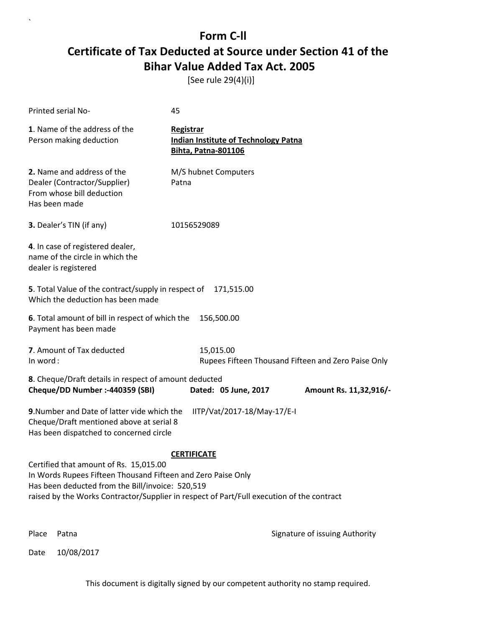[See rule 29(4)(i)]

| <b>Printed serial No-</b>                                                                                                                                                                                                                               | 45                                                                                     |                                |
|---------------------------------------------------------------------------------------------------------------------------------------------------------------------------------------------------------------------------------------------------------|----------------------------------------------------------------------------------------|--------------------------------|
| 1. Name of the address of the<br>Person making deduction                                                                                                                                                                                                | Registrar<br><b>Indian Institute of Technology Patna</b><br><b>Bihta, Patna-801106</b> |                                |
| 2. Name and address of the<br>Dealer (Contractor/Supplier)<br>From whose bill deduction<br>Has been made                                                                                                                                                | M/S hubnet Computers<br>Patna                                                          |                                |
| 3. Dealer's TIN (if any)                                                                                                                                                                                                                                | 10156529089                                                                            |                                |
| 4. In case of registered dealer,<br>name of the circle in which the<br>dealer is registered                                                                                                                                                             |                                                                                        |                                |
| 5. Total Value of the contract/supply in respect of<br>Which the deduction has been made                                                                                                                                                                | 171,515.00                                                                             |                                |
| 6. Total amount of bill in respect of which the<br>Payment has been made                                                                                                                                                                                | 156,500.00                                                                             |                                |
| 7. Amount of Tax deducted<br>In word:                                                                                                                                                                                                                   | 15,015.00<br>Rupees Fifteen Thousand Fifteen and Zero Paise Only                       |                                |
| 8. Cheque/Draft details in respect of amount deducted<br>Cheque/DD Number :- 440359 (SBI)                                                                                                                                                               | Dated: 05 June, 2017                                                                   | Amount Rs. 11,32,916/-         |
| 9. Number and Date of latter vide which the<br>Cheque/Draft mentioned above at serial 8<br>Has been dispatched to concerned circle                                                                                                                      | IITP/Vat/2017-18/May-17/E-I                                                            |                                |
|                                                                                                                                                                                                                                                         | <b>CERTIFICATE</b>                                                                     |                                |
| Certified that amount of Rs. 15,015.00<br>In Words Rupees Fifteen Thousand Fifteen and Zero Paise Only<br>Has been deducted from the Bill/invoice: 520,519<br>raised by the Works Contractor/Supplier in respect of Part/Full execution of the contract |                                                                                        |                                |
| Place<br>Patna                                                                                                                                                                                                                                          |                                                                                        | Signature of issuing Authority |

Date 10/08/2017

`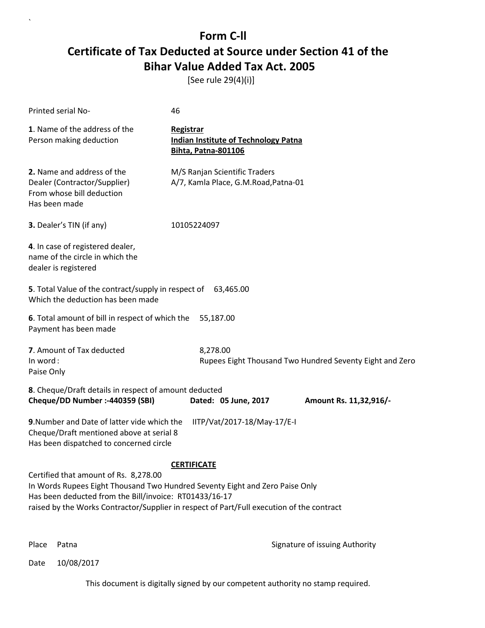[See rule 29(4)(i)]

| Printed serial No-                                                                                                                                                                                                                                                                                 | 46                                                                                            |                                                          |
|----------------------------------------------------------------------------------------------------------------------------------------------------------------------------------------------------------------------------------------------------------------------------------------------------|-----------------------------------------------------------------------------------------------|----------------------------------------------------------|
| 1. Name of the address of the<br>Person making deduction                                                                                                                                                                                                                                           | <b>Registrar</b><br><b>Indian Institute of Technology Patna</b><br><b>Bihta, Patna-801106</b> |                                                          |
| 2. Name and address of the<br>Dealer (Contractor/Supplier)<br>From whose bill deduction<br>Has been made                                                                                                                                                                                           | M/S Ranjan Scientific Traders<br>A/7, Kamla Place, G.M.Road, Patna-01                         |                                                          |
| 3. Dealer's TIN (if any)                                                                                                                                                                                                                                                                           | 10105224097                                                                                   |                                                          |
| 4. In case of registered dealer,<br>name of the circle in which the<br>dealer is registered                                                                                                                                                                                                        |                                                                                               |                                                          |
| 5. Total Value of the contract/supply in respect of 63,465.00<br>Which the deduction has been made                                                                                                                                                                                                 |                                                                                               |                                                          |
| 6. Total amount of bill in respect of which the<br>Payment has been made                                                                                                                                                                                                                           | 55,187.00                                                                                     |                                                          |
| 7. Amount of Tax deducted<br>In word:<br>Paise Only                                                                                                                                                                                                                                                | 8,278.00                                                                                      | Rupees Eight Thousand Two Hundred Seventy Eight and Zero |
| 8. Cheque/Draft details in respect of amount deducted<br>Cheque/DD Number :- 440359 (SBI)                                                                                                                                                                                                          | Dated: 05 June, 2017                                                                          | Amount Rs. 11,32,916/-                                   |
| 9. Number and Date of latter vide which the<br>Cheque/Draft mentioned above at serial 8<br>Has been dispatched to concerned circle                                                                                                                                                                 | IITP/Vat/2017-18/May-17/E-I                                                                   |                                                          |
| <b>CERTIFICATE</b><br>Certified that amount of Rs. 8,278.00<br>In Words Rupees Eight Thousand Two Hundred Seventy Eight and Zero Paise Only<br>Has been deducted from the Bill/invoice: RT01433/16-17<br>raised by the Works Contractor/Supplier in respect of Part/Full execution of the contract |                                                                                               |                                                          |

`

Place Patna **Property** Place Patna Signature of issuing Authority

Date 10/08/2017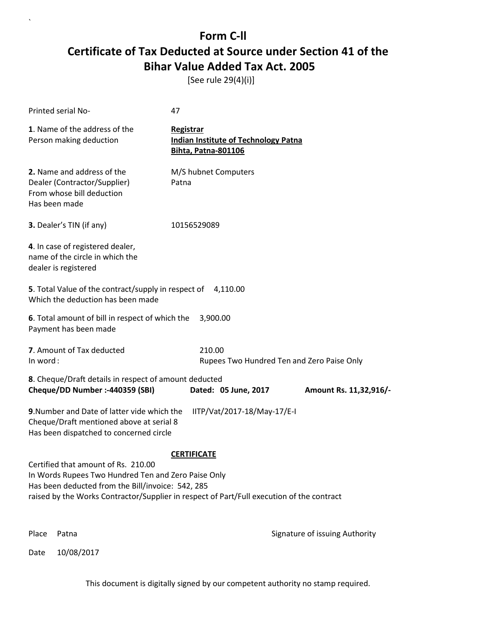[See rule 29(4)(i)]

| Printed serial No-                                                                                                                              | 47                                                                                        |
|-------------------------------------------------------------------------------------------------------------------------------------------------|-------------------------------------------------------------------------------------------|
| 1. Name of the address of the<br>Person making deduction                                                                                        | Registrar<br><b>Indian Institute of Technology Patna</b><br><b>Bihta, Patna-801106</b>    |
| 2. Name and address of the<br>Dealer (Contractor/Supplier)<br>From whose bill deduction<br>Has been made                                        | M/S hubnet Computers<br>Patna                                                             |
| 3. Dealer's TIN (if any)                                                                                                                        | 10156529089                                                                               |
| 4. In case of registered dealer,<br>name of the circle in which the<br>dealer is registered                                                     |                                                                                           |
| 5. Total Value of the contract/supply in respect of<br>Which the deduction has been made                                                        | 4,110.00                                                                                  |
| 6. Total amount of bill in respect of which the<br>Payment has been made                                                                        | 3,900.00                                                                                  |
| 7. Amount of Tax deducted<br>In word:                                                                                                           | 210.00<br>Rupees Two Hundred Ten and Zero Paise Only                                      |
| 8. Cheque/Draft details in respect of amount deducted<br>Cheque/DD Number :- 440359 (SBI)                                                       | Dated: 05 June, 2017<br>Amount Rs. 11,32,916/-                                            |
| 9. Number and Date of latter vide which the<br>Cheque/Draft mentioned above at serial 8<br>Has been dispatched to concerned circle              | IITP/Vat/2017-18/May-17/E-I                                                               |
|                                                                                                                                                 | <b>CERTIFICATE</b>                                                                        |
| Certified that amount of Rs. 210.00<br>In Words Rupees Two Hundred Ten and Zero Paise Only<br>Has been deducted from the Bill/invoice: 542, 285 | raised by the Works Contractor/Supplier in respect of Part/Full execution of the contract |
| Place<br>Patna                                                                                                                                  | Signature of issuing Authority                                                            |

Date 10/08/2017

`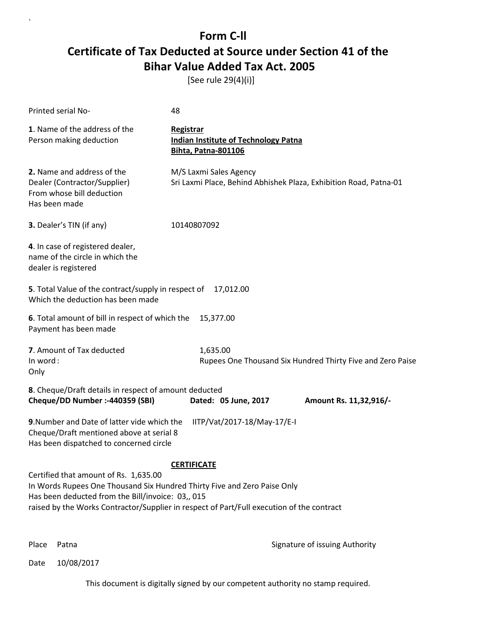[See rule 29(4)(i)]

| Printed serial No-                                                                                                                                                                                                                                                  | 48                                                                                          |                                                            |
|---------------------------------------------------------------------------------------------------------------------------------------------------------------------------------------------------------------------------------------------------------------------|---------------------------------------------------------------------------------------------|------------------------------------------------------------|
| 1. Name of the address of the<br>Person making deduction                                                                                                                                                                                                            | Registrar<br><b>Indian Institute of Technology Patna</b><br><b>Bihta, Patna-801106</b>      |                                                            |
| 2. Name and address of the<br>Dealer (Contractor/Supplier)<br>From whose bill deduction<br>Has been made                                                                                                                                                            | M/S Laxmi Sales Agency<br>Sri Laxmi Place, Behind Abhishek Plaza, Exhibition Road, Patna-01 |                                                            |
| 3. Dealer's TIN (if any)                                                                                                                                                                                                                                            | 10140807092                                                                                 |                                                            |
| 4. In case of registered dealer,<br>name of the circle in which the<br>dealer is registered                                                                                                                                                                         |                                                                                             |                                                            |
| 5. Total Value of the contract/supply in respect of<br>Which the deduction has been made                                                                                                                                                                            | 17,012.00                                                                                   |                                                            |
| 6. Total amount of bill in respect of which the<br>Payment has been made                                                                                                                                                                                            | 15,377.00                                                                                   |                                                            |
| 7. Amount of Tax deducted<br>In word:<br>Only                                                                                                                                                                                                                       | 1,635.00                                                                                    | Rupees One Thousand Six Hundred Thirty Five and Zero Paise |
| 8. Cheque/Draft details in respect of amount deducted<br>Cheque/DD Number :- 440359 (SBI)                                                                                                                                                                           | Dated: 05 June, 2017                                                                        | Amount Rs. 11,32,916/-                                     |
| 9. Number and Date of latter vide which the<br>Cheque/Draft mentioned above at serial 8<br>Has been dispatched to concerned circle                                                                                                                                  | IITP/Vat/2017-18/May-17/E-I                                                                 |                                                            |
| Certified that amount of Rs. 1,635.00<br>In Words Rupees One Thousand Six Hundred Thirty Five and Zero Paise Only<br>Has been deducted from the Bill/invoice: 03,, 015<br>raised by the Works Contractor/Supplier in respect of Part/Full execution of the contract | <b>CERTIFICATE</b>                                                                          |                                                            |

`

Place Patna **Property** Place Patna Signature of issuing Authority

Date 10/08/2017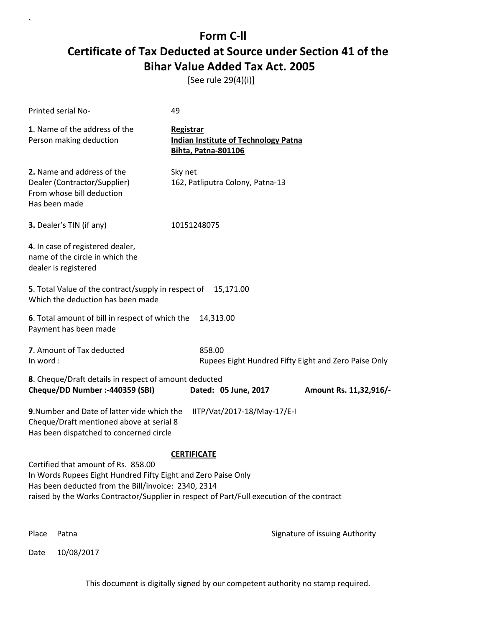[See rule 29(4)(i)]

| Printed serial No-                                                                                                                                                                                                                                       | 49                                                                                     |                                |  |
|----------------------------------------------------------------------------------------------------------------------------------------------------------------------------------------------------------------------------------------------------------|----------------------------------------------------------------------------------------|--------------------------------|--|
| 1. Name of the address of the<br>Person making deduction                                                                                                                                                                                                 | Registrar<br><b>Indian Institute of Technology Patna</b><br><b>Bihta, Patna-801106</b> |                                |  |
| 2. Name and address of the<br>Dealer (Contractor/Supplier)<br>From whose bill deduction<br>Has been made                                                                                                                                                 | Sky net<br>162, Patliputra Colony, Patna-13                                            |                                |  |
| 3. Dealer's TIN (if any)                                                                                                                                                                                                                                 | 10151248075                                                                            |                                |  |
| 4. In case of registered dealer,<br>name of the circle in which the<br>dealer is registered                                                                                                                                                              |                                                                                        |                                |  |
| 5. Total Value of the contract/supply in respect of<br>Which the deduction has been made                                                                                                                                                                 | 15,171.00                                                                              |                                |  |
| 6. Total amount of bill in respect of which the<br>Payment has been made                                                                                                                                                                                 | 14,313.00                                                                              |                                |  |
| 7. Amount of Tax deducted<br>In word:                                                                                                                                                                                                                    | 858.00<br>Rupees Eight Hundred Fifty Eight and Zero Paise Only                         |                                |  |
| 8. Cheque/Draft details in respect of amount deducted<br>Cheque/DD Number :- 440359 (SBI)                                                                                                                                                                | Dated: 05 June, 2017                                                                   | Amount Rs. 11,32,916/-         |  |
| 9. Number and Date of latter vide which the<br>Cheque/Draft mentioned above at serial 8<br>Has been dispatched to concerned circle                                                                                                                       | IITP/Vat/2017-18/May-17/E-I                                                            |                                |  |
|                                                                                                                                                                                                                                                          | <b>CERTIFICATE</b>                                                                     |                                |  |
| Certified that amount of Rs. 858.00<br>In Words Rupees Eight Hundred Fifty Eight and Zero Paise Only<br>Has been deducted from the Bill/invoice: 2340, 2314<br>raised by the Works Contractor/Supplier in respect of Part/Full execution of the contract |                                                                                        |                                |  |
| Place<br>Patna                                                                                                                                                                                                                                           |                                                                                        | Signature of issuing Authority |  |

Date 10/08/2017

`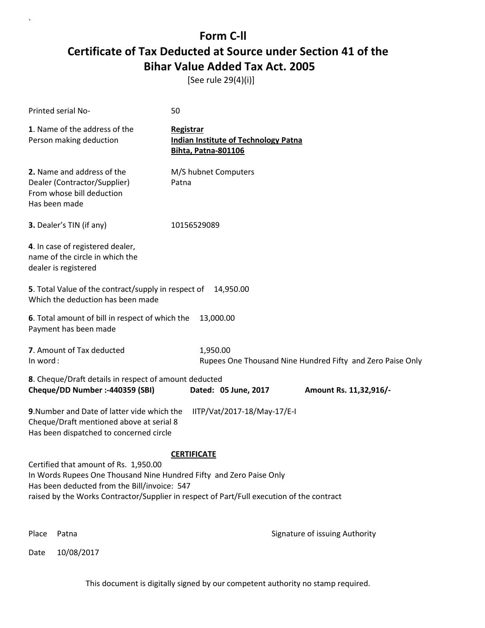[See rule 29(4)(i)]

| Printed serial No-                                                                                                                                                                                                                                                              | 50                                                                                     |  |  |  |
|---------------------------------------------------------------------------------------------------------------------------------------------------------------------------------------------------------------------------------------------------------------------------------|----------------------------------------------------------------------------------------|--|--|--|
| 1. Name of the address of the<br>Person making deduction                                                                                                                                                                                                                        | Registrar<br><b>Indian Institute of Technology Patna</b><br><b>Bihta, Patna-801106</b> |  |  |  |
| 2. Name and address of the<br>Dealer (Contractor/Supplier)<br>From whose bill deduction<br>Has been made                                                                                                                                                                        | M/S hubnet Computers<br>Patna                                                          |  |  |  |
| 3. Dealer's TIN (if any)                                                                                                                                                                                                                                                        | 10156529089                                                                            |  |  |  |
| 4. In case of registered dealer,<br>name of the circle in which the<br>dealer is registered                                                                                                                                                                                     |                                                                                        |  |  |  |
| 5. Total Value of the contract/supply in respect of<br>Which the deduction has been made                                                                                                                                                                                        | 14,950.00                                                                              |  |  |  |
| 6. Total amount of bill in respect of which the<br>Payment has been made                                                                                                                                                                                                        | 13,000.00                                                                              |  |  |  |
| 7. Amount of Tax deducted<br>In word:                                                                                                                                                                                                                                           | 1,950.00<br>Rupees One Thousand Nine Hundred Fifty and Zero Paise Only                 |  |  |  |
| 8. Cheque/Draft details in respect of amount deducted<br>Cheque/DD Number :- 440359 (SBI)                                                                                                                                                                                       | Dated: 05 June, 2017<br>Amount Rs. 11,32,916/-                                         |  |  |  |
| 9. Number and Date of latter vide which the<br>Cheque/Draft mentioned above at serial 8<br>Has been dispatched to concerned circle                                                                                                                                              | IITP/Vat/2017-18/May-17/E-I                                                            |  |  |  |
| <b>CERTIFICATE</b><br>Certified that amount of Rs. 1,950.00<br>In Words Rupees One Thousand Nine Hundred Fifty and Zero Paise Only<br>Has been deducted from the Bill/invoice: 547<br>raised by the Works Contractor/Supplier in respect of Part/Full execution of the contract |                                                                                        |  |  |  |
| Place<br>Patna                                                                                                                                                                                                                                                                  | Signature of issuing Authority                                                         |  |  |  |

Date 10/08/2017

`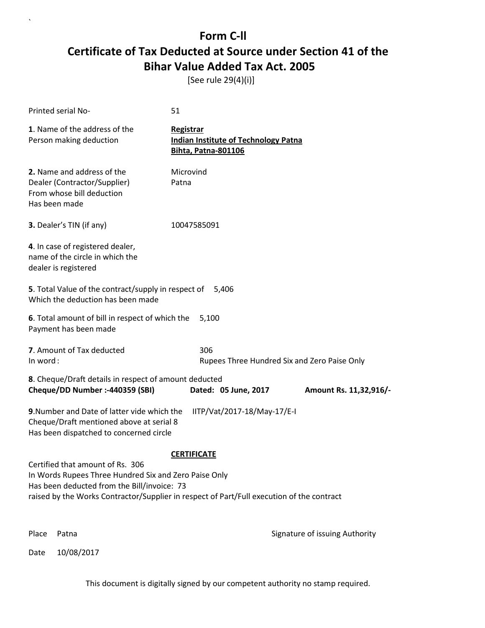[See rule 29(4)(i)]

`

|          | Printed serial No-                                                                                                                       | 51                                                                                                              |                                |  |
|----------|------------------------------------------------------------------------------------------------------------------------------------------|-----------------------------------------------------------------------------------------------------------------|--------------------------------|--|
|          | 1. Name of the address of the<br>Person making deduction                                                                                 | Registrar<br><b>Indian Institute of Technology Patna</b><br><b>Bihta, Patna-801106</b>                          |                                |  |
|          | 2. Name and address of the<br>Dealer (Contractor/Supplier)<br>From whose bill deduction<br>Has been made                                 | Microvind<br>Patna                                                                                              |                                |  |
|          | <b>3.</b> Dealer's TIN (if any)                                                                                                          | 10047585091                                                                                                     |                                |  |
|          | 4. In case of registered dealer,<br>name of the circle in which the<br>dealer is registered                                              |                                                                                                                 |                                |  |
|          | 5. Total Value of the contract/supply in respect of<br>Which the deduction has been made                                                 | 5,406                                                                                                           |                                |  |
|          | 6. Total amount of bill in respect of which the<br>Payment has been made                                                                 | 5,100                                                                                                           |                                |  |
| In word: | 7. Amount of Tax deducted                                                                                                                | 306<br>Rupees Three Hundred Six and Zero Paise Only                                                             |                                |  |
|          | 8. Cheque/Draft details in respect of amount deducted<br>Cheque/DD Number :- 440359 (SBI)                                                | Dated: 05 June, 2017                                                                                            | Amount Rs. 11,32,916/-         |  |
|          | 9. Number and Date of latter vide which the<br>Cheque/Draft mentioned above at serial 8<br>Has been dispatched to concerned circle       | IITP/Vat/2017-18/May-17/E-I                                                                                     |                                |  |
|          | Certified that amount of Rs. 306<br>In Words Rupees Three Hundred Six and Zero Paise Only<br>Has been deducted from the Bill/invoice: 73 | <b>CERTIFICATE</b><br>raised by the Works Contractor/Supplier in respect of Part/Full execution of the contract |                                |  |
| Place    | Patna                                                                                                                                    |                                                                                                                 | Signature of issuing Authority |  |
| Date     | 10/08/2017                                                                                                                               |                                                                                                                 |                                |  |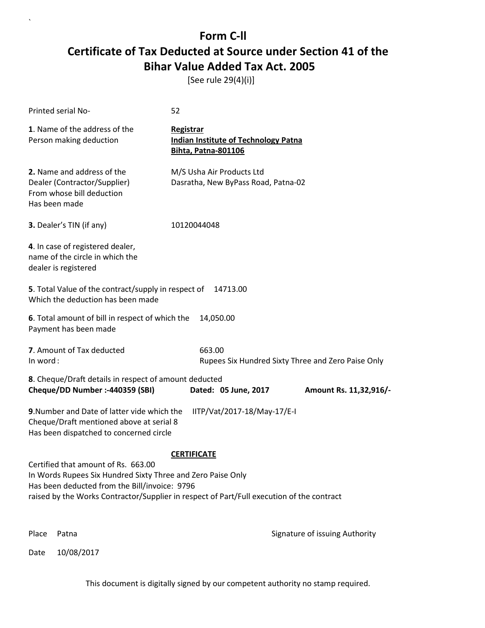[See rule 29(4)(i)]

| Printed serial No-                                                                                                                                                                                                                               | 52                                                                                     |                                                    |  |
|--------------------------------------------------------------------------------------------------------------------------------------------------------------------------------------------------------------------------------------------------|----------------------------------------------------------------------------------------|----------------------------------------------------|--|
| 1. Name of the address of the<br>Person making deduction                                                                                                                                                                                         | Registrar<br><b>Indian Institute of Technology Patna</b><br><b>Bihta, Patna-801106</b> |                                                    |  |
| 2. Name and address of the<br>Dealer (Contractor/Supplier)<br>From whose bill deduction<br>Has been made                                                                                                                                         | M/S Usha Air Products Ltd<br>Dasratha, New ByPass Road, Patna-02                       |                                                    |  |
| 3. Dealer's TIN (if any)                                                                                                                                                                                                                         | 10120044048                                                                            |                                                    |  |
| 4. In case of registered dealer,<br>name of the circle in which the<br>dealer is registered                                                                                                                                                      |                                                                                        |                                                    |  |
| 5. Total Value of the contract/supply in respect of<br>Which the deduction has been made                                                                                                                                                         | 14713.00                                                                               |                                                    |  |
| 6. Total amount of bill in respect of which the<br>Payment has been made                                                                                                                                                                         | 14,050.00                                                                              |                                                    |  |
| 7. Amount of Tax deducted<br>In word:                                                                                                                                                                                                            | 663.00                                                                                 | Rupees Six Hundred Sixty Three and Zero Paise Only |  |
| 8. Cheque/Draft details in respect of amount deducted<br>Cheque/DD Number :- 440359 (SBI)                                                                                                                                                        | Dated: 05 June, 2017                                                                   | Amount Rs. 11,32,916/-                             |  |
| 9. Number and Date of latter vide which the<br>Cheque/Draft mentioned above at serial 8<br>Has been dispatched to concerned circle                                                                                                               | IITP/Vat/2017-18/May-17/E-I                                                            |                                                    |  |
|                                                                                                                                                                                                                                                  | <b>CERTIFICATE</b>                                                                     |                                                    |  |
| Certified that amount of Rs. 663.00<br>In Words Rupees Six Hundred Sixty Three and Zero Paise Only<br>Has been deducted from the Bill/invoice: 9796<br>raised by the Works Contractor/Supplier in respect of Part/Full execution of the contract |                                                                                        |                                                    |  |
| Place<br>Patna                                                                                                                                                                                                                                   |                                                                                        | Signature of issuing Authority                     |  |

Date 10/08/2017

`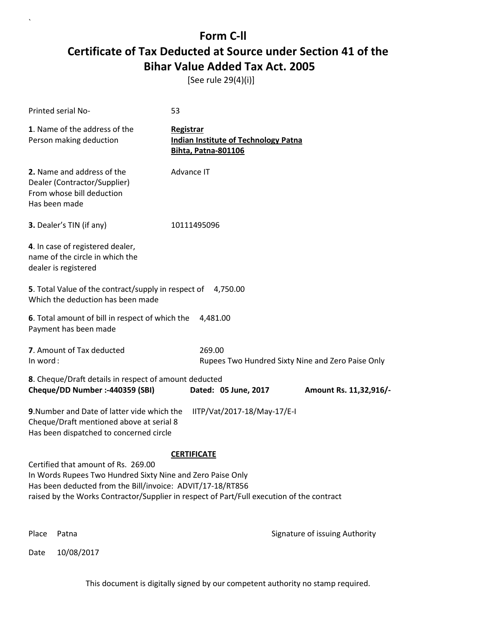[See rule 29(4)(i)]

`

Date 10/08/2017

| Printed serial No-                                                                                                                                                                                                                                           | 53                                                                                     |                                                   |
|--------------------------------------------------------------------------------------------------------------------------------------------------------------------------------------------------------------------------------------------------------------|----------------------------------------------------------------------------------------|---------------------------------------------------|
| 1. Name of the address of the<br>Person making deduction                                                                                                                                                                                                     | Registrar<br><b>Indian Institute of Technology Patna</b><br><b>Bihta, Patna-801106</b> |                                                   |
| 2. Name and address of the<br>Dealer (Contractor/Supplier)<br>From whose bill deduction<br>Has been made                                                                                                                                                     | Advance IT                                                                             |                                                   |
| 3. Dealer's TIN (if any)                                                                                                                                                                                                                                     | 10111495096                                                                            |                                                   |
| 4. In case of registered dealer,<br>name of the circle in which the<br>dealer is registered                                                                                                                                                                  |                                                                                        |                                                   |
| 5. Total Value of the contract/supply in respect of<br>Which the deduction has been made                                                                                                                                                                     | 4,750.00                                                                               |                                                   |
| 6. Total amount of bill in respect of which the<br>Payment has been made                                                                                                                                                                                     | 4,481.00                                                                               |                                                   |
| 7. Amount of Tax deducted<br>In word:                                                                                                                                                                                                                        | 269.00                                                                                 | Rupees Two Hundred Sixty Nine and Zero Paise Only |
| 8. Cheque/Draft details in respect of amount deducted<br>Cheque/DD Number :- 440359 (SBI)                                                                                                                                                                    | Dated: 05 June, 2017                                                                   | Amount Rs. 11,32,916/-                            |
| 9. Number and Date of latter vide which the<br>Cheque/Draft mentioned above at serial 8<br>Has been dispatched to concerned circle                                                                                                                           | IITP/Vat/2017-18/May-17/E-I                                                            |                                                   |
| Certified that amount of Rs. 269.00<br>In Words Rupees Two Hundred Sixty Nine and Zero Paise Only<br>Has been deducted from the Bill/invoice: ADVIT/17-18/RT856<br>raised by the Works Contractor/Supplier in respect of Part/Full execution of the contract | <b>CERTIFICATE</b>                                                                     |                                                   |
| Place<br>Patna                                                                                                                                                                                                                                               |                                                                                        | Signature of issuing Authority                    |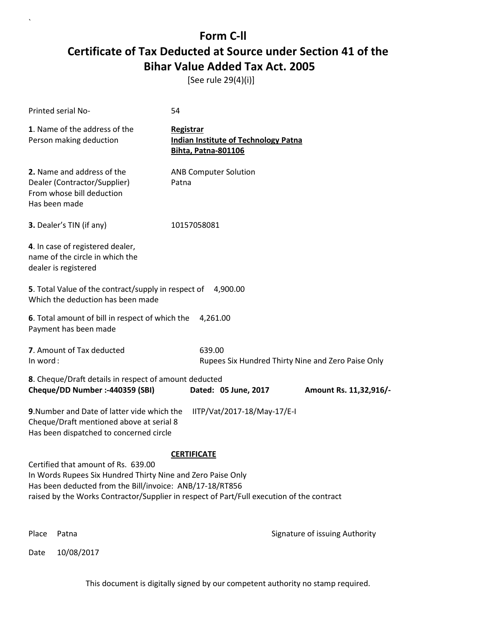[See rule 29(4)(i)]

| Printed serial No-                                                                                                                                             | 54                                                                                                              |
|----------------------------------------------------------------------------------------------------------------------------------------------------------------|-----------------------------------------------------------------------------------------------------------------|
| 1. Name of the address of the<br>Person making deduction                                                                                                       | Registrar<br><b>Indian Institute of Technology Patna</b><br><b>Bihta, Patna-801106</b>                          |
| 2. Name and address of the<br>Dealer (Contractor/Supplier)<br>From whose bill deduction<br>Has been made                                                       | <b>ANB Computer Solution</b><br>Patna                                                                           |
| 3. Dealer's TIN (if any)                                                                                                                                       | 10157058081                                                                                                     |
| 4. In case of registered dealer,<br>name of the circle in which the<br>dealer is registered                                                                    |                                                                                                                 |
| 5. Total Value of the contract/supply in respect of<br>Which the deduction has been made                                                                       | 4,900.00                                                                                                        |
| 6. Total amount of bill in respect of which the<br>Payment has been made                                                                                       | 4,261.00                                                                                                        |
| 7. Amount of Tax deducted<br>In word:                                                                                                                          | 639.00<br>Rupees Six Hundred Thirty Nine and Zero Paise Only                                                    |
| 8. Cheque/Draft details in respect of amount deducted<br>Cheque/DD Number :- 440359 (SBI)                                                                      | Dated: 05 June, 2017<br>Amount Rs. 11,32,916/-                                                                  |
| 9. Number and Date of latter vide which the<br>Cheque/Draft mentioned above at serial 8<br>Has been dispatched to concerned circle                             | IITP/Vat/2017-18/May-17/E-I                                                                                     |
| Certified that amount of Rs. 639.00<br>In Words Rupees Six Hundred Thirty Nine and Zero Paise Only<br>Has been deducted from the Bill/invoice: ANB/17-18/RT856 | <b>CERTIFICATE</b><br>raised by the Works Contractor/Supplier in respect of Part/Full execution of the contract |
| Place<br>Patna                                                                                                                                                 | Signature of issuing Authority                                                                                  |

Date 10/08/2017

`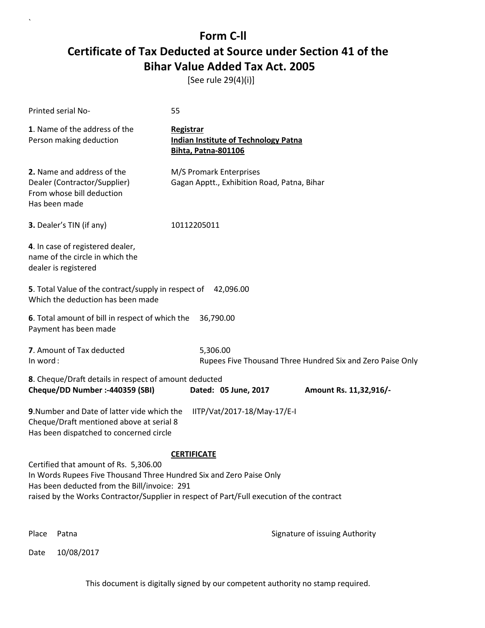[See rule 29(4)(i)]

| Printed serial No-                                                                                                                                                                                                                                                              | 55                                                                                            |                                                            |  |  |
|---------------------------------------------------------------------------------------------------------------------------------------------------------------------------------------------------------------------------------------------------------------------------------|-----------------------------------------------------------------------------------------------|------------------------------------------------------------|--|--|
| 1. Name of the address of the<br>Person making deduction                                                                                                                                                                                                                        | <b>Registrar</b><br><b>Indian Institute of Technology Patna</b><br><b>Bihta, Patna-801106</b> |                                                            |  |  |
| 2. Name and address of the<br>Dealer (Contractor/Supplier)<br>From whose bill deduction<br>Has been made                                                                                                                                                                        | M/S Promark Enterprises<br>Gagan Apptt., Exhibition Road, Patna, Bihar                        |                                                            |  |  |
| 3. Dealer's TIN (if any)                                                                                                                                                                                                                                                        | 10112205011                                                                                   |                                                            |  |  |
| 4. In case of registered dealer,<br>name of the circle in which the<br>dealer is registered                                                                                                                                                                                     |                                                                                               |                                                            |  |  |
| 5. Total Value of the contract/supply in respect of 42,096.00<br>Which the deduction has been made                                                                                                                                                                              |                                                                                               |                                                            |  |  |
| 6. Total amount of bill in respect of which the<br>Payment has been made                                                                                                                                                                                                        | 36,790.00                                                                                     |                                                            |  |  |
| 7. Amount of Tax deducted<br>In word:                                                                                                                                                                                                                                           | 5,306.00                                                                                      | Rupees Five Thousand Three Hundred Six and Zero Paise Only |  |  |
| 8. Cheque/Draft details in respect of amount deducted<br>Cheque/DD Number :- 440359 (SBI)                                                                                                                                                                                       | Dated: 05 June, 2017                                                                          | Amount Rs. 11,32,916/-                                     |  |  |
| 9. Number and Date of latter vide which the<br>Cheque/Draft mentioned above at serial 8<br>Has been dispatched to concerned circle                                                                                                                                              | IITP/Vat/2017-18/May-17/E-I                                                                   |                                                            |  |  |
| <b>CERTIFICATE</b><br>Certified that amount of Rs. 5,306.00<br>In Words Rupees Five Thousand Three Hundred Six and Zero Paise Only<br>Has been deducted from the Bill/invoice: 291<br>raised by the Works Contractor/Supplier in respect of Part/Full execution of the contract |                                                                                               |                                                            |  |  |
| Place<br>Patna                                                                                                                                                                                                                                                                  | Signature of issuing Authority                                                                |                                                            |  |  |

Date 10/08/2017

`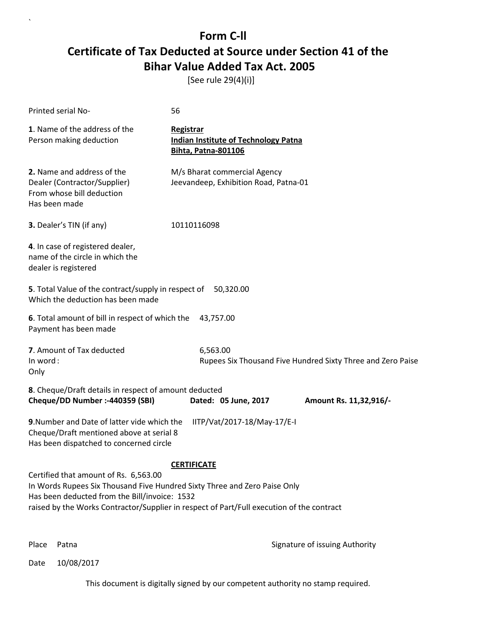[See rule 29(4)(i)]

| Printed serial No-                                                                                                                                                                                                                                                                     | 56                                                                                            |                      |                                                             |  |
|----------------------------------------------------------------------------------------------------------------------------------------------------------------------------------------------------------------------------------------------------------------------------------------|-----------------------------------------------------------------------------------------------|----------------------|-------------------------------------------------------------|--|
| 1. Name of the address of the<br>Person making deduction                                                                                                                                                                                                                               | <b>Registrar</b><br><b>Indian Institute of Technology Patna</b><br><b>Bihta, Patna-801106</b> |                      |                                                             |  |
| 2. Name and address of the<br>Dealer (Contractor/Supplier)<br>From whose bill deduction<br>Has been made                                                                                                                                                                               | M/s Bharat commercial Agency<br>Jeevandeep, Exhibition Road, Patna-01                         |                      |                                                             |  |
| 3. Dealer's TIN (if any)                                                                                                                                                                                                                                                               | 10110116098                                                                                   |                      |                                                             |  |
| 4. In case of registered dealer,<br>name of the circle in which the<br>dealer is registered                                                                                                                                                                                            |                                                                                               |                      |                                                             |  |
| 5. Total Value of the contract/supply in respect of 50,320.00<br>Which the deduction has been made                                                                                                                                                                                     |                                                                                               |                      |                                                             |  |
| 6. Total amount of bill in respect of which the<br>Payment has been made                                                                                                                                                                                                               |                                                                                               | 43,757.00            |                                                             |  |
| 7. Amount of Tax deducted<br>In word:<br>Only                                                                                                                                                                                                                                          |                                                                                               | 6,563.00             | Rupees Six Thousand Five Hundred Sixty Three and Zero Paise |  |
| 8. Cheque/Draft details in respect of amount deducted<br>Cheque/DD Number :- 440359 (SBI)                                                                                                                                                                                              |                                                                                               | Dated: 05 June, 2017 | Amount Rs. 11,32,916/-                                      |  |
| 9. Number and Date of latter vide which the<br>IITP/Vat/2017-18/May-17/E-I<br>Cheque/Draft mentioned above at serial 8<br>Has been dispatched to concerned circle                                                                                                                      |                                                                                               |                      |                                                             |  |
| <b>CERTIFICATE</b><br>Certified that amount of Rs. 6,563.00<br>In Words Rupees Six Thousand Five Hundred Sixty Three and Zero Paise Only<br>Has been deducted from the Bill/invoice: 1532<br>raised by the Works Contractor/Supplier in respect of Part/Full execution of the contract |                                                                                               |                      |                                                             |  |

`

Place Patna **Property** Place Patna Signature of issuing Authority

Date 10/08/2017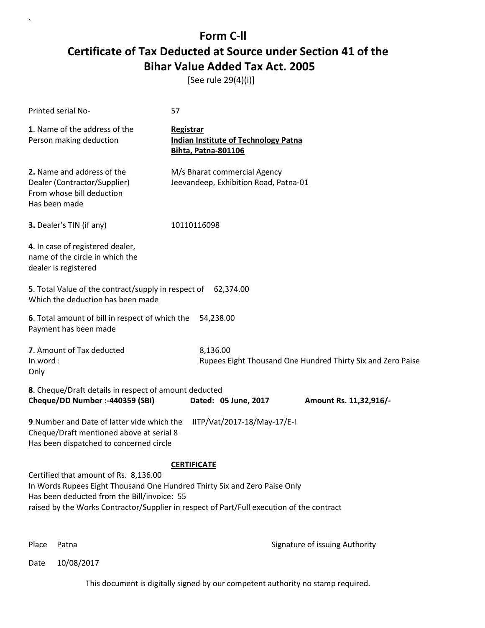[See rule 29(4)(i)]

| Printed serial No-                                                                                                                                                                                                                                                                   | 57                                                                                            |                      |  |                                                             |
|--------------------------------------------------------------------------------------------------------------------------------------------------------------------------------------------------------------------------------------------------------------------------------------|-----------------------------------------------------------------------------------------------|----------------------|--|-------------------------------------------------------------|
| 1. Name of the address of the<br>Person making deduction                                                                                                                                                                                                                             | <b>Registrar</b><br><b>Indian Institute of Technology Patna</b><br><b>Bihta, Patna-801106</b> |                      |  |                                                             |
| 2. Name and address of the<br>Dealer (Contractor/Supplier)<br>From whose bill deduction<br>Has been made                                                                                                                                                                             | M/s Bharat commercial Agency<br>Jeevandeep, Exhibition Road, Patna-01                         |                      |  |                                                             |
| 3. Dealer's TIN (if any)                                                                                                                                                                                                                                                             | 10110116098                                                                                   |                      |  |                                                             |
| 4. In case of registered dealer,<br>name of the circle in which the<br>dealer is registered                                                                                                                                                                                          |                                                                                               |                      |  |                                                             |
| 5. Total Value of the contract/supply in respect of 62,374.00<br>Which the deduction has been made                                                                                                                                                                                   |                                                                                               |                      |  |                                                             |
| 6. Total amount of bill in respect of which the<br>Payment has been made                                                                                                                                                                                                             |                                                                                               | 54,238.00            |  |                                                             |
| 7. Amount of Tax deducted<br>In word:<br>Only                                                                                                                                                                                                                                        |                                                                                               | 8,136.00             |  | Rupees Eight Thousand One Hundred Thirty Six and Zero Paise |
| 8. Cheque/Draft details in respect of amount deducted<br>Cheque/DD Number :- 440359 (SBI)                                                                                                                                                                                            |                                                                                               | Dated: 05 June, 2017 |  | Amount Rs. 11,32,916/-                                      |
| 9. Number and Date of latter vide which the<br>IITP/Vat/2017-18/May-17/E-I<br>Cheque/Draft mentioned above at serial 8<br>Has been dispatched to concerned circle                                                                                                                    |                                                                                               |                      |  |                                                             |
| <b>CERTIFICATE</b><br>Certified that amount of Rs. 8,136.00<br>In Words Rupees Eight Thousand One Hundred Thirty Six and Zero Paise Only<br>Has been deducted from the Bill/invoice: 55<br>raised by the Works Contractor/Supplier in respect of Part/Full execution of the contract |                                                                                               |                      |  |                                                             |

`

Place Patna **Property** Place Patna Signature of issuing Authority

Date 10/08/2017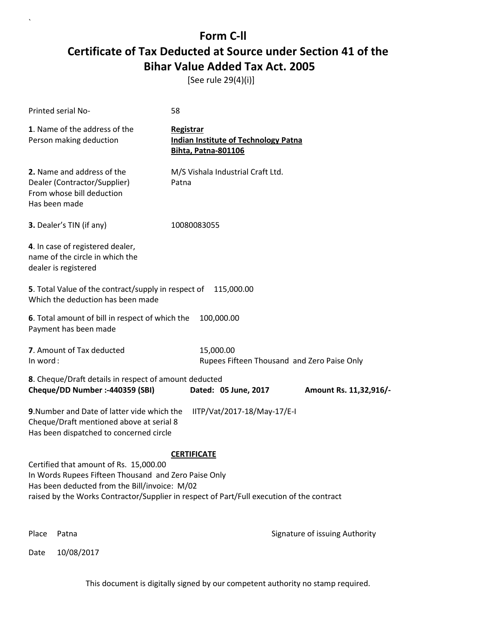[See rule 29(4)(i)]

| Printed serial No-                                                                                                                                                                                                                           | 58                                                                                     |                                |  |  |
|----------------------------------------------------------------------------------------------------------------------------------------------------------------------------------------------------------------------------------------------|----------------------------------------------------------------------------------------|--------------------------------|--|--|
| 1. Name of the address of the<br>Person making deduction                                                                                                                                                                                     | Registrar<br><b>Indian Institute of Technology Patna</b><br><b>Bihta, Patna-801106</b> |                                |  |  |
| 2. Name and address of the<br>Dealer (Contractor/Supplier)<br>From whose bill deduction<br>Has been made                                                                                                                                     | M/S Vishala Industrial Craft Ltd.<br>Patna                                             |                                |  |  |
| 3. Dealer's TIN (if any)                                                                                                                                                                                                                     | 10080083055                                                                            |                                |  |  |
| 4. In case of registered dealer,<br>name of the circle in which the<br>dealer is registered                                                                                                                                                  |                                                                                        |                                |  |  |
| 5. Total Value of the contract/supply in respect of<br>Which the deduction has been made                                                                                                                                                     | 115,000.00                                                                             |                                |  |  |
| 6. Total amount of bill in respect of which the<br>Payment has been made                                                                                                                                                                     | 100,000.00                                                                             |                                |  |  |
| 7. Amount of Tax deducted<br>In word:                                                                                                                                                                                                        | 15,000.00<br>Rupees Fifteen Thousand and Zero Paise Only                               |                                |  |  |
| 8. Cheque/Draft details in respect of amount deducted<br>Cheque/DD Number :- 440359 (SBI)                                                                                                                                                    | Dated: 05 June, 2017                                                                   | Amount Rs. 11,32,916/-         |  |  |
| 9. Number and Date of latter vide which the<br>Cheque/Draft mentioned above at serial 8<br>Has been dispatched to concerned circle                                                                                                           | IITP/Vat/2017-18/May-17/E-I                                                            |                                |  |  |
|                                                                                                                                                                                                                                              | <b>CERTIFICATE</b>                                                                     |                                |  |  |
| Certified that amount of Rs. 15,000.00<br>In Words Rupees Fifteen Thousand and Zero Paise Only<br>Has been deducted from the Bill/invoice: M/02<br>raised by the Works Contractor/Supplier in respect of Part/Full execution of the contract |                                                                                        |                                |  |  |
| Place<br>Patna                                                                                                                                                                                                                               |                                                                                        | Signature of issuing Authority |  |  |

Date 10/08/2017

`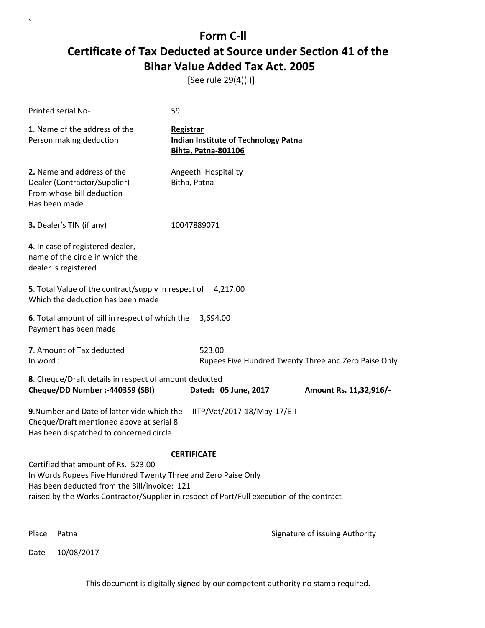[See rule 29(4)(i)]

| Printed serial No-                                                                                                                                                                                                                                | 59                                                                                     |                                |  |  |
|---------------------------------------------------------------------------------------------------------------------------------------------------------------------------------------------------------------------------------------------------|----------------------------------------------------------------------------------------|--------------------------------|--|--|
| 1. Name of the address of the<br>Person making deduction                                                                                                                                                                                          | Registrar<br><b>Indian Institute of Technology Patna</b><br><b>Bihta, Patna-801106</b> |                                |  |  |
| 2. Name and address of the<br>Dealer (Contractor/Supplier)<br>From whose bill deduction<br>Has been made                                                                                                                                          | Angeethi Hospitality<br>Bitha, Patna                                                   |                                |  |  |
| 3. Dealer's TIN (if any)                                                                                                                                                                                                                          | 10047889071                                                                            |                                |  |  |
| 4. In case of registered dealer,<br>name of the circle in which the<br>dealer is registered                                                                                                                                                       |                                                                                        |                                |  |  |
| 5. Total Value of the contract/supply in respect of 4,217.00<br>Which the deduction has been made                                                                                                                                                 |                                                                                        |                                |  |  |
| 6. Total amount of bill in respect of which the<br>Payment has been made                                                                                                                                                                          | 3,694.00                                                                               |                                |  |  |
| 7. Amount of Tax deducted<br>In word:                                                                                                                                                                                                             | 523.00<br>Rupees Five Hundred Twenty Three and Zero Paise Only                         |                                |  |  |
| 8. Cheque/Draft details in respect of amount deducted<br>Cheque/DD Number :- 440359 (SBI)                                                                                                                                                         | Dated: 05 June, 2017                                                                   | Amount Rs. 11,32,916/-         |  |  |
| 9. Number and Date of latter vide which the<br>Cheque/Draft mentioned above at serial 8<br>Has been dispatched to concerned circle                                                                                                                | IITP/Vat/2017-18/May-17/E-I                                                            |                                |  |  |
|                                                                                                                                                                                                                                                   | <b>CERTIFICATE</b>                                                                     |                                |  |  |
| Certified that amount of Rs. 523.00<br>In Words Rupees Five Hundred Twenty Three and Zero Paise Only<br>Has been deducted from the Bill/invoice: 121<br>raised by the Works Contractor/Supplier in respect of Part/Full execution of the contract |                                                                                        |                                |  |  |
| Place<br>Patna                                                                                                                                                                                                                                    |                                                                                        | Signature of issuing Authority |  |  |

Date 10/08/2017

 $\lambda$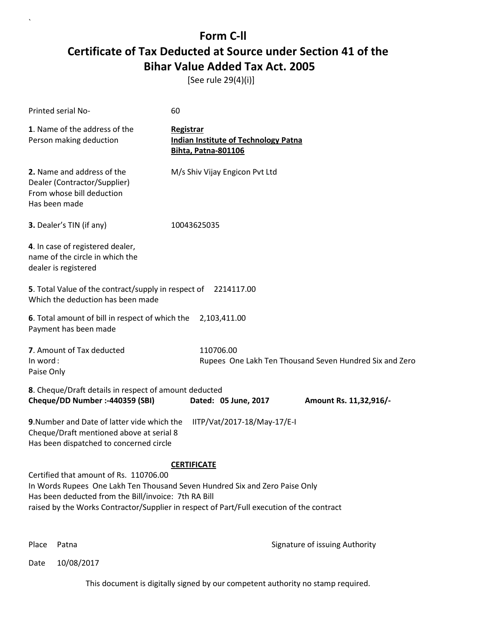[See rule 29(4)(i)]

| Printed serial No-                                                                                                                                                                                                                                                                               | 60                                                                                            |           |                      |  |                                                         |
|--------------------------------------------------------------------------------------------------------------------------------------------------------------------------------------------------------------------------------------------------------------------------------------------------|-----------------------------------------------------------------------------------------------|-----------|----------------------|--|---------------------------------------------------------|
| 1. Name of the address of the<br>Person making deduction                                                                                                                                                                                                                                         | <b>Registrar</b><br><b>Indian Institute of Technology Patna</b><br><b>Bihta, Patna-801106</b> |           |                      |  |                                                         |
| 2. Name and address of the<br>Dealer (Contractor/Supplier)<br>From whose bill deduction<br>Has been made                                                                                                                                                                                         | M/s Shiv Vijay Engicon Pvt Ltd                                                                |           |                      |  |                                                         |
| 3. Dealer's TIN (if any)                                                                                                                                                                                                                                                                         | 10043625035                                                                                   |           |                      |  |                                                         |
| 4. In case of registered dealer,<br>name of the circle in which the<br>dealer is registered                                                                                                                                                                                                      |                                                                                               |           |                      |  |                                                         |
| 5. Total Value of the contract/supply in respect of 2214117.00<br>Which the deduction has been made                                                                                                                                                                                              |                                                                                               |           |                      |  |                                                         |
| 6. Total amount of bill in respect of which the<br>Payment has been made                                                                                                                                                                                                                         |                                                                                               |           | 2,103,411.00         |  |                                                         |
| 7. Amount of Tax deducted<br>In word:<br>Paise Only                                                                                                                                                                                                                                              |                                                                                               | 110706.00 |                      |  | Rupees One Lakh Ten Thousand Seven Hundred Six and Zero |
| 8. Cheque/Draft details in respect of amount deducted<br>Cheque/DD Number :- 440359 (SBI)                                                                                                                                                                                                        |                                                                                               |           | Dated: 05 June, 2017 |  | Amount Rs. 11,32,916/-                                  |
| 9. Number and Date of latter vide which the<br>IITP/Vat/2017-18/May-17/E-I<br>Cheque/Draft mentioned above at serial 8<br>Has been dispatched to concerned circle                                                                                                                                |                                                                                               |           |                      |  |                                                         |
| <b>CERTIFICATE</b><br>Certified that amount of Rs. 110706.00<br>In Words Rupees One Lakh Ten Thousand Seven Hundred Six and Zero Paise Only<br>Has been deducted from the Bill/invoice: 7th RA Bill<br>raised by the Works Contractor/Supplier in respect of Part/Full execution of the contract |                                                                                               |           |                      |  |                                                         |

`

Place Patna **Property** Place Patna Signature of issuing Authority

Date 10/08/2017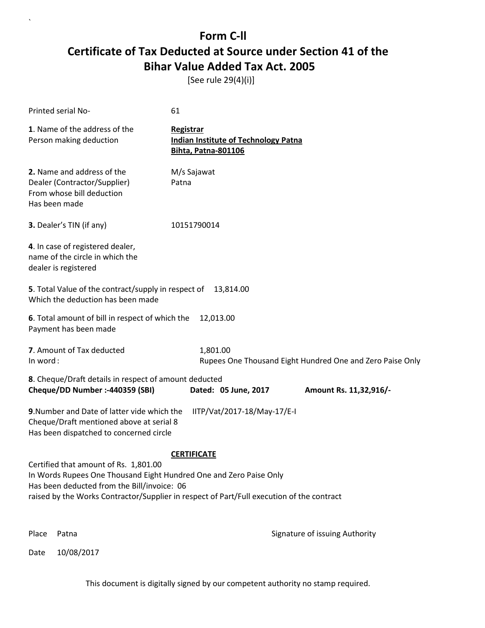[See rule 29(4)(i)]

| <b>Printed serial No-</b>                                                                                                                                  | 61                                                                                        |  |  |
|------------------------------------------------------------------------------------------------------------------------------------------------------------|-------------------------------------------------------------------------------------------|--|--|
| 1. Name of the address of the<br>Person making deduction                                                                                                   | Registrar<br><b>Indian Institute of Technology Patna</b><br><b>Bihta, Patna-801106</b>    |  |  |
| 2. Name and address of the<br>Dealer (Contractor/Supplier)<br>From whose bill deduction<br>Has been made                                                   | M/s Sajawat<br>Patna                                                                      |  |  |
| 3. Dealer's TIN (if any)                                                                                                                                   | 10151790014                                                                               |  |  |
| 4. In case of registered dealer,<br>name of the circle in which the<br>dealer is registered                                                                |                                                                                           |  |  |
| 5. Total Value of the contract/supply in respect of<br>Which the deduction has been made                                                                   | 13,814.00                                                                                 |  |  |
| 6. Total amount of bill in respect of which the<br>12,013.00<br>Payment has been made                                                                      |                                                                                           |  |  |
| 7. Amount of Tax deducted<br>In word:                                                                                                                      | 1,801.00<br>Rupees One Thousand Eight Hundred One and Zero Paise Only                     |  |  |
| 8. Cheque/Draft details in respect of amount deducted<br>Cheque/DD Number :- 440359 (SBI)                                                                  | Dated: 05 June, 2017<br>Amount Rs. 11,32,916/-                                            |  |  |
| 9. Number and Date of latter vide which the<br>Cheque/Draft mentioned above at serial 8<br>Has been dispatched to concerned circle                         | IITP/Vat/2017-18/May-17/E-I                                                               |  |  |
| <b>CERTIFICATE</b>                                                                                                                                         |                                                                                           |  |  |
| Certified that amount of Rs. 1,801.00<br>In Words Rupees One Thousand Eight Hundred One and Zero Paise Only<br>Has been deducted from the Bill/invoice: 06 | raised by the Works Contractor/Supplier in respect of Part/Full execution of the contract |  |  |
| Place<br>Patna                                                                                                                                             | Signature of issuing Authority                                                            |  |  |

Date 10/08/2017

`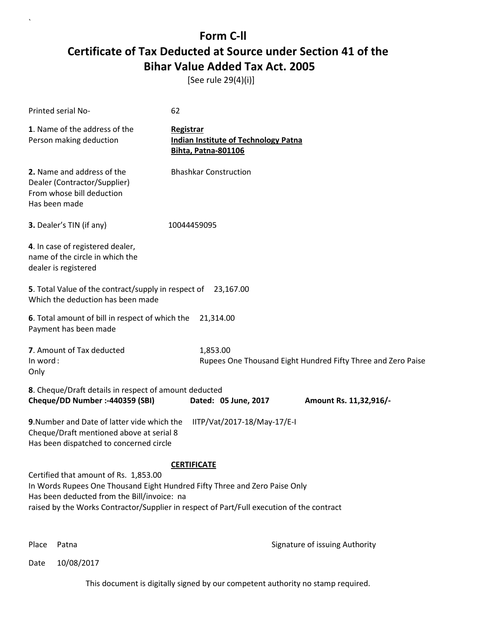[See rule 29(4)(i)]

| Printed serial No-                                                                                                                                                                                                                                              | 62                                                                                            |  |  |
|-----------------------------------------------------------------------------------------------------------------------------------------------------------------------------------------------------------------------------------------------------------------|-----------------------------------------------------------------------------------------------|--|--|
| 1. Name of the address of the<br>Person making deduction                                                                                                                                                                                                        | <b>Registrar</b><br><b>Indian Institute of Technology Patna</b><br><b>Bihta, Patna-801106</b> |  |  |
| 2. Name and address of the<br>Dealer (Contractor/Supplier)<br>From whose bill deduction<br>Has been made                                                                                                                                                        | <b>Bhashkar Construction</b>                                                                  |  |  |
| 3. Dealer's TIN (if any)                                                                                                                                                                                                                                        | 10044459095                                                                                   |  |  |
| 4. In case of registered dealer,<br>name of the circle in which the<br>dealer is registered                                                                                                                                                                     |                                                                                               |  |  |
| 5. Total Value of the contract/supply in respect of 23,167.00<br>Which the deduction has been made                                                                                                                                                              |                                                                                               |  |  |
| 6. Total amount of bill in respect of which the<br>Payment has been made                                                                                                                                                                                        | 21,314.00                                                                                     |  |  |
| 7. Amount of Tax deducted<br>In word:<br>Only                                                                                                                                                                                                                   | 1,853.00<br>Rupees One Thousand Eight Hundred Fifty Three and Zero Paise                      |  |  |
| 8. Cheque/Draft details in respect of amount deducted<br>Cheque/DD Number :- 440359 (SBI)                                                                                                                                                                       | Dated: 05 June, 2017<br>Amount Rs. 11,32,916/-                                                |  |  |
| 9. Number and Date of latter vide which the<br>Cheque/Draft mentioned above at serial 8<br>Has been dispatched to concerned circle                                                                                                                              | IITP/Vat/2017-18/May-17/E-I                                                                   |  |  |
|                                                                                                                                                                                                                                                                 | <b>CERTIFICATE</b>                                                                            |  |  |
| Certified that amount of Rs. 1,853.00<br>In Words Rupees One Thousand Eight Hundred Fifty Three and Zero Paise Only<br>Has been deducted from the Bill/invoice: na<br>raised by the Works Contractor/Supplier in respect of Part/Full execution of the contract |                                                                                               |  |  |

`

Place Patna **Property** Place Patna Signature of issuing Authority

Date 10/08/2017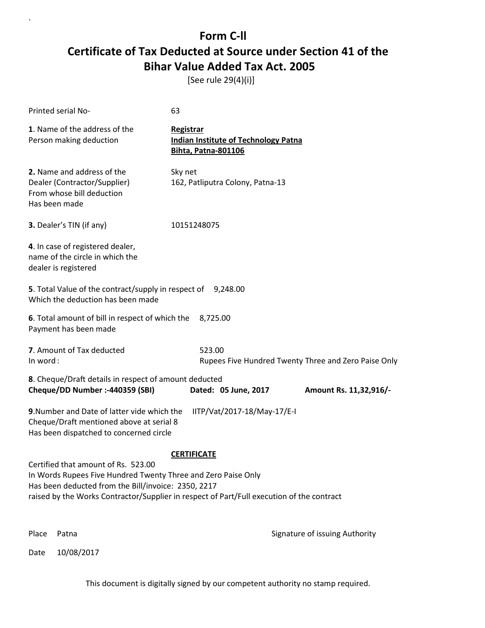[See rule 29(4)(i)]

| <b>Printed serial No-</b>                                                                                                                                         | 63                                                                                            |  |  |
|-------------------------------------------------------------------------------------------------------------------------------------------------------------------|-----------------------------------------------------------------------------------------------|--|--|
| 1. Name of the address of the<br>Person making deduction                                                                                                          | <b>Registrar</b><br><b>Indian Institute of Technology Patna</b><br><b>Bihta, Patna-801106</b> |  |  |
| 2. Name and address of the<br>Dealer (Contractor/Supplier)<br>From whose bill deduction<br>Has been made                                                          | Sky net<br>162, Patliputra Colony, Patna-13                                                   |  |  |
| 3. Dealer's TIN (if any)                                                                                                                                          | 10151248075                                                                                   |  |  |
| 4. In case of registered dealer,<br>name of the circle in which the<br>dealer is registered                                                                       |                                                                                               |  |  |
| 5. Total Value of the contract/supply in respect of 9,248.00<br>Which the deduction has been made                                                                 |                                                                                               |  |  |
| 6. Total amount of bill in respect of which the<br>8,725.00<br>Payment has been made                                                                              |                                                                                               |  |  |
| 7. Amount of Tax deducted<br>In word:                                                                                                                             | 523.00<br>Rupees Five Hundred Twenty Three and Zero Paise Only                                |  |  |
| 8. Cheque/Draft details in respect of amount deducted<br>Cheque/DD Number :- 440359 (SBI)                                                                         | Dated: 05 June, 2017<br>Amount Rs. 11,32,916/-                                                |  |  |
| 9. Number and Date of latter vide which the<br>IITP/Vat/2017-18/May-17/E-I<br>Cheque/Draft mentioned above at serial 8<br>Has been dispatched to concerned circle |                                                                                               |  |  |
|                                                                                                                                                                   | <b>CERTIFICATE</b>                                                                            |  |  |
| Certified that amount of Rs. 523.00<br>In Words Rupees Five Hundred Twenty Three and Zero Paise Only<br>Has been deducted from the Bill/invoice: 2350, 2217       | raised by the Works Contractor/Supplier in respect of Part/Full execution of the contract     |  |  |
| Place<br>Patna                                                                                                                                                    | Signature of issuing Authority                                                                |  |  |

Date 10/08/2017

`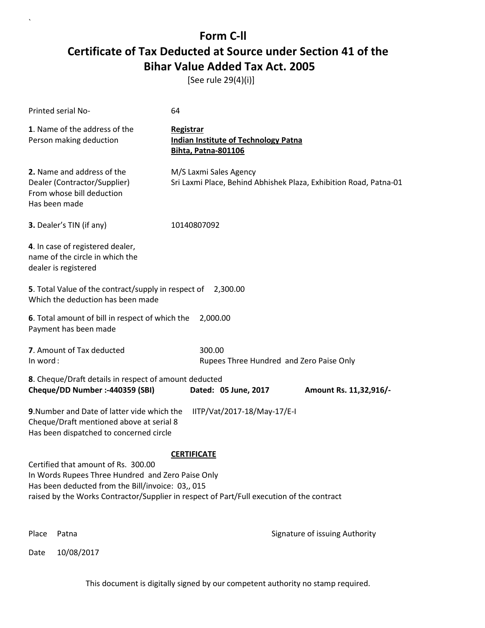[See rule 29(4)(i)]

| Printed serial No-                                                                                                                                                                                                                         | 64                                                                                            |                                |
|--------------------------------------------------------------------------------------------------------------------------------------------------------------------------------------------------------------------------------------------|-----------------------------------------------------------------------------------------------|--------------------------------|
| 1. Name of the address of the<br>Person making deduction                                                                                                                                                                                   | <b>Registrar</b><br><b>Indian Institute of Technology Patna</b><br><b>Bihta, Patna-801106</b> |                                |
| 2. Name and address of the<br>Dealer (Contractor/Supplier)<br>From whose bill deduction<br>Has been made                                                                                                                                   | M/S Laxmi Sales Agency<br>Sri Laxmi Place, Behind Abhishek Plaza, Exhibition Road, Patna-01   |                                |
| 3. Dealer's TIN (if any)                                                                                                                                                                                                                   | 10140807092                                                                                   |                                |
| 4. In case of registered dealer,<br>name of the circle in which the<br>dealer is registered                                                                                                                                                |                                                                                               |                                |
| 5. Total Value of the contract/supply in respect of 2,300.00<br>Which the deduction has been made                                                                                                                                          |                                                                                               |                                |
| 6. Total amount of bill in respect of which the<br>Payment has been made                                                                                                                                                                   | 2,000.00                                                                                      |                                |
| 7. Amount of Tax deducted<br>In word:                                                                                                                                                                                                      | 300.00<br>Rupees Three Hundred and Zero Paise Only                                            |                                |
| 8. Cheque/Draft details in respect of amount deducted<br>Cheque/DD Number :- 440359 (SBI)                                                                                                                                                  | Dated: 05 June, 2017                                                                          | Amount Rs. 11,32,916/-         |
| 9. Number and Date of latter vide which the<br>Cheque/Draft mentioned above at serial 8<br>Has been dispatched to concerned circle                                                                                                         | IITP/Vat/2017-18/May-17/E-I                                                                   |                                |
|                                                                                                                                                                                                                                            | <b>CERTIFICATE</b>                                                                            |                                |
| Certified that amount of Rs. 300.00<br>In Words Rupees Three Hundred and Zero Paise Only<br>Has been deducted from the Bill/invoice: 03,, 015<br>raised by the Works Contractor/Supplier in respect of Part/Full execution of the contract |                                                                                               |                                |
| Place<br>Patna                                                                                                                                                                                                                             |                                                                                               | Signature of issuing Authority |

Date 10/08/2017

`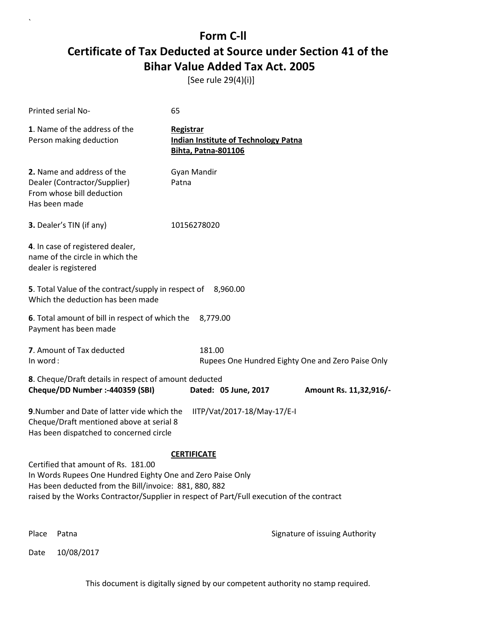[See rule 29(4)(i)]

| Printed serial No-                                                                                                                                                                                                                                                             | 65                                                                                            |  |  |
|--------------------------------------------------------------------------------------------------------------------------------------------------------------------------------------------------------------------------------------------------------------------------------|-----------------------------------------------------------------------------------------------|--|--|
| 1. Name of the address of the<br>Person making deduction                                                                                                                                                                                                                       | <b>Registrar</b><br><b>Indian Institute of Technology Patna</b><br><b>Bihta, Patna-801106</b> |  |  |
| 2. Name and address of the<br>Dealer (Contractor/Supplier)<br>From whose bill deduction<br>Has been made                                                                                                                                                                       | Gyan Mandir<br>Patna                                                                          |  |  |
| 3. Dealer's TIN (if any)                                                                                                                                                                                                                                                       | 10156278020                                                                                   |  |  |
| 4. In case of registered dealer,<br>name of the circle in which the<br>dealer is registered                                                                                                                                                                                    |                                                                                               |  |  |
| 5. Total Value of the contract/supply in respect of 8,960.00<br>Which the deduction has been made                                                                                                                                                                              |                                                                                               |  |  |
| 6. Total amount of bill in respect of which the<br>8,779.00<br>Payment has been made                                                                                                                                                                                           |                                                                                               |  |  |
| 7. Amount of Tax deducted<br>In word:                                                                                                                                                                                                                                          | 181.00<br>Rupees One Hundred Eighty One and Zero Paise Only                                   |  |  |
| 8. Cheque/Draft details in respect of amount deducted<br>Cheque/DD Number :- 440359 (SBI)<br>Dated: 05 June, 2017<br>Amount Rs. 11,32,916/-                                                                                                                                    |                                                                                               |  |  |
| 9. Number and Date of latter vide which the<br>IITP/Vat/2017-18/May-17/E-I<br>Cheque/Draft mentioned above at serial 8<br>Has been dispatched to concerned circle                                                                                                              |                                                                                               |  |  |
| <b>CERTIFICATE</b><br>Certified that amount of Rs. 181.00<br>In Words Rupees One Hundred Eighty One and Zero Paise Only<br>Has been deducted from the Bill/invoice: 881, 880, 882<br>raised by the Works Contractor/Supplier in respect of Part/Full execution of the contract |                                                                                               |  |  |
| Place<br>Patna                                                                                                                                                                                                                                                                 | Signature of issuing Authority                                                                |  |  |

Date 10/08/2017

`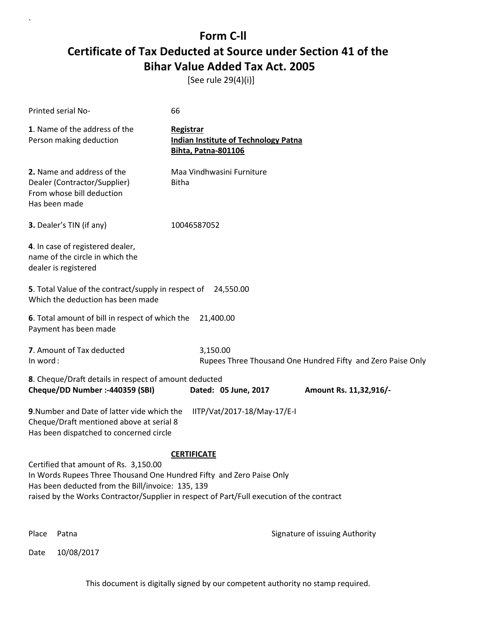[See rule 29(4)(i)]

| Printed serial No-                                                                                                                                                                                                                                                                    | 66                                                                                            |  |  |
|---------------------------------------------------------------------------------------------------------------------------------------------------------------------------------------------------------------------------------------------------------------------------------------|-----------------------------------------------------------------------------------------------|--|--|
| 1. Name of the address of the<br>Person making deduction                                                                                                                                                                                                                              | <b>Registrar</b><br><b>Indian Institute of Technology Patna</b><br><b>Bihta, Patna-801106</b> |  |  |
| 2. Name and address of the<br>Dealer (Contractor/Supplier)<br>From whose bill deduction<br>Has been made                                                                                                                                                                              | Maa Vindhwasini Furniture<br><b>Bitha</b>                                                     |  |  |
| 3. Dealer's TIN (if any)                                                                                                                                                                                                                                                              | 10046587052                                                                                   |  |  |
| 4. In case of registered dealer,<br>name of the circle in which the<br>dealer is registered                                                                                                                                                                                           |                                                                                               |  |  |
| 5. Total Value of the contract/supply in respect of<br>Which the deduction has been made                                                                                                                                                                                              | 24,550.00                                                                                     |  |  |
| 6. Total amount of bill in respect of which the<br>21,400.00<br>Payment has been made                                                                                                                                                                                                 |                                                                                               |  |  |
| 7. Amount of Tax deducted<br>In word:                                                                                                                                                                                                                                                 | 3,150.00<br>Rupees Three Thousand One Hundred Fifty and Zero Paise Only                       |  |  |
| 8. Cheque/Draft details in respect of amount deducted<br>Cheque/DD Number :- 440359 (SBI)                                                                                                                                                                                             | Dated: 05 June, 2017<br>Amount Rs. 11,32,916/-                                                |  |  |
| 9. Number and Date of latter vide which the<br>Cheque/Draft mentioned above at serial 8<br>Has been dispatched to concerned circle                                                                                                                                                    | IITP/Vat/2017-18/May-17/E-I                                                                   |  |  |
| <b>CERTIFICATE</b><br>Certified that amount of Rs. 3,150.00<br>In Words Rupees Three Thousand One Hundred Fifty and Zero Paise Only<br>Has been deducted from the Bill/invoice: 135, 139<br>raised by the Works Contractor/Supplier in respect of Part/Full execution of the contract |                                                                                               |  |  |
| Place<br>Patna                                                                                                                                                                                                                                                                        | Signature of issuing Authority                                                                |  |  |

Date 10/08/2017

`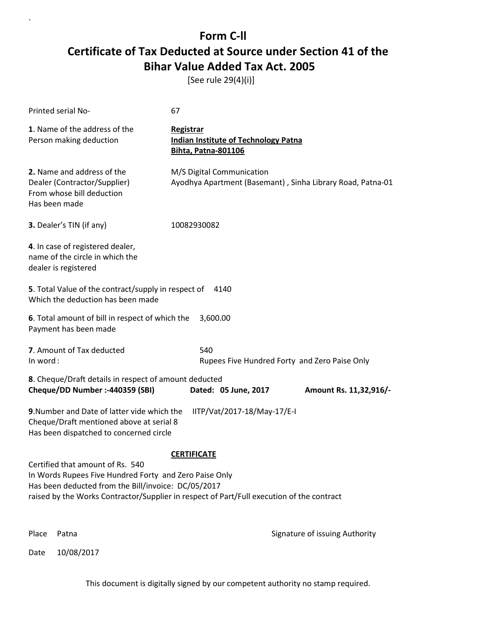[See rule 29(4)(i)]

`

|                                                                                                                                                                                                                                                                      | Printed serial No-                                                                                       | 67                                                                                            |  |
|----------------------------------------------------------------------------------------------------------------------------------------------------------------------------------------------------------------------------------------------------------------------|----------------------------------------------------------------------------------------------------------|-----------------------------------------------------------------------------------------------|--|
|                                                                                                                                                                                                                                                                      | 1. Name of the address of the<br>Person making deduction                                                 | <b>Registrar</b><br><b>Indian Institute of Technology Patna</b><br><b>Bihta, Patna-801106</b> |  |
|                                                                                                                                                                                                                                                                      | 2. Name and address of the<br>Dealer (Contractor/Supplier)<br>From whose bill deduction<br>Has been made | M/S Digital Communication<br>Ayodhya Apartment (Basemant), Sinha Library Road, Patna-01       |  |
|                                                                                                                                                                                                                                                                      | 3. Dealer's TIN (if any)                                                                                 | 10082930082                                                                                   |  |
|                                                                                                                                                                                                                                                                      | 4. In case of registered dealer,<br>name of the circle in which the<br>dealer is registered              |                                                                                               |  |
| 5. Total Value of the contract/supply in respect of<br>4140<br>Which the deduction has been made                                                                                                                                                                     |                                                                                                          |                                                                                               |  |
| 6. Total amount of bill in respect of which the<br>3,600.00<br>Payment has been made                                                                                                                                                                                 |                                                                                                          |                                                                                               |  |
| In word:                                                                                                                                                                                                                                                             | 7. Amount of Tax deducted                                                                                | 540<br>Rupees Five Hundred Forty and Zero Paise Only                                          |  |
| 8. Cheque/Draft details in respect of amount deducted<br>Cheque/DD Number :- 440359 (SBI)<br>Dated: 05 June, 2017<br>Amount Rs. 11,32,916/-                                                                                                                          |                                                                                                          |                                                                                               |  |
| 9. Number and Date of latter vide which the<br>IITP/Vat/2017-18/May-17/E-I<br>Cheque/Draft mentioned above at serial 8<br>Has been dispatched to concerned circle                                                                                                    |                                                                                                          |                                                                                               |  |
| <b>CERTIFICATE</b><br>Certified that amount of Rs. 540<br>In Words Rupees Five Hundred Forty and Zero Paise Only<br>Has been deducted from the Bill/invoice: DC/05/2017<br>raised by the Works Contractor/Supplier in respect of Part/Full execution of the contract |                                                                                                          |                                                                                               |  |
| Place                                                                                                                                                                                                                                                                | Patna                                                                                                    | Signature of issuing Authority                                                                |  |
| Date                                                                                                                                                                                                                                                                 | 10/08/2017                                                                                               |                                                                                               |  |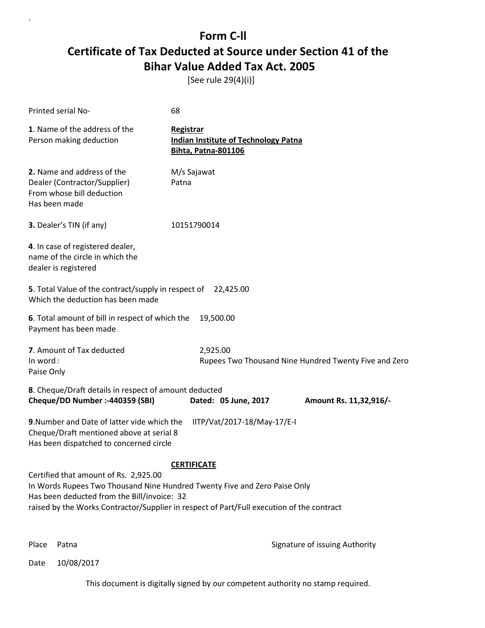[See rule 29(4)(i)]

| Printed serial No-                                                                                                                                                                                                                                             | 68                                                                                     |                                                       |  |
|----------------------------------------------------------------------------------------------------------------------------------------------------------------------------------------------------------------------------------------------------------------|----------------------------------------------------------------------------------------|-------------------------------------------------------|--|
| 1. Name of the address of the<br>Person making deduction                                                                                                                                                                                                       | Registrar<br><b>Indian Institute of Technology Patna</b><br><b>Bihta, Patna-801106</b> |                                                       |  |
| 2. Name and address of the<br>Dealer (Contractor/Supplier)<br>From whose bill deduction<br>Has been made                                                                                                                                                       | M/s Sajawat<br>Patna                                                                   |                                                       |  |
| 3. Dealer's TIN (if any)                                                                                                                                                                                                                                       | 10151790014                                                                            |                                                       |  |
| 4. In case of registered dealer,<br>name of the circle in which the<br>dealer is registered                                                                                                                                                                    |                                                                                        |                                                       |  |
| 5. Total Value of the contract/supply in respect of<br>Which the deduction has been made                                                                                                                                                                       | 22,425.00                                                                              |                                                       |  |
| 6. Total amount of bill in respect of which the<br>Payment has been made                                                                                                                                                                                       | 19,500.00                                                                              |                                                       |  |
| 7. Amount of Tax deducted<br>In word:<br>Paise Only                                                                                                                                                                                                            | 2,925.00                                                                               | Rupees Two Thousand Nine Hundred Twenty Five and Zero |  |
| 8. Cheque/Draft details in respect of amount deducted<br>Cheque/DD Number :- 440359 (SBI)                                                                                                                                                                      | Dated: 05 June, 2017                                                                   | Amount Rs. 11,32,916/-                                |  |
| 9. Number and Date of latter vide which the<br>Cheque/Draft mentioned above at serial 8<br>Has been dispatched to concerned circle                                                                                                                             | IITP/Vat/2017-18/May-17/E-I                                                            |                                                       |  |
| <b>CERTIFICATE</b>                                                                                                                                                                                                                                             |                                                                                        |                                                       |  |
| Certified that amount of Rs. 2,925.00<br>In Words Rupees Two Thousand Nine Hundred Twenty Five and Zero Paise Only<br>Has been deducted from the Bill/invoice: 32<br>raised by the Works Contractor/Supplier in respect of Part/Full execution of the contract |                                                                                        |                                                       |  |

`

Place Patna **Property** Place Patna Signature of issuing Authority

Date 10/08/2017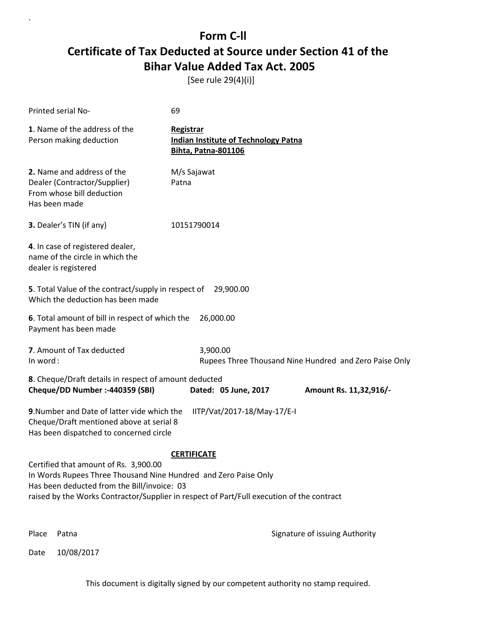[See rule 29(4)(i)]

| Printed serial No-                                                                                                                                                                                                                                                         | 69                                                                                            |                                                        |  |
|----------------------------------------------------------------------------------------------------------------------------------------------------------------------------------------------------------------------------------------------------------------------------|-----------------------------------------------------------------------------------------------|--------------------------------------------------------|--|
| 1. Name of the address of the<br>Person making deduction                                                                                                                                                                                                                   | <b>Registrar</b><br><b>Indian Institute of Technology Patna</b><br><b>Bihta, Patna-801106</b> |                                                        |  |
| 2. Name and address of the<br>Dealer (Contractor/Supplier)<br>From whose bill deduction<br>Has been made                                                                                                                                                                   | M/s Sajawat<br>Patna                                                                          |                                                        |  |
| 3. Dealer's TIN (if any)                                                                                                                                                                                                                                                   | 10151790014                                                                                   |                                                        |  |
| 4. In case of registered dealer,<br>name of the circle in which the<br>dealer is registered                                                                                                                                                                                |                                                                                               |                                                        |  |
| 5. Total Value of the contract/supply in respect of 29,900.00<br>Which the deduction has been made                                                                                                                                                                         |                                                                                               |                                                        |  |
| 6. Total amount of bill in respect of which the<br>26,000.00<br>Payment has been made                                                                                                                                                                                      |                                                                                               |                                                        |  |
| 7. Amount of Tax deducted<br>In word:                                                                                                                                                                                                                                      | 3,900.00                                                                                      | Rupees Three Thousand Nine Hundred and Zero Paise Only |  |
| 8. Cheque/Draft details in respect of amount deducted<br>Cheque/DD Number :- 440359 (SBI)                                                                                                                                                                                  | Dated: 05 June, 2017                                                                          | Amount Rs. 11,32,916/-                                 |  |
| 9. Number and Date of latter vide which the<br>Cheque/Draft mentioned above at serial 8<br>Has been dispatched to concerned circle                                                                                                                                         | IITP/Vat/2017-18/May-17/E-I                                                                   |                                                        |  |
| <b>CERTIFICATE</b><br>Certified that amount of Rs. 3,900.00<br>In Words Rupees Three Thousand Nine Hundred and Zero Paise Only<br>Has been deducted from the Bill/invoice: 03<br>raised by the Works Contractor/Supplier in respect of Part/Full execution of the contract |                                                                                               |                                                        |  |
| Place<br>Patna                                                                                                                                                                                                                                                             |                                                                                               | Signature of issuing Authority                         |  |

Date 10/08/2017

`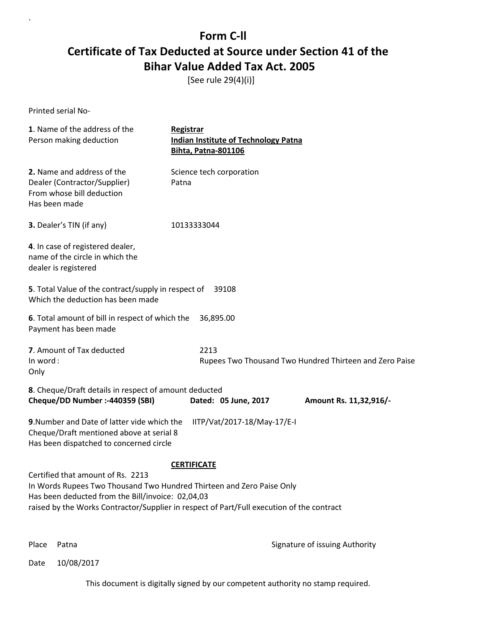[See rule 29(4)(i)]

Printed serial No-

`

| 1. Name of the address of the<br>Person making deduction                                                                                                                                                                                                                           | Registrar<br><b>Indian Institute of Technology Patna</b><br><b>Bihta, Patna-801106</b> |  |  |
|------------------------------------------------------------------------------------------------------------------------------------------------------------------------------------------------------------------------------------------------------------------------------------|----------------------------------------------------------------------------------------|--|--|
| 2. Name and address of the<br>Dealer (Contractor/Supplier)<br>From whose bill deduction<br>Has been made                                                                                                                                                                           | Science tech corporation<br>Patna                                                      |  |  |
| 3. Dealer's TIN (if any)                                                                                                                                                                                                                                                           | 10133333044                                                                            |  |  |
| 4. In case of registered dealer,<br>name of the circle in which the<br>dealer is registered                                                                                                                                                                                        |                                                                                        |  |  |
| 5. Total Value of the contract/supply in respect of<br>Which the deduction has been made                                                                                                                                                                                           | 39108                                                                                  |  |  |
| 6. Total amount of bill in respect of which the<br>Payment has been made                                                                                                                                                                                                           | 36,895.00                                                                              |  |  |
| 7. Amount of Tax deducted<br>In word:<br>Only                                                                                                                                                                                                                                      | 2213<br>Rupees Two Thousand Two Hundred Thirteen and Zero Paise                        |  |  |
| 8. Cheque/Draft details in respect of amount deducted<br>Cheque/DD Number :- 440359 (SBI)                                                                                                                                                                                          | Dated: 05 June, 2017<br>Amount Rs. 11,32,916/-                                         |  |  |
| 9. Number and Date of latter vide which the<br>Cheque/Draft mentioned above at serial 8<br>Has been dispatched to concerned circle                                                                                                                                                 | IITP/Vat/2017-18/May-17/E-I                                                            |  |  |
| <b>CERTIFICATE</b><br>Certified that amount of Rs. 2213<br>In Words Rupees Two Thousand Two Hundred Thirteen and Zero Paise Only<br>Has been deducted from the Bill/invoice: 02,04,03<br>raised by the Works Contractor/Supplier in respect of Part/Full execution of the contract |                                                                                        |  |  |

Place Patna **Property** Place Patna Signature of issuing Authority

Date 10/08/2017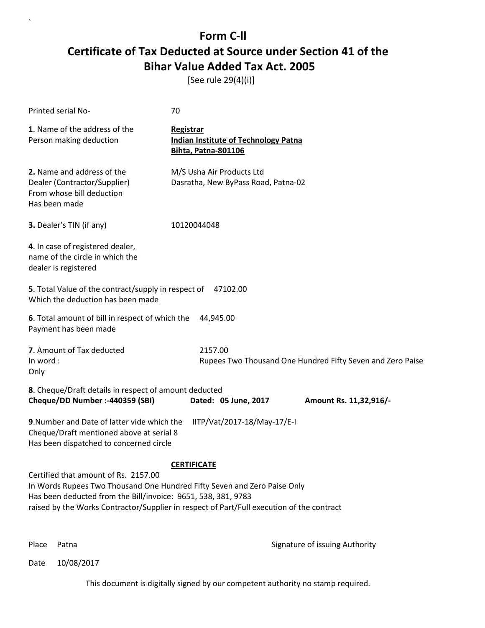[See rule 29(4)(i)]

| Printed serial No-                                                                                                                                                                                                                                                                                   | 70                                                                                            |  |
|------------------------------------------------------------------------------------------------------------------------------------------------------------------------------------------------------------------------------------------------------------------------------------------------------|-----------------------------------------------------------------------------------------------|--|
| 1. Name of the address of the<br>Person making deduction                                                                                                                                                                                                                                             | <b>Registrar</b><br><b>Indian Institute of Technology Patna</b><br><b>Bihta, Patna-801106</b> |  |
| 2. Name and address of the<br>Dealer (Contractor/Supplier)<br>From whose bill deduction<br>Has been made                                                                                                                                                                                             | M/S Usha Air Products Ltd<br>Dasratha, New ByPass Road, Patna-02                              |  |
| 3. Dealer's TIN (if any)                                                                                                                                                                                                                                                                             | 10120044048                                                                                   |  |
| 4. In case of registered dealer,<br>name of the circle in which the<br>dealer is registered                                                                                                                                                                                                          |                                                                                               |  |
| 5. Total Value of the contract/supply in respect of<br>Which the deduction has been made                                                                                                                                                                                                             | 47102.00                                                                                      |  |
| 6. Total amount of bill in respect of which the<br>Payment has been made                                                                                                                                                                                                                             | 44,945.00                                                                                     |  |
| 7. Amount of Tax deducted<br>In word:<br>Only                                                                                                                                                                                                                                                        | 2157.00<br>Rupees Two Thousand One Hundred Fifty Seven and Zero Paise                         |  |
| 8. Cheque/Draft details in respect of amount deducted<br>Cheque/DD Number :- 440359 (SBI)                                                                                                                                                                                                            | Dated: 05 June, 2017<br>Amount Rs. 11,32,916/-                                                |  |
| 9. Number and Date of latter vide which the<br>Cheque/Draft mentioned above at serial 8<br>Has been dispatched to concerned circle                                                                                                                                                                   | IITP/Vat/2017-18/May-17/E-I                                                                   |  |
| <b>CERTIFICATE</b><br>Certified that amount of Rs. 2157.00<br>In Words Rupees Two Thousand One Hundred Fifty Seven and Zero Paise Only<br>Has been deducted from the Bill/invoice: 9651, 538, 381, 9783<br>raised by the Works Contractor/Supplier in respect of Part/Full execution of the contract |                                                                                               |  |

`

Place Patna **Property** Place Patna Signature of issuing Authority

Date 10/08/2017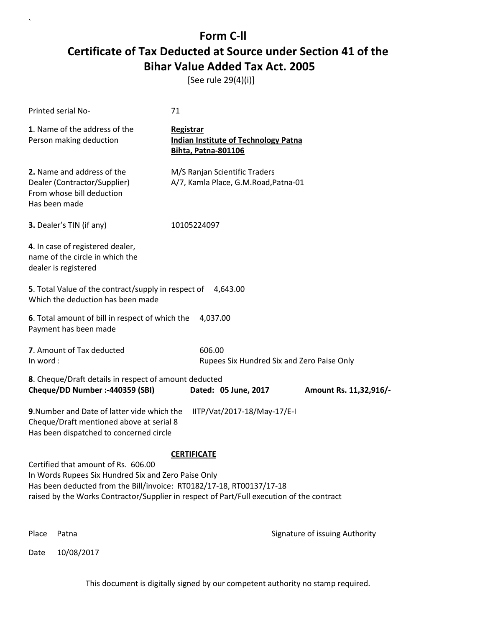[See rule 29(4)(i)]

| <b>Printed serial No-</b>                                                                                                                                                                                                                                       | 71                                                                                            |                                |
|-----------------------------------------------------------------------------------------------------------------------------------------------------------------------------------------------------------------------------------------------------------------|-----------------------------------------------------------------------------------------------|--------------------------------|
| 1. Name of the address of the<br>Person making deduction                                                                                                                                                                                                        | <b>Registrar</b><br><b>Indian Institute of Technology Patna</b><br><b>Bihta, Patna-801106</b> |                                |
| 2. Name and address of the<br>Dealer (Contractor/Supplier)<br>From whose bill deduction<br>Has been made                                                                                                                                                        | M/S Ranjan Scientific Traders<br>A/7, Kamla Place, G.M.Road, Patna-01                         |                                |
| 3. Dealer's TIN (if any)                                                                                                                                                                                                                                        | 10105224097                                                                                   |                                |
| 4. In case of registered dealer,<br>name of the circle in which the<br>dealer is registered                                                                                                                                                                     |                                                                                               |                                |
| 5. Total Value of the contract/supply in respect of<br>Which the deduction has been made                                                                                                                                                                        | 4,643.00                                                                                      |                                |
| 6. Total amount of bill in respect of which the<br>Payment has been made                                                                                                                                                                                        | 4,037.00                                                                                      |                                |
| 7. Amount of Tax deducted<br>In word:                                                                                                                                                                                                                           | 606.00<br>Rupees Six Hundred Six and Zero Paise Only                                          |                                |
| 8. Cheque/Draft details in respect of amount deducted<br>Cheque/DD Number :- 440359 (SBI)                                                                                                                                                                       | Dated: 05 June, 2017                                                                          | Amount Rs. 11,32,916/-         |
| 9. Number and Date of latter vide which the<br>Cheque/Draft mentioned above at serial 8<br>Has been dispatched to concerned circle                                                                                                                              | IITP/Vat/2017-18/May-17/E-I                                                                   |                                |
|                                                                                                                                                                                                                                                                 | <b>CERTIFICATE</b>                                                                            |                                |
| Certified that amount of Rs. 606.00<br>In Words Rupees Six Hundred Six and Zero Paise Only<br>Has been deducted from the Bill/invoice: RT0182/17-18, RT00137/17-18<br>raised by the Works Contractor/Supplier in respect of Part/Full execution of the contract |                                                                                               |                                |
| Place<br>Patna                                                                                                                                                                                                                                                  |                                                                                               | Signature of issuing Authority |

Date 10/08/2017

`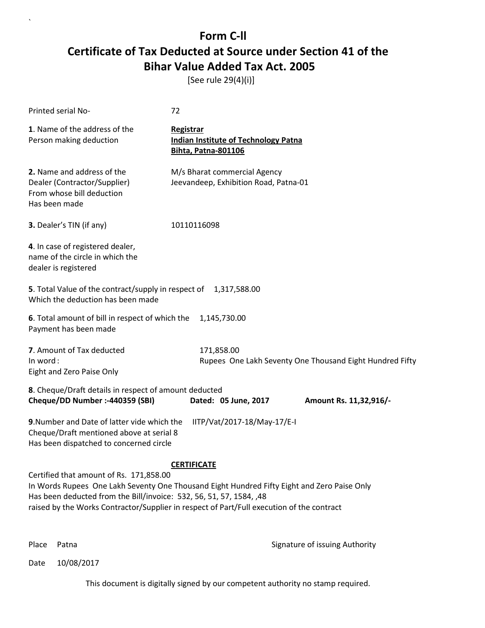[See rule 29(4)(i)]

| Printed serial No-                                                                                                                                                                                                                                                                                                               | 72                                                                                            |  |
|----------------------------------------------------------------------------------------------------------------------------------------------------------------------------------------------------------------------------------------------------------------------------------------------------------------------------------|-----------------------------------------------------------------------------------------------|--|
| 1. Name of the address of the<br>Person making deduction                                                                                                                                                                                                                                                                         | <b>Registrar</b><br><b>Indian Institute of Technology Patna</b><br><b>Bihta, Patna-801106</b> |  |
| 2. Name and address of the<br>Dealer (Contractor/Supplier)<br>From whose bill deduction<br>Has been made                                                                                                                                                                                                                         | M/s Bharat commercial Agency<br>Jeevandeep, Exhibition Road, Patna-01                         |  |
| 3. Dealer's TIN (if any)                                                                                                                                                                                                                                                                                                         | 10110116098                                                                                   |  |
| 4. In case of registered dealer,<br>name of the circle in which the<br>dealer is registered                                                                                                                                                                                                                                      |                                                                                               |  |
| 5. Total Value of the contract/supply in respect of 1,317,588.00<br>Which the deduction has been made                                                                                                                                                                                                                            |                                                                                               |  |
| 6. Total amount of bill in respect of which the<br>Payment has been made                                                                                                                                                                                                                                                         | 1,145,730.00                                                                                  |  |
| 7. Amount of Tax deducted<br>In word:<br>Eight and Zero Paise Only                                                                                                                                                                                                                                                               | 171,858.00<br>Rupees One Lakh Seventy One Thousand Eight Hundred Fifty                        |  |
| 8. Cheque/Draft details in respect of amount deducted<br>Cheque/DD Number :- 440359 (SBI)                                                                                                                                                                                                                                        | Dated: 05 June, 2017<br>Amount Rs. 11,32,916/-                                                |  |
| 9. Number and Date of latter vide which the<br>Cheque/Draft mentioned above at serial 8<br>Has been dispatched to concerned circle                                                                                                                                                                                               | IITP/Vat/2017-18/May-17/E-I                                                                   |  |
| <b>CERTIFICATE</b><br>Certified that amount of Rs. 171,858.00<br>In Words Rupees One Lakh Seventy One Thousand Eight Hundred Fifty Eight and Zero Paise Only<br>Has been deducted from the Bill/invoice: 532, 56, 51, 57, 1584, ,48<br>raised by the Works Contractor/Supplier in respect of Part/Full execution of the contract |                                                                                               |  |

`

Place Patna **Property** Place Patna Signature of issuing Authority

Date 10/08/2017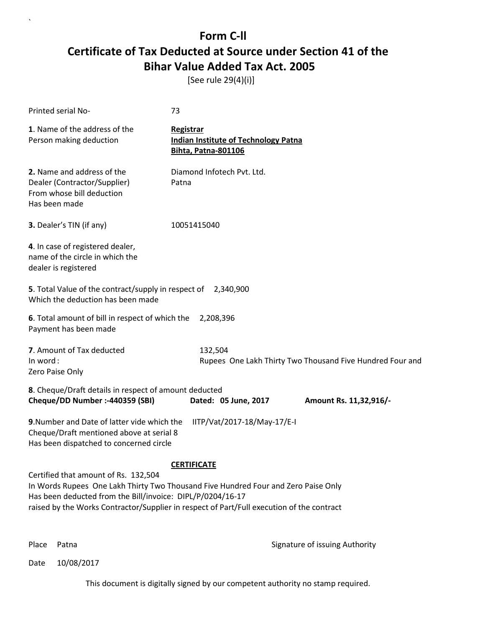[See rule 29(4)(i)]

| Printed serial No-                                                                                                                                                                                                                                                                                          | 73                                                                                     |  |
|-------------------------------------------------------------------------------------------------------------------------------------------------------------------------------------------------------------------------------------------------------------------------------------------------------------|----------------------------------------------------------------------------------------|--|
| 1. Name of the address of the<br>Person making deduction                                                                                                                                                                                                                                                    | Registrar<br><b>Indian Institute of Technology Patna</b><br><b>Bihta, Patna-801106</b> |  |
| 2. Name and address of the<br>Dealer (Contractor/Supplier)<br>From whose bill deduction<br>Has been made                                                                                                                                                                                                    | Diamond Infotech Pvt. Ltd.<br>Patna                                                    |  |
| 3. Dealer's TIN (if any)                                                                                                                                                                                                                                                                                    | 10051415040                                                                            |  |
| 4. In case of registered dealer,<br>name of the circle in which the<br>dealer is registered                                                                                                                                                                                                                 |                                                                                        |  |
| 5. Total Value of the contract/supply in respect of 2,340,900<br>Which the deduction has been made                                                                                                                                                                                                          |                                                                                        |  |
| 6. Total amount of bill in respect of which the<br>Payment has been made                                                                                                                                                                                                                                    | 2,208,396                                                                              |  |
| 7. Amount of Tax deducted<br>In word:<br>Zero Paise Only                                                                                                                                                                                                                                                    | 132,504<br>Rupees One Lakh Thirty Two Thousand Five Hundred Four and                   |  |
| 8. Cheque/Draft details in respect of amount deducted<br>Cheque/DD Number :- 440359 (SBI)                                                                                                                                                                                                                   | Dated: 05 June, 2017<br>Amount Rs. 11,32,916/-                                         |  |
| 9. Number and Date of latter vide which the<br>Cheque/Draft mentioned above at serial 8<br>Has been dispatched to concerned circle                                                                                                                                                                          | IITP/Vat/2017-18/May-17/E-I                                                            |  |
| <b>CERTIFICATE</b><br>Certified that amount of Rs. 132,504<br>In Words Rupees One Lakh Thirty Two Thousand Five Hundred Four and Zero Paise Only<br>Has been deducted from the Bill/invoice: DIPL/P/0204/16-17<br>raised by the Works Contractor/Supplier in respect of Part/Full execution of the contract |                                                                                        |  |

`

Place Patna **Property** Place Patna Signature of issuing Authority

Date 10/08/2017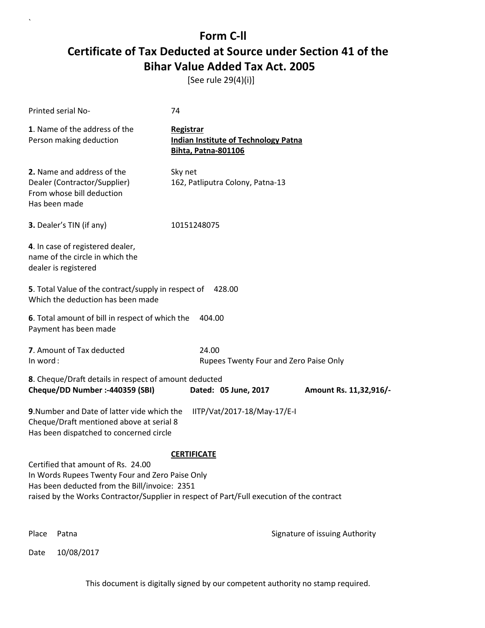[See rule 29(4)(i)]

`

|          | Printed serial No-                                                                                                                     | 74                                                                                                              |                                |
|----------|----------------------------------------------------------------------------------------------------------------------------------------|-----------------------------------------------------------------------------------------------------------------|--------------------------------|
|          | 1. Name of the address of the<br>Person making deduction                                                                               | Registrar<br><b>Indian Institute of Technology Patna</b><br><b>Bihta, Patna-801106</b>                          |                                |
|          | 2. Name and address of the<br>Dealer (Contractor/Supplier)<br>From whose bill deduction<br>Has been made                               | Sky net<br>162, Patliputra Colony, Patna-13                                                                     |                                |
|          | 3. Dealer's TIN (if any)                                                                                                               | 10151248075                                                                                                     |                                |
|          | 4. In case of registered dealer,<br>name of the circle in which the<br>dealer is registered                                            |                                                                                                                 |                                |
|          | 5. Total Value of the contract/supply in respect of<br>Which the deduction has been made                                               | 428.00                                                                                                          |                                |
|          | 6. Total amount of bill in respect of which the<br>Payment has been made                                                               | 404.00                                                                                                          |                                |
| In word: | 7. Amount of Tax deducted                                                                                                              | 24.00<br>Rupees Twenty Four and Zero Paise Only                                                                 |                                |
|          | 8. Cheque/Draft details in respect of amount deducted<br>Cheque/DD Number :- 440359 (SBI)                                              | Dated: 05 June, 2017                                                                                            | Amount Rs. 11,32,916/-         |
|          | 9. Number and Date of latter vide which the<br>Cheque/Draft mentioned above at serial 8<br>Has been dispatched to concerned circle     | IITP/Vat/2017-18/May-17/E-I                                                                                     |                                |
|          | Certified that amount of Rs. 24.00<br>In Words Rupees Twenty Four and Zero Paise Only<br>Has been deducted from the Bill/invoice: 2351 | <b>CERTIFICATE</b><br>raised by the Works Contractor/Supplier in respect of Part/Full execution of the contract |                                |
| Place    | Patna                                                                                                                                  |                                                                                                                 | Signature of issuing Authority |
| Date     | 10/08/2017                                                                                                                             |                                                                                                                 |                                |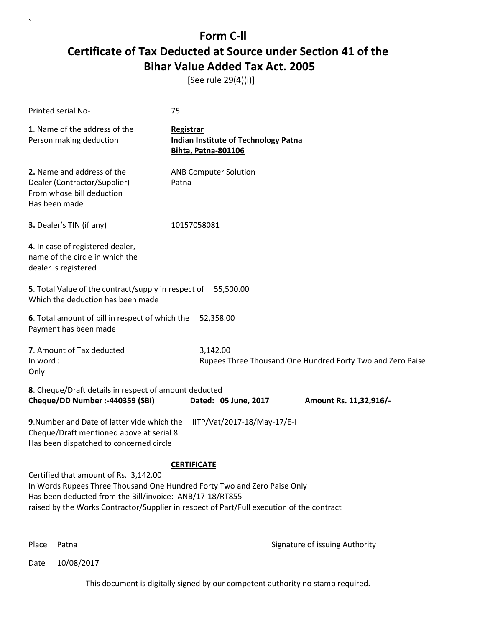[See rule 29(4)(i)]

| Printed serial No-                                                                                                                                                                                                                                                                               | 75                                                                                            |  |
|--------------------------------------------------------------------------------------------------------------------------------------------------------------------------------------------------------------------------------------------------------------------------------------------------|-----------------------------------------------------------------------------------------------|--|
| 1. Name of the address of the<br>Person making deduction                                                                                                                                                                                                                                         | <b>Registrar</b><br><b>Indian Institute of Technology Patna</b><br><b>Bihta, Patna-801106</b> |  |
| 2. Name and address of the<br>Dealer (Contractor/Supplier)<br>From whose bill deduction<br>Has been made                                                                                                                                                                                         | <b>ANB Computer Solution</b><br>Patna                                                         |  |
| 3. Dealer's TIN (if any)                                                                                                                                                                                                                                                                         | 10157058081                                                                                   |  |
| 4. In case of registered dealer,<br>name of the circle in which the<br>dealer is registered                                                                                                                                                                                                      |                                                                                               |  |
| 5. Total Value of the contract/supply in respect of 55,500.00<br>Which the deduction has been made                                                                                                                                                                                               |                                                                                               |  |
| 6. Total amount of bill in respect of which the<br>Payment has been made                                                                                                                                                                                                                         | 52,358.00                                                                                     |  |
| 7. Amount of Tax deducted<br>In word:<br>Only                                                                                                                                                                                                                                                    | 3,142.00<br>Rupees Three Thousand One Hundred Forty Two and Zero Paise                        |  |
| 8. Cheque/Draft details in respect of amount deducted<br>Cheque/DD Number :- 440359 (SBI)                                                                                                                                                                                                        | Dated: 05 June, 2017<br>Amount Rs. 11,32,916/-                                                |  |
| 9. Number and Date of latter vide which the<br>Cheque/Draft mentioned above at serial 8<br>Has been dispatched to concerned circle                                                                                                                                                               | IITP/Vat/2017-18/May-17/E-I                                                                   |  |
| <b>CERTIFICATE</b><br>Certified that amount of Rs. 3,142.00<br>In Words Rupees Three Thousand One Hundred Forty Two and Zero Paise Only<br>Has been deducted from the Bill/invoice: ANB/17-18/RT855<br>raised by the Works Contractor/Supplier in respect of Part/Full execution of the contract |                                                                                               |  |

`

Place Patna **Property** Place Patna Signature of issuing Authority

Date 10/08/2017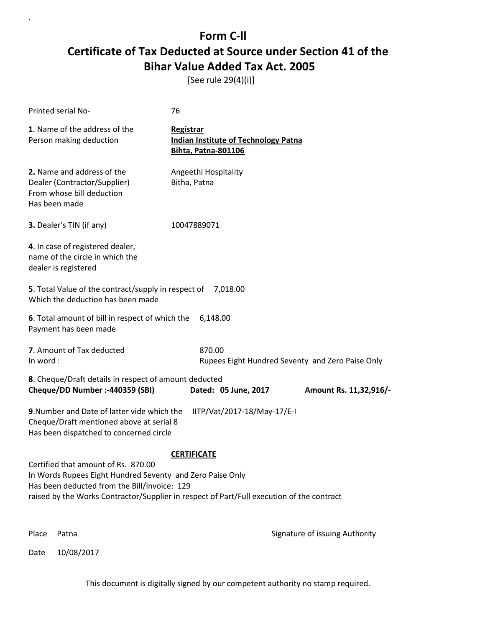[See rule 29(4)(i)]

| Printed serial No-                                                                                                                                                                                                                            | 76                                                                                     |                                |
|-----------------------------------------------------------------------------------------------------------------------------------------------------------------------------------------------------------------------------------------------|----------------------------------------------------------------------------------------|--------------------------------|
| 1. Name of the address of the<br>Person making deduction                                                                                                                                                                                      | Registrar<br><b>Indian Institute of Technology Patna</b><br><b>Bihta, Patna-801106</b> |                                |
| 2. Name and address of the<br>Dealer (Contractor/Supplier)<br>From whose bill deduction<br>Has been made                                                                                                                                      | Angeethi Hospitality<br>Bitha, Patna                                                   |                                |
| 3. Dealer's TIN (if any)                                                                                                                                                                                                                      | 10047889071                                                                            |                                |
| 4. In case of registered dealer,<br>name of the circle in which the<br>dealer is registered                                                                                                                                                   |                                                                                        |                                |
| 5. Total Value of the contract/supply in respect of<br>Which the deduction has been made                                                                                                                                                      | 7,018.00                                                                               |                                |
| 6. Total amount of bill in respect of which the<br>Payment has been made                                                                                                                                                                      | 6,148.00                                                                               |                                |
| 7. Amount of Tax deducted<br>In word:                                                                                                                                                                                                         | 870.00<br>Rupees Eight Hundred Seventy and Zero Paise Only                             |                                |
| 8. Cheque/Draft details in respect of amount deducted<br>Cheque/DD Number :- 440359 (SBI)                                                                                                                                                     | Dated: 05 June, 2017                                                                   | Amount Rs. 11,32,916/-         |
| 9. Number and Date of latter vide which the<br>Cheque/Draft mentioned above at serial 8<br>Has been dispatched to concerned circle                                                                                                            | IITP/Vat/2017-18/May-17/E-I                                                            |                                |
|                                                                                                                                                                                                                                               | <b>CERTIFICATE</b>                                                                     |                                |
| Certified that amount of Rs. 870.00<br>In Words Rupees Eight Hundred Seventy and Zero Paise Only<br>Has been deducted from the Bill/invoice: 129<br>raised by the Works Contractor/Supplier in respect of Part/Full execution of the contract |                                                                                        |                                |
| Place<br>Patna                                                                                                                                                                                                                                |                                                                                        | Signature of issuing Authority |

Date 10/08/2017

`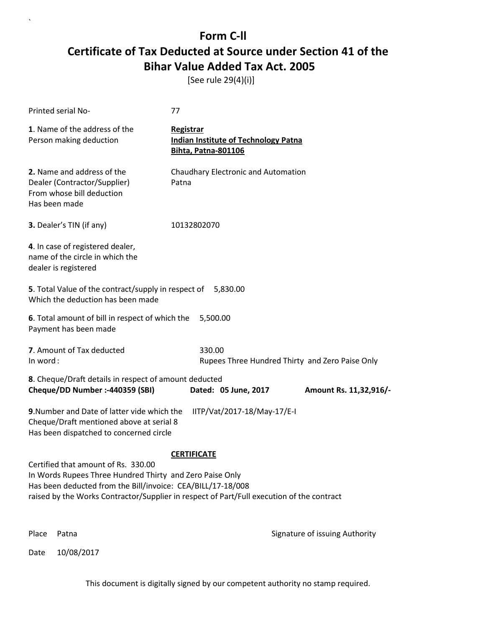[See rule 29(4)(i)]

| Printed serial No-                                                                                                                                                                                                                                          | 77                                                                                     |                                |
|-------------------------------------------------------------------------------------------------------------------------------------------------------------------------------------------------------------------------------------------------------------|----------------------------------------------------------------------------------------|--------------------------------|
| 1. Name of the address of the<br>Person making deduction                                                                                                                                                                                                    | Registrar<br><b>Indian Institute of Technology Patna</b><br><b>Bihta, Patna-801106</b> |                                |
| 2. Name and address of the<br>Dealer (Contractor/Supplier)<br>From whose bill deduction<br>Has been made                                                                                                                                                    | Chaudhary Electronic and Automation<br>Patna                                           |                                |
| 3. Dealer's TIN (if any)                                                                                                                                                                                                                                    | 10132802070                                                                            |                                |
| 4. In case of registered dealer,<br>name of the circle in which the<br>dealer is registered                                                                                                                                                                 |                                                                                        |                                |
| 5. Total Value of the contract/supply in respect of<br>Which the deduction has been made                                                                                                                                                                    | 5,830.00                                                                               |                                |
| 6. Total amount of bill in respect of which the<br>Payment has been made                                                                                                                                                                                    | 5,500.00                                                                               |                                |
| 7. Amount of Tax deducted<br>In word:                                                                                                                                                                                                                       | 330.00<br>Rupees Three Hundred Thirty and Zero Paise Only                              |                                |
| 8. Cheque/Draft details in respect of amount deducted<br>Cheque/DD Number :- 440359 (SBI)                                                                                                                                                                   | Dated: 05 June, 2017                                                                   | Amount Rs. 11,32,916/-         |
| 9. Number and Date of latter vide which the<br>Cheque/Draft mentioned above at serial 8<br>Has been dispatched to concerned circle                                                                                                                          | IITP/Vat/2017-18/May-17/E-I                                                            |                                |
|                                                                                                                                                                                                                                                             | <b>CERTIFICATE</b>                                                                     |                                |
| Certified that amount of Rs. 330.00<br>In Words Rupees Three Hundred Thirty and Zero Paise Only<br>Has been deducted from the Bill/invoice: CEA/BILL/17-18/008<br>raised by the Works Contractor/Supplier in respect of Part/Full execution of the contract |                                                                                        |                                |
| Place<br>Patna                                                                                                                                                                                                                                              |                                                                                        | Signature of issuing Authority |

Date 10/08/2017

`